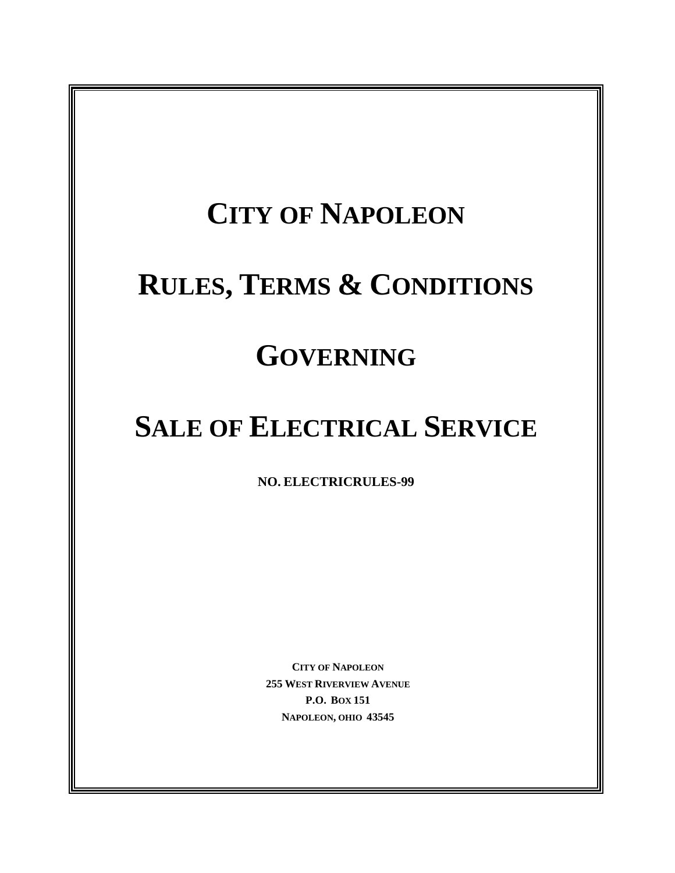## **CITY OF NAPOLEON**

## **RULES, TERMS & CONDITIONS**

## **GOVERNING**

## **SALE OF ELECTRICAL SERVICE**

**NO. ELECTRICRULES-99** 

**CITY OF NAPOLEON 255 WEST RIVERVIEW AVENUE P.O. BOX 151 NAPOLEON, OHIO 43545**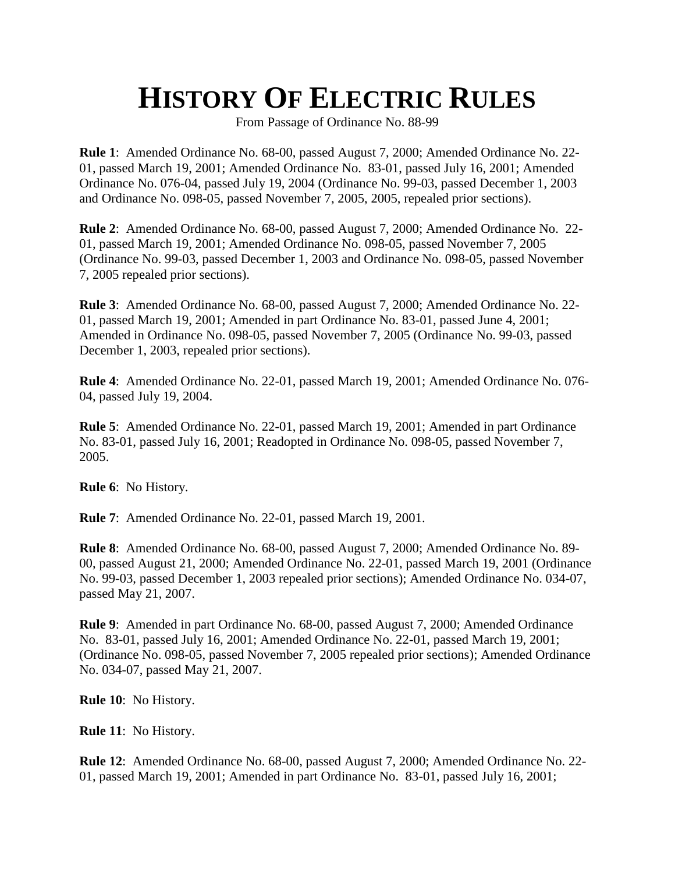## **HISTORY OF ELECTRIC RULES**

From Passage of Ordinance No. 88-99

**Rule 1**: Amended Ordinance No. 68-00, passed August 7, 2000; Amended Ordinance No. 22- 01, passed March 19, 2001; Amended Ordinance No. 83-01, passed July 16, 2001; Amended Ordinance No. 076-04, passed July 19, 2004 (Ordinance No. 99-03, passed December 1, 2003 and Ordinance No. 098-05, passed November 7, 2005, 2005, repealed prior sections).

**Rule 2**: Amended Ordinance No. 68-00, passed August 7, 2000; Amended Ordinance No. 22- 01, passed March 19, 2001; Amended Ordinance No. 098-05, passed November 7, 2005 (Ordinance No. 99-03, passed December 1, 2003 and Ordinance No. 098-05, passed November 7, 2005 repealed prior sections).

**Rule 3**: Amended Ordinance No. 68-00, passed August 7, 2000; Amended Ordinance No. 22- 01, passed March 19, 2001; Amended in part Ordinance No. 83-01, passed June 4, 2001; Amended in Ordinance No. 098-05, passed November 7, 2005 (Ordinance No. 99-03, passed December 1, 2003, repealed prior sections).

**Rule 4**: Amended Ordinance No. 22-01, passed March 19, 2001; Amended Ordinance No. 076- 04, passed July 19, 2004.

**Rule 5**: Amended Ordinance No. 22-01, passed March 19, 2001; Amended in part Ordinance No. 83-01, passed July 16, 2001; Readopted in Ordinance No. 098-05, passed November 7, 2005.

**Rule 6**: No History.

**Rule 7**: Amended Ordinance No. 22-01, passed March 19, 2001.

**Rule 8**: Amended Ordinance No. 68-00, passed August 7, 2000; Amended Ordinance No. 89- 00, passed August 21, 2000; Amended Ordinance No. 22-01, passed March 19, 2001 (Ordinance No. 99-03, passed December 1, 2003 repealed prior sections); Amended Ordinance No. 034-07, passed May 21, 2007.

**Rule 9**: Amended in part Ordinance No. 68-00, passed August 7, 2000; Amended Ordinance No. 83-01, passed July 16, 2001; Amended Ordinance No. 22-01, passed March 19, 2001; (Ordinance No. 098-05, passed November 7, 2005 repealed prior sections); Amended Ordinance No. 034-07, passed May 21, 2007.

**Rule 10**: No History.

**Rule 11**: No History.

**Rule 12**: Amended Ordinance No. 68-00, passed August 7, 2000; Amended Ordinance No. 22- 01, passed March 19, 2001; Amended in part Ordinance No. 83-01, passed July 16, 2001;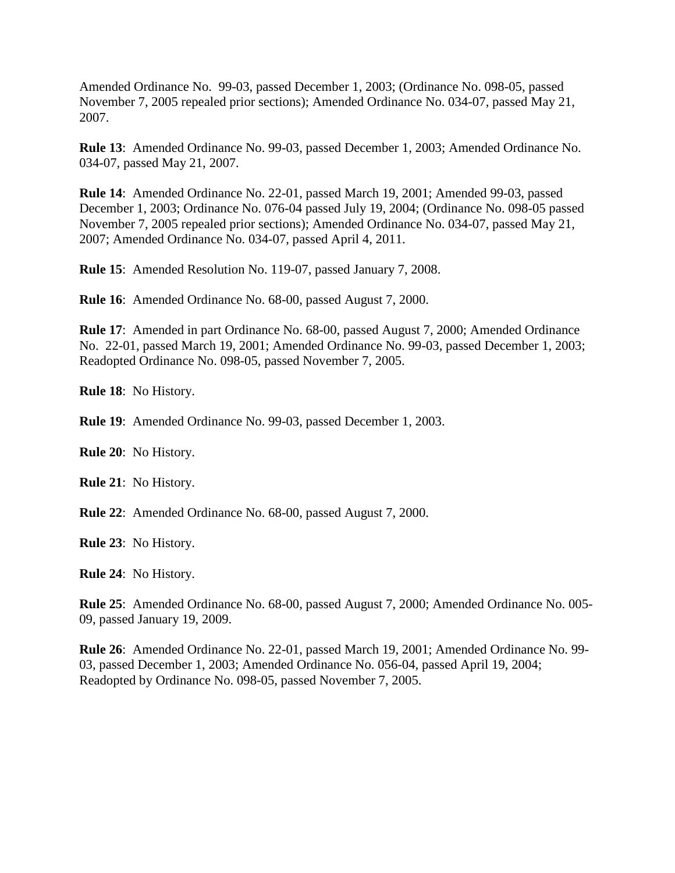Amended Ordinance No. 99-03, passed December 1, 2003; (Ordinance No. 098-05, passed November 7, 2005 repealed prior sections); Amended Ordinance No. 034-07, passed May 21, 2007.

**Rule 13**: Amended Ordinance No. 99-03, passed December 1, 2003; Amended Ordinance No. 034-07, passed May 21, 2007.

**Rule 14**: Amended Ordinance No. 22-01, passed March 19, 2001; Amended 99-03, passed December 1, 2003; Ordinance No. 076-04 passed July 19, 2004; (Ordinance No. 098-05 passed November 7, 2005 repealed prior sections); Amended Ordinance No. 034-07, passed May 21, 2007; Amended Ordinance No. 034-07, passed April 4, 2011.

**Rule 15**: Amended Resolution No. 119-07, passed January 7, 2008.

**Rule 16**: Amended Ordinance No. 68-00, passed August 7, 2000.

**Rule 17**: Amended in part Ordinance No. 68-00, passed August 7, 2000; Amended Ordinance No. 22-01, passed March 19, 2001; Amended Ordinance No. 99-03, passed December 1, 2003; Readopted Ordinance No. 098-05, passed November 7, 2005.

**Rule 18**: No History.

**Rule 19**: Amended Ordinance No. 99-03, passed December 1, 2003.

**Rule 20**: No History.

**Rule 21**: No History.

**Rule 22**: Amended Ordinance No. 68-00, passed August 7, 2000.

**Rule 23**: No History.

**Rule 24**: No History.

**Rule 25**: Amended Ordinance No. 68-00, passed August 7, 2000; Amended Ordinance No. 005- 09, passed January 19, 2009.

**Rule 26**: Amended Ordinance No. 22-01, passed March 19, 2001; Amended Ordinance No. 99- 03, passed December 1, 2003; Amended Ordinance No. 056-04, passed April 19, 2004; Readopted by Ordinance No. 098-05, passed November 7, 2005.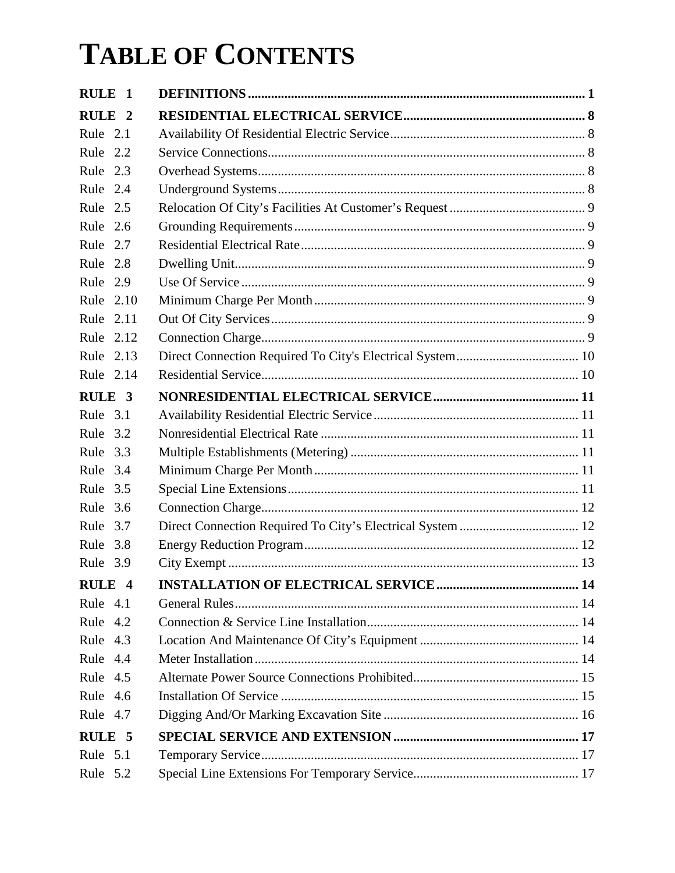| RULE <sub>1</sub> |  |
|-------------------|--|
| RULE <sub>2</sub> |  |
| Rule 2.1          |  |
| Rule 2.2          |  |
| Rule 2.3          |  |
| Rule 2.4          |  |
| Rule 2.5          |  |
| Rule 2.6          |  |
| Rule 2.7          |  |
| Rule 2.8          |  |
| Rule 2.9          |  |
| Rule 2.10         |  |
| Rule 2.11         |  |
| Rule 2.12         |  |
| Rule 2.13         |  |
| Rule 2.14         |  |
| RULE <sub>3</sub> |  |
| Rule 3.1          |  |
| Rule 3.2          |  |
| Rule 3.3          |  |
| Rule 3.4          |  |
| Rule 3.5          |  |
| Rule 3.6          |  |
| Rule 3.7          |  |
| Rule 3.8          |  |
| Rule 3.9          |  |
| RULE <sub>4</sub> |  |
| Rule 4.1          |  |
| Rule 4.2          |  |
| Rule 4.3          |  |
| Rule 4.4          |  |
| Rule 4.5          |  |
| Rule 4.6          |  |
| Rule 4.7          |  |
| RULE <sub>5</sub> |  |
| Rule 5.1          |  |
| Rule 5.2          |  |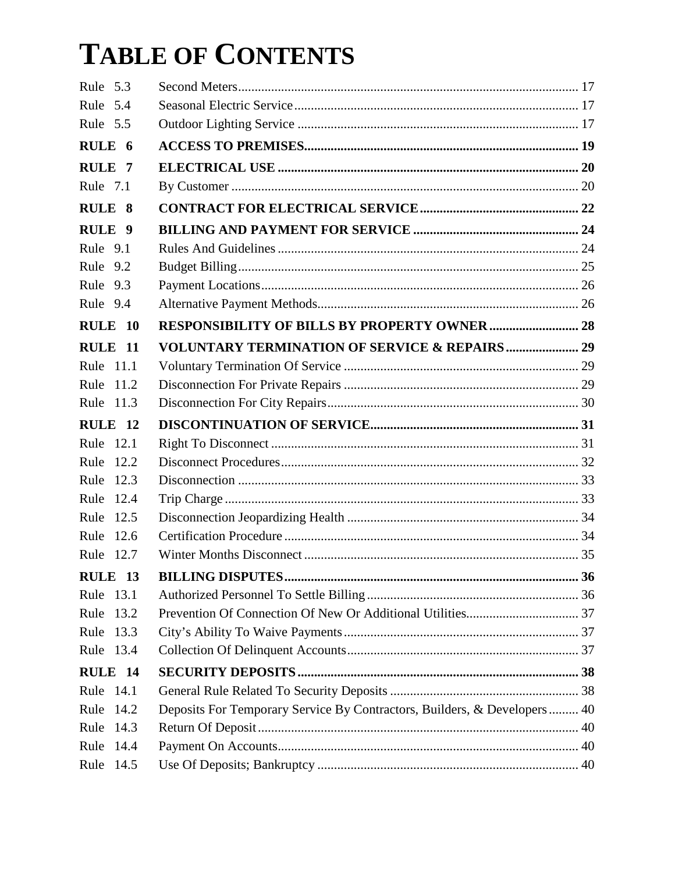| Rule 5.3          |                                                                          |  |
|-------------------|--------------------------------------------------------------------------|--|
| Rule 5.4          |                                                                          |  |
| Rule 5.5          |                                                                          |  |
| RULE 6            |                                                                          |  |
| RULE <sub>7</sub> |                                                                          |  |
| Rule 7.1          |                                                                          |  |
| RULE 8            |                                                                          |  |
| RULE <sub>9</sub> |                                                                          |  |
| Rule 9.1          |                                                                          |  |
| Rule 9.2          |                                                                          |  |
| Rule 9.3          |                                                                          |  |
| Rule 9.4          |                                                                          |  |
| RULE 10           | <b>RESPONSIBILITY OF BILLS BY PROPERTY OWNER  28</b>                     |  |
| RULE 11           | <b>VOLUNTARY TERMINATION OF SERVICE &amp; REPAIRS  29</b>                |  |
| Rule 11.1         |                                                                          |  |
| Rule 11.2         |                                                                          |  |
| Rule 11.3         |                                                                          |  |
| RULE 12           |                                                                          |  |
| Rule 12.1         |                                                                          |  |
| Rule 12.2         |                                                                          |  |
| Rule<br>12.3      |                                                                          |  |
| Rule<br>12.4      |                                                                          |  |
| Rule<br>12.5      |                                                                          |  |
| Rule 12.6         |                                                                          |  |
| Rule 12.7         |                                                                          |  |
| RULE 13           |                                                                          |  |
| Rule 13.1         |                                                                          |  |
| Rule<br>13.2      |                                                                          |  |
| Rule<br>13.3      |                                                                          |  |
| Rule 13.4         |                                                                          |  |
| RULE 14           |                                                                          |  |
| Rule 14.1         |                                                                          |  |
| Rule<br>14.2      | Deposits For Temporary Service By Contractors, Builders, & Developers 40 |  |
| 14.3<br>Rule      |                                                                          |  |
| Rule<br>14.4      |                                                                          |  |
| Rule 14.5         |                                                                          |  |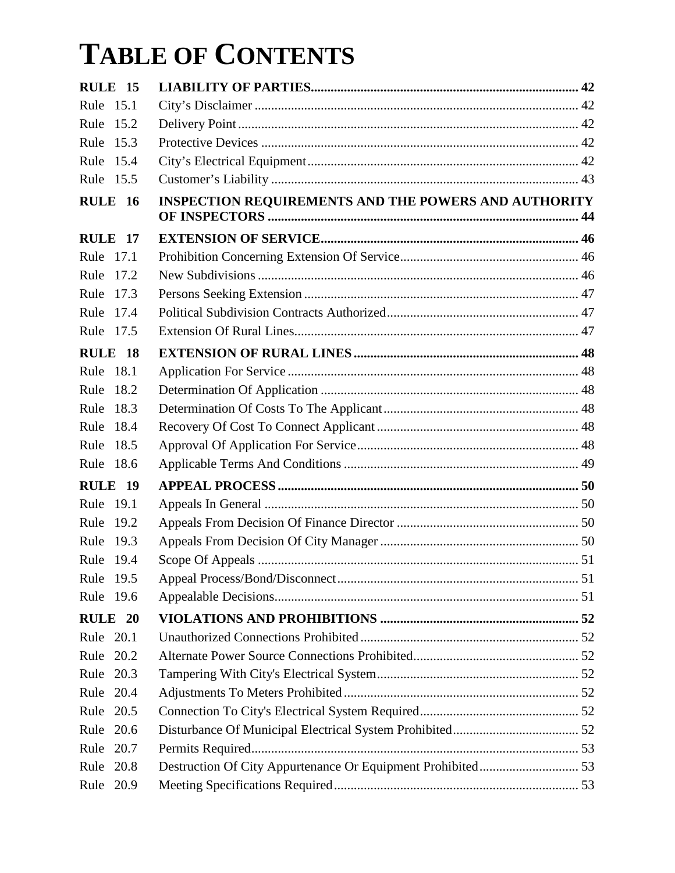| RULE 15            |                                                             |  |
|--------------------|-------------------------------------------------------------|--|
| Rule 15.1          |                                                             |  |
| Rule<br>15.2       |                                                             |  |
| Rule<br>15.3       |                                                             |  |
| Rule<br>15.4       |                                                             |  |
| Rule 15.5          |                                                             |  |
| <b>RULE 16</b>     | <b>INSPECTION REQUIREMENTS AND THE POWERS AND AUTHORITY</b> |  |
| RULE 17            |                                                             |  |
| Rule 17.1          |                                                             |  |
| Rule<br>17.2       |                                                             |  |
| Rule<br>17.3       |                                                             |  |
| Rule<br>17.4       |                                                             |  |
| Rule 17.5          |                                                             |  |
| RULE 18            |                                                             |  |
| Rule 18.1          |                                                             |  |
| Rule<br>18.2       |                                                             |  |
| Rule<br>18.3       |                                                             |  |
| Rule<br>18.4       |                                                             |  |
| Rule<br>18.5       |                                                             |  |
| Rule 18.6          |                                                             |  |
| RULE 19            |                                                             |  |
| Rule 19.1          |                                                             |  |
| Rule<br>19.2       |                                                             |  |
| Rule<br>19.3       |                                                             |  |
| Rule 19.4          |                                                             |  |
| Rule 19.5          |                                                             |  |
| Rule 19.6          |                                                             |  |
| RULE <sub>20</sub> |                                                             |  |
| Rule 20.1          |                                                             |  |
| Rule 20.2          |                                                             |  |
| Rule 20.3          |                                                             |  |
| Rule 20.4          |                                                             |  |
| Rule 20.5          |                                                             |  |
| Rule 20.6          |                                                             |  |
| Rule<br>20.7       |                                                             |  |
| 20.8<br>Rule       |                                                             |  |
| Rule 20.9          |                                                             |  |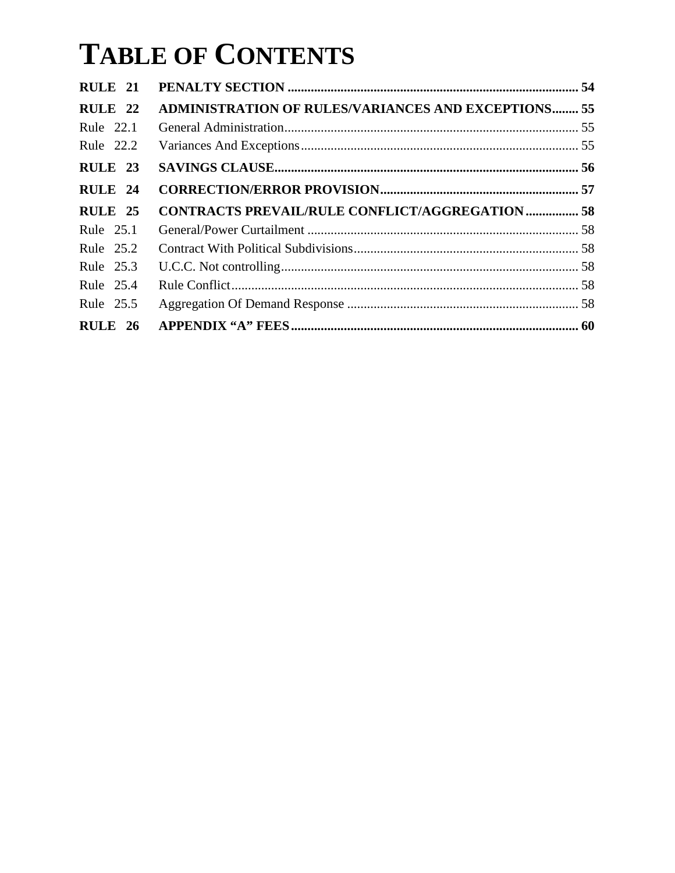| RULE <sub>21</sub> |                                                            |  |
|--------------------|------------------------------------------------------------|--|
| RULE 22            | <b>ADMINISTRATION OF RULES/VARIANCES AND EXCEPTIONS 55</b> |  |
| Rule 22.1          |                                                            |  |
| Rule 22.2          |                                                            |  |
| RULE 23            |                                                            |  |
| RULE 24            |                                                            |  |
| <b>RULE 25</b>     | <b>CONTRACTS PREVAIL/RULE CONFLICT/AGGREGATION  58</b>     |  |
| Rule 25.1          |                                                            |  |
| Rule 25.2          |                                                            |  |
|                    |                                                            |  |
| Rule 25.3          |                                                            |  |
| Rule 25.4          |                                                            |  |
| Rule 25.5          |                                                            |  |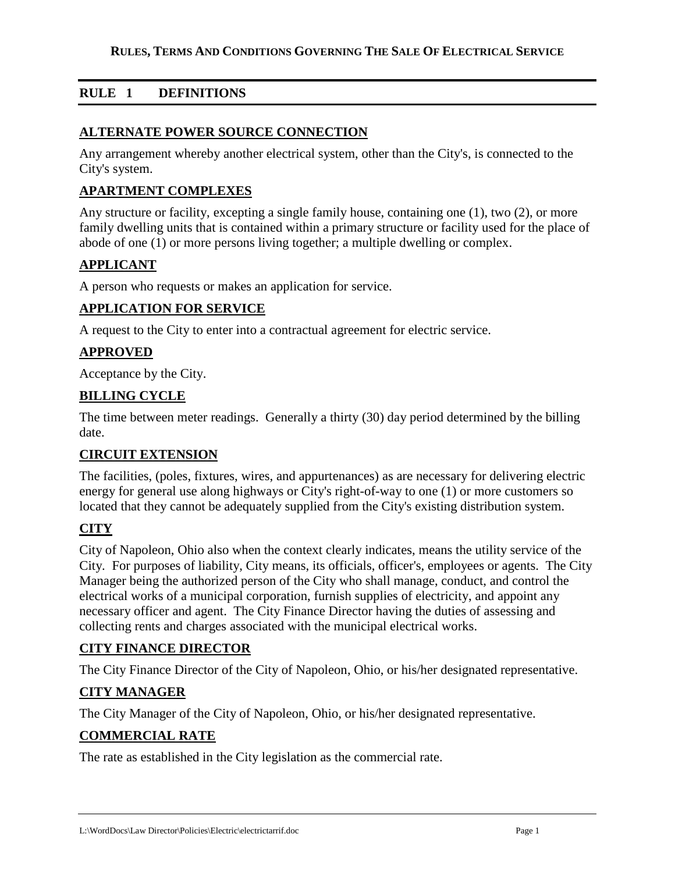## **RULE 1 DEFINITIONS**

#### **ALTERNATE POWER SOURCE CONNECTION**

Any arrangement whereby another electrical system, other than the City's, is connected to the City's system.

### **APARTMENT COMPLEXES**

Any structure or facility, excepting a single family house, containing one (1), two (2), or more family dwelling units that is contained within a primary structure or facility used for the place of abode of one (1) or more persons living together; a multiple dwelling or complex.

### **APPLICANT**

A person who requests or makes an application for service.

#### **APPLICATION FOR SERVICE**

A request to the City to enter into a contractual agreement for electric service.

### **APPROVED**

Acceptance by the City.

#### **BILLING CYCLE**

The time between meter readings. Generally a thirty (30) day period determined by the billing date.

#### **CIRCUIT EXTENSION**

The facilities, (poles, fixtures, wires, and appurtenances) as are necessary for delivering electric energy for general use along highways or City's right-of-way to one (1) or more customers so located that they cannot be adequately supplied from the City's existing distribution system.

### **CITY**

City of Napoleon, Ohio also when the context clearly indicates, means the utility service of the City. For purposes of liability, City means, its officials, officer's, employees or agents. The City Manager being the authorized person of the City who shall manage, conduct, and control the electrical works of a municipal corporation, furnish supplies of electricity, and appoint any necessary officer and agent. The City Finance Director having the duties of assessing and collecting rents and charges associated with the municipal electrical works.

#### **CITY FINANCE DIRECTOR**

The City Finance Director of the City of Napoleon, Ohio, or his/her designated representative.

### **CITY MANAGER**

The City Manager of the City of Napoleon, Ohio, or his/her designated representative.

### **COMMERCIAL RATE**

The rate as established in the City legislation as the commercial rate.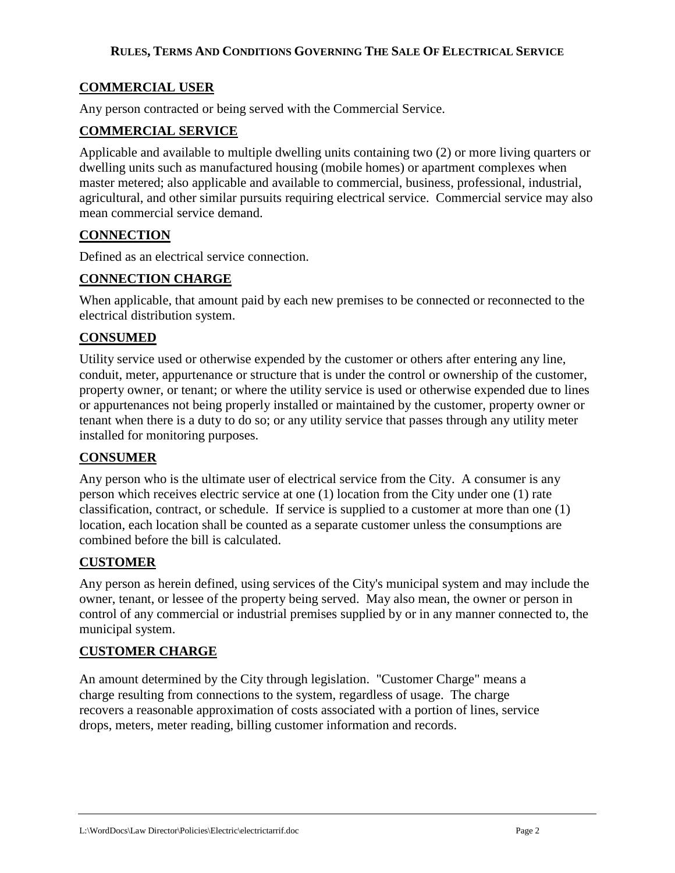## **COMMERCIAL USER**

Any person contracted or being served with the Commercial Service.

## **COMMERCIAL SERVICE**

Applicable and available to multiple dwelling units containing two (2) or more living quarters or dwelling units such as manufactured housing (mobile homes) or apartment complexes when master metered; also applicable and available to commercial, business, professional, industrial, agricultural, and other similar pursuits requiring electrical service. Commercial service may also mean commercial service demand.

## **CONNECTION**

Defined as an electrical service connection.

## **CONNECTION CHARGE**

When applicable, that amount paid by each new premises to be connected or reconnected to the electrical distribution system.

## **CONSUMED**

Utility service used or otherwise expended by the customer or others after entering any line, conduit, meter, appurtenance or structure that is under the control or ownership of the customer, property owner, or tenant; or where the utility service is used or otherwise expended due to lines or appurtenances not being properly installed or maintained by the customer, property owner or tenant when there is a duty to do so; or any utility service that passes through any utility meter installed for monitoring purposes.

### **CONSUMER**

Any person who is the ultimate user of electrical service from the City. A consumer is any person which receives electric service at one (1) location from the City under one (1) rate classification, contract, or schedule. If service is supplied to a customer at more than one (1) location, each location shall be counted as a separate customer unless the consumptions are combined before the bill is calculated.

## **CUSTOMER**

Any person as herein defined, using services of the City's municipal system and may include the owner, tenant, or lessee of the property being served. May also mean, the owner or person in control of any commercial or industrial premises supplied by or in any manner connected to, the municipal system.

## **CUSTOMER CHARGE**

An amount determined by the City through legislation. "Customer Charge" means a charge resulting from connections to the system, regardless of usage. The charge recovers a reasonable approximation of costs associated with a portion of lines, service drops, meters, meter reading, billing customer information and records.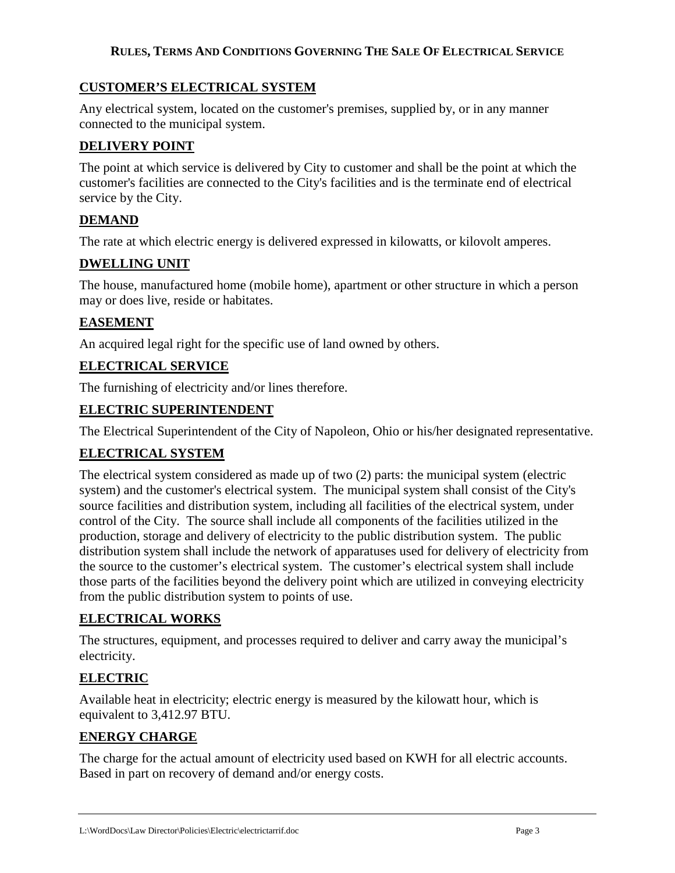## **CUSTOMER'S ELECTRICAL SYSTEM**

Any electrical system, located on the customer's premises, supplied by, or in any manner connected to the municipal system.

## **DELIVERY POINT**

The point at which service is delivered by City to customer and shall be the point at which the customer's facilities are connected to the City's facilities and is the terminate end of electrical service by the City.

## **DEMAND**

The rate at which electric energy is delivered expressed in kilowatts, or kilovolt amperes.

## **DWELLING UNIT**

The house, manufactured home (mobile home), apartment or other structure in which a person may or does live, reside or habitates.

## **EASEMENT**

An acquired legal right for the specific use of land owned by others.

## **ELECTRICAL SERVICE**

The furnishing of electricity and/or lines therefore.

## **ELECTRIC SUPERINTENDENT**

The Electrical Superintendent of the City of Napoleon, Ohio or his/her designated representative.

## **ELECTRICAL SYSTEM**

The electrical system considered as made up of two (2) parts: the municipal system (electric system) and the customer's electrical system. The municipal system shall consist of the City's source facilities and distribution system, including all facilities of the electrical system, under control of the City. The source shall include all components of the facilities utilized in the production, storage and delivery of electricity to the public distribution system. The public distribution system shall include the network of apparatuses used for delivery of electricity from the source to the customer's electrical system. The customer's electrical system shall include those parts of the facilities beyond the delivery point which are utilized in conveying electricity from the public distribution system to points of use.

## **ELECTRICAL WORKS**

The structures, equipment, and processes required to deliver and carry away the municipal's electricity.

## **ELECTRIC**

Available heat in electricity; electric energy is measured by the kilowatt hour, which is equivalent to 3,412.97 BTU.

## **ENERGY CHARGE**

The charge for the actual amount of electricity used based on KWH for all electric accounts. Based in part on recovery of demand and/or energy costs.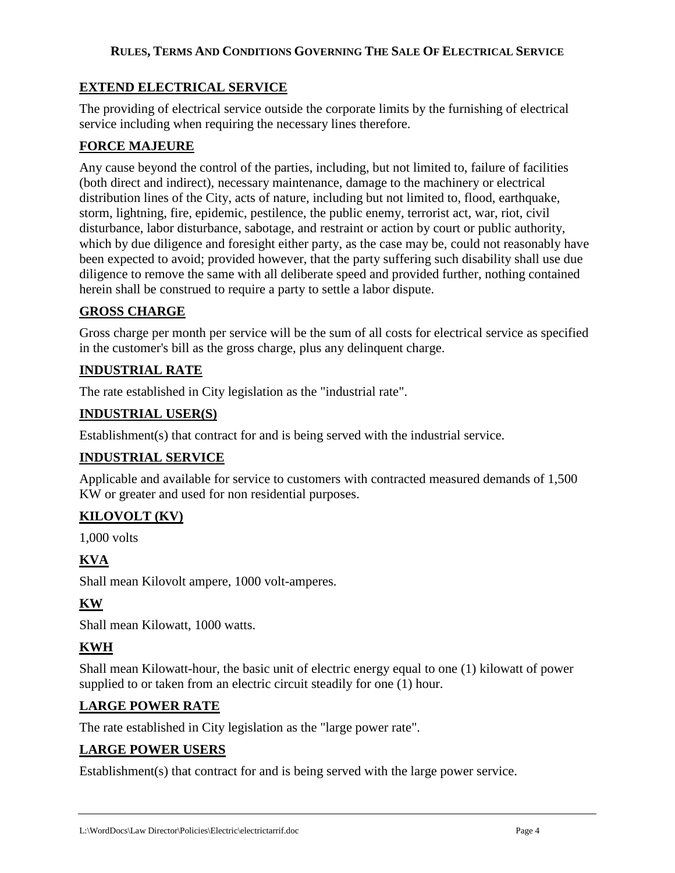## **EXTEND ELECTRICAL SERVICE**

The providing of electrical service outside the corporate limits by the furnishing of electrical service including when requiring the necessary lines therefore.

## **FORCE MAJEURE**

Any cause beyond the control of the parties, including, but not limited to, failure of facilities (both direct and indirect), necessary maintenance, damage to the machinery or electrical distribution lines of the City, acts of nature, including but not limited to, flood, earthquake, storm, lightning, fire, epidemic, pestilence, the public enemy, terrorist act, war, riot, civil disturbance, labor disturbance, sabotage, and restraint or action by court or public authority, which by due diligence and foresight either party, as the case may be, could not reasonably have been expected to avoid; provided however, that the party suffering such disability shall use due diligence to remove the same with all deliberate speed and provided further, nothing contained herein shall be construed to require a party to settle a labor dispute.

## **GROSS CHARGE**

Gross charge per month per service will be the sum of all costs for electrical service as specified in the customer's bill as the gross charge, plus any delinquent charge.

## **INDUSTRIAL RATE**

The rate established in City legislation as the "industrial rate".

## **INDUSTRIAL USER(S)**

Establishment(s) that contract for and is being served with the industrial service.

## **INDUSTRIAL SERVICE**

Applicable and available for service to customers with contracted measured demands of 1,500 KW or greater and used for non residential purposes.

## **KILOVOLT (KV)**

1,000 volts

## **KVA**

Shall mean Kilovolt ampere, 1000 volt-amperes.

## **KW**

Shall mean Kilowatt, 1000 watts.

## **KWH**

Shall mean Kilowatt-hour, the basic unit of electric energy equal to one (1) kilowatt of power supplied to or taken from an electric circuit steadily for one (1) hour.

## **LARGE POWER RATE**

The rate established in City legislation as the "large power rate".

## **LARGE POWER USERS**

Establishment(s) that contract for and is being served with the large power service.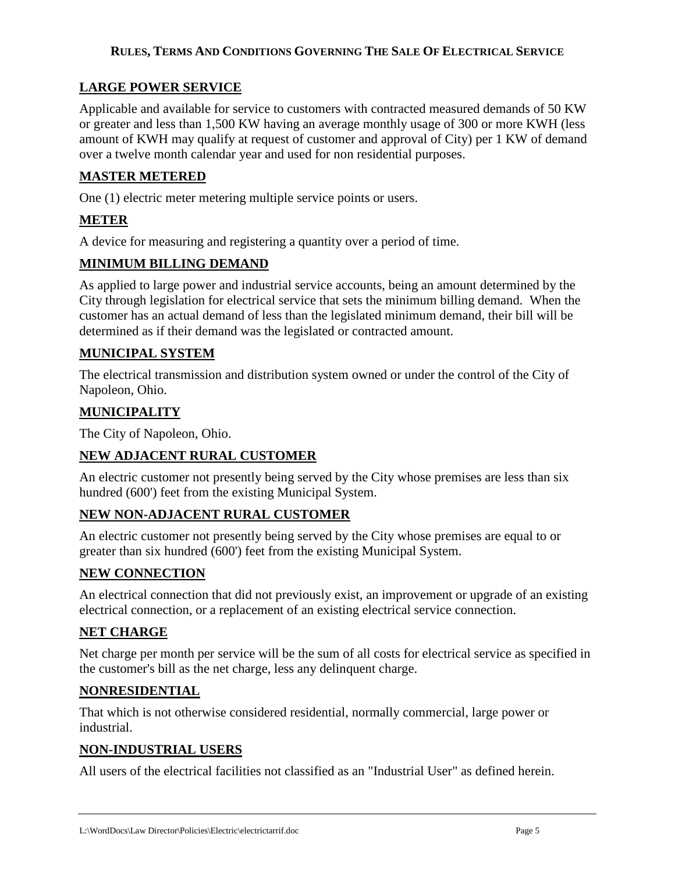## **LARGE POWER SERVICE**

Applicable and available for service to customers with contracted measured demands of 50 KW or greater and less than 1,500 KW having an average monthly usage of 300 or more KWH (less amount of KWH may qualify at request of customer and approval of City) per 1 KW of demand over a twelve month calendar year and used for non residential purposes.

## **MASTER METERED**

One (1) electric meter metering multiple service points or users.

## **METER**

A device for measuring and registering a quantity over a period of time.

## **MINIMUM BILLING DEMAND**

As applied to large power and industrial service accounts, being an amount determined by the City through legislation for electrical service that sets the minimum billing demand. When the customer has an actual demand of less than the legislated minimum demand, their bill will be determined as if their demand was the legislated or contracted amount.

## **MUNICIPAL SYSTEM**

The electrical transmission and distribution system owned or under the control of the City of Napoleon, Ohio.

## **MUNICIPALITY**

The City of Napoleon, Ohio.

## **NEW ADJACENT RURAL CUSTOMER**

An electric customer not presently being served by the City whose premises are less than six hundred (600') feet from the existing Municipal System.

## **NEW NON-ADJACENT RURAL CUSTOMER**

An electric customer not presently being served by the City whose premises are equal to or greater than six hundred (600') feet from the existing Municipal System.

## **NEW CONNECTION**

An electrical connection that did not previously exist, an improvement or upgrade of an existing electrical connection, or a replacement of an existing electrical service connection.

## **NET CHARGE**

Net charge per month per service will be the sum of all costs for electrical service as specified in the customer's bill as the net charge, less any delinquent charge.

## **NONRESIDENTIAL**

That which is not otherwise considered residential, normally commercial, large power or industrial.

## **NON-INDUSTRIAL USERS**

All users of the electrical facilities not classified as an "Industrial User" as defined herein.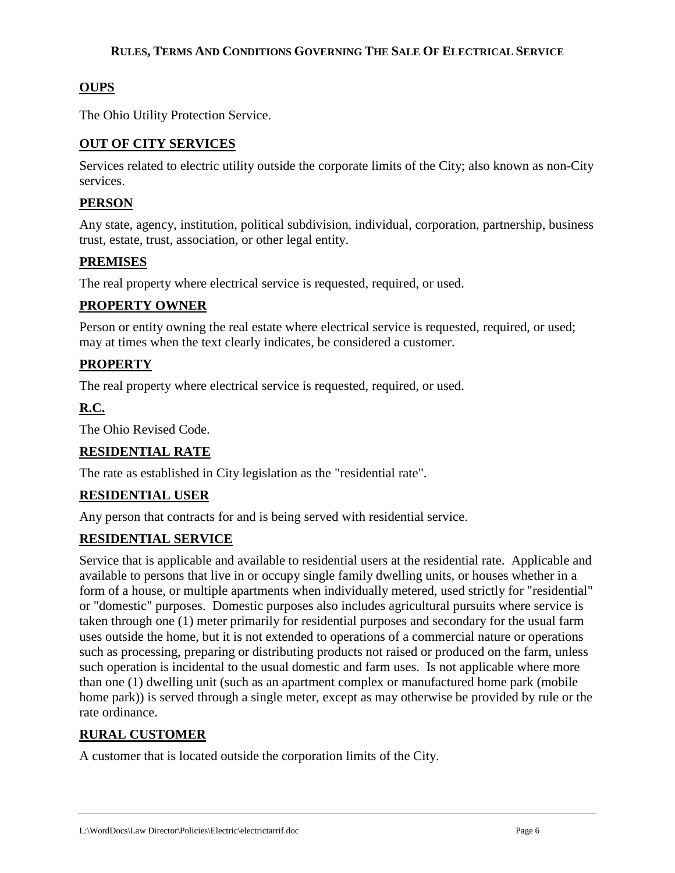## **OUPS**

The Ohio Utility Protection Service.

## **OUT OF CITY SERVICES**

Services related to electric utility outside the corporate limits of the City; also known as non-City services.

## **PERSON**

Any state, agency, institution, political subdivision, individual, corporation, partnership, business trust, estate, trust, association, or other legal entity.

## **PREMISES**

The real property where electrical service is requested, required, or used.

## **PROPERTY OWNER**

Person or entity owning the real estate where electrical service is requested, required, or used; may at times when the text clearly indicates, be considered a customer.

## **PROPERTY**

The real property where electrical service is requested, required, or used.

## **R.C.**

The Ohio Revised Code.

## **RESIDENTIAL RATE**

The rate as established in City legislation as the "residential rate".

## **RESIDENTIAL USER**

Any person that contracts for and is being served with residential service.

### **RESIDENTIAL SERVICE**

Service that is applicable and available to residential users at the residential rate. Applicable and available to persons that live in or occupy single family dwelling units, or houses whether in a form of a house, or multiple apartments when individually metered, used strictly for "residential" or "domestic" purposes. Domestic purposes also includes agricultural pursuits where service is taken through one (1) meter primarily for residential purposes and secondary for the usual farm uses outside the home, but it is not extended to operations of a commercial nature or operations such as processing, preparing or distributing products not raised or produced on the farm, unless such operation is incidental to the usual domestic and farm uses. Is not applicable where more than one (1) dwelling unit (such as an apartment complex or manufactured home park (mobile home park)) is served through a single meter, except as may otherwise be provided by rule or the rate ordinance.

## **RURAL CUSTOMER**

A customer that is located outside the corporation limits of the City.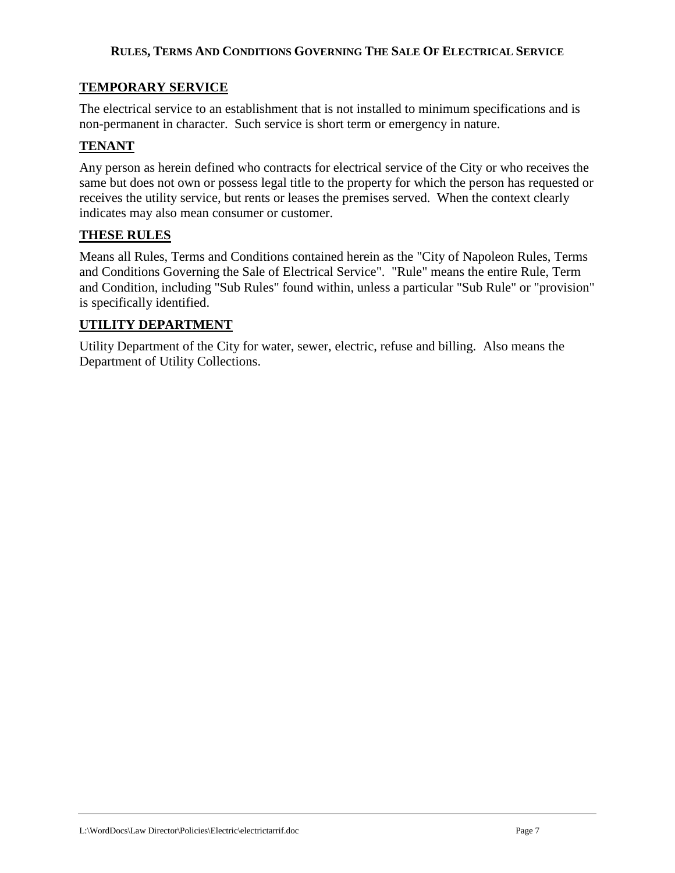## **TEMPORARY SERVICE**

The electrical service to an establishment that is not installed to minimum specifications and is non-permanent in character. Such service is short term or emergency in nature.

## **TENANT**

Any person as herein defined who contracts for electrical service of the City or who receives the same but does not own or possess legal title to the property for which the person has requested or receives the utility service, but rents or leases the premises served. When the context clearly indicates may also mean consumer or customer.

### **THESE RULES**

Means all Rules, Terms and Conditions contained herein as the "City of Napoleon Rules, Terms and Conditions Governing the Sale of Electrical Service". "Rule" means the entire Rule, Term and Condition, including "Sub Rules" found within, unless a particular "Sub Rule" or "provision" is specifically identified.

## **UTILITY DEPARTMENT**

Utility Department of the City for water, sewer, electric, refuse and billing. Also means the Department of Utility Collections.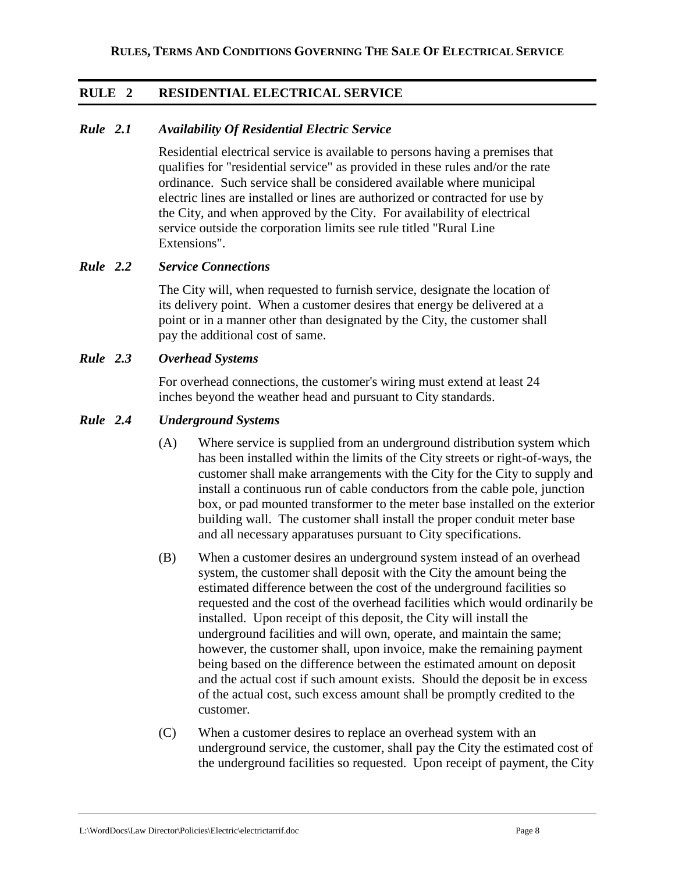## **RULE 2 RESIDENTIAL ELECTRICAL SERVICE**

## *Rule 2.1 Availability Of Residential Electric Service*

Residential electrical service is available to persons having a premises that qualifies for "residential service" as provided in these rules and/or the rate ordinance. Such service shall be considered available where municipal electric lines are installed or lines are authorized or contracted for use by the City, and when approved by the City. For availability of electrical service outside the corporation limits see rule titled "Rural Line Extensions".

### *Rule 2.2 Service Connections*

The City will, when requested to furnish service, designate the location of its delivery point. When a customer desires that energy be delivered at a point or in a manner other than designated by the City, the customer shall pay the additional cost of same.

### *Rule 2.3 Overhead Systems*

For overhead connections, the customer's wiring must extend at least 24 inches beyond the weather head and pursuant to City standards.

### *Rule 2.4 Underground Systems*

- (A) Where service is supplied from an underground distribution system which has been installed within the limits of the City streets or right-of-ways, the customer shall make arrangements with the City for the City to supply and install a continuous run of cable conductors from the cable pole, junction box, or pad mounted transformer to the meter base installed on the exterior building wall. The customer shall install the proper conduit meter base and all necessary apparatuses pursuant to City specifications.
- (B) When a customer desires an underground system instead of an overhead system, the customer shall deposit with the City the amount being the estimated difference between the cost of the underground facilities so requested and the cost of the overhead facilities which would ordinarily be installed. Upon receipt of this deposit, the City will install the underground facilities and will own, operate, and maintain the same; however, the customer shall, upon invoice, make the remaining payment being based on the difference between the estimated amount on deposit and the actual cost if such amount exists. Should the deposit be in excess of the actual cost, such excess amount shall be promptly credited to the customer.
- (C) When a customer desires to replace an overhead system with an underground service, the customer, shall pay the City the estimated cost of the underground facilities so requested. Upon receipt of payment, the City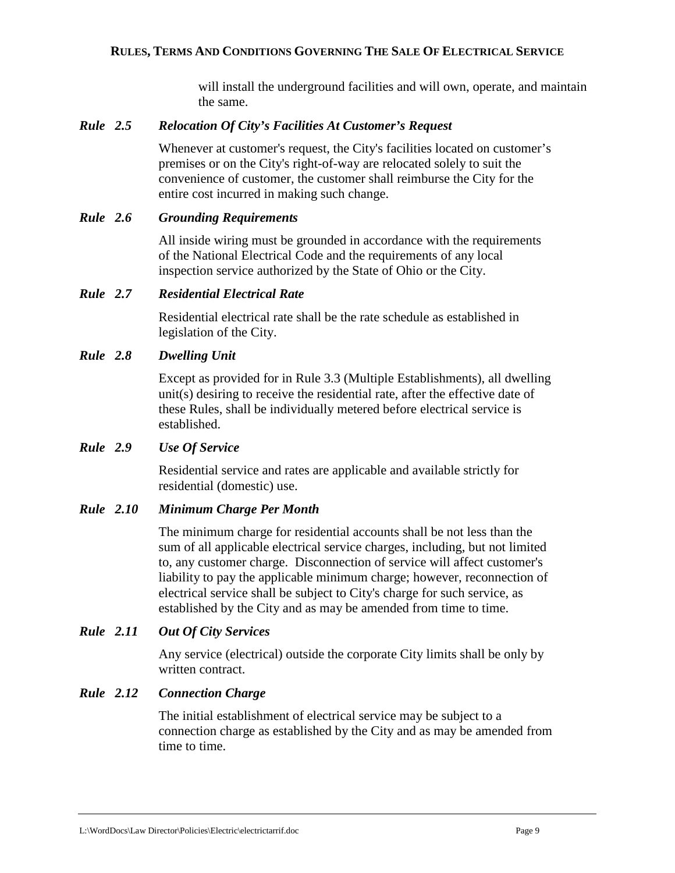will install the underground facilities and will own, operate, and maintain the same.

#### *Rule 2.5 Relocation Of City's Facilities At Customer's Request*

Whenever at customer's request, the City's facilities located on customer's premises or on the City's right-of-way are relocated solely to suit the convenience of customer, the customer shall reimburse the City for the entire cost incurred in making such change.

#### *Rule 2.6 Grounding Requirements*

All inside wiring must be grounded in accordance with the requirements of the National Electrical Code and the requirements of any local inspection service authorized by the State of Ohio or the City.

#### *Rule 2.7 Residential Electrical Rate*

Residential electrical rate shall be the rate schedule as established in legislation of the City.

### *Rule 2.8 Dwelling Unit*

Except as provided for in Rule 3.3 (Multiple Establishments), all dwelling unit(s) desiring to receive the residential rate, after the effective date of these Rules, shall be individually metered before electrical service is established.

#### *Rule 2.9 Use Of Service*

Residential service and rates are applicable and available strictly for residential (domestic) use.

### *Rule 2.10 Minimum Charge Per Month*

The minimum charge for residential accounts shall be not less than the sum of all applicable electrical service charges, including, but not limited to, any customer charge. Disconnection of service will affect customer's liability to pay the applicable minimum charge; however, reconnection of electrical service shall be subject to City's charge for such service, as established by the City and as may be amended from time to time.

## *Rule 2.11 Out Of City Services*

Any service (electrical) outside the corporate City limits shall be only by written contract.

### *Rule 2.12 Connection Charge*

The initial establishment of electrical service may be subject to a connection charge as established by the City and as may be amended from time to time.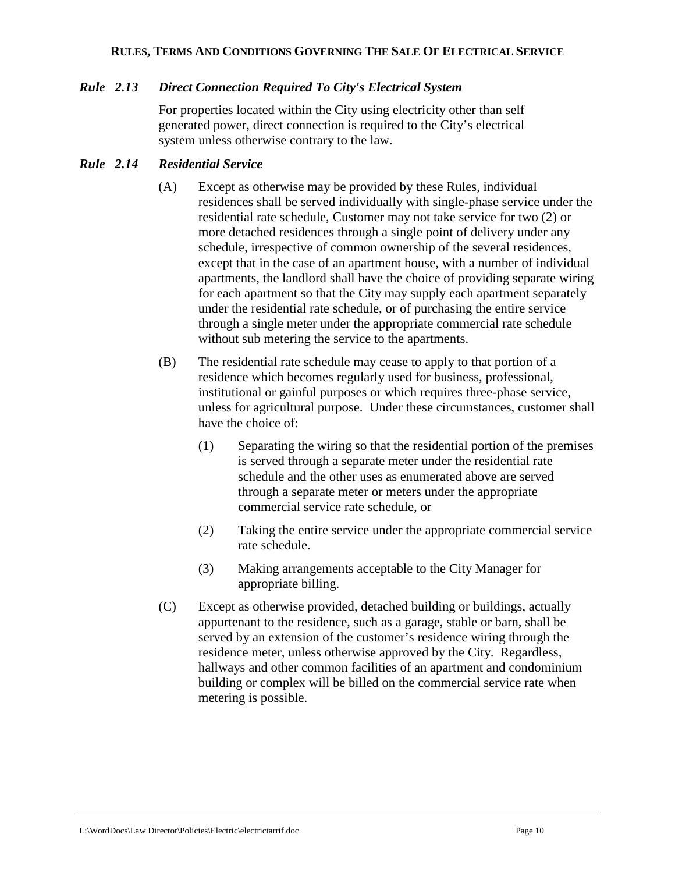## *Rule 2.13 Direct Connection Required To City's Electrical System*

For properties located within the City using electricity other than self generated power, direct connection is required to the City's electrical system unless otherwise contrary to the law.

## *Rule 2.14 Residential Service*

- (A) Except as otherwise may be provided by these Rules, individual residences shall be served individually with single-phase service under the residential rate schedule, Customer may not take service for two (2) or more detached residences through a single point of delivery under any schedule, irrespective of common ownership of the several residences, except that in the case of an apartment house, with a number of individual apartments, the landlord shall have the choice of providing separate wiring for each apartment so that the City may supply each apartment separately under the residential rate schedule, or of purchasing the entire service through a single meter under the appropriate commercial rate schedule without sub metering the service to the apartments.
- (B) The residential rate schedule may cease to apply to that portion of a residence which becomes regularly used for business, professional, institutional or gainful purposes or which requires three-phase service, unless for agricultural purpose. Under these circumstances, customer shall have the choice of:
	- (1) Separating the wiring so that the residential portion of the premises is served through a separate meter under the residential rate schedule and the other uses as enumerated above are served through a separate meter or meters under the appropriate commercial service rate schedule, or
	- (2) Taking the entire service under the appropriate commercial service rate schedule.
	- (3) Making arrangements acceptable to the City Manager for appropriate billing.
- (C) Except as otherwise provided, detached building or buildings, actually appurtenant to the residence, such as a garage, stable or barn, shall be served by an extension of the customer's residence wiring through the residence meter, unless otherwise approved by the City. Regardless, hallways and other common facilities of an apartment and condominium building or complex will be billed on the commercial service rate when metering is possible.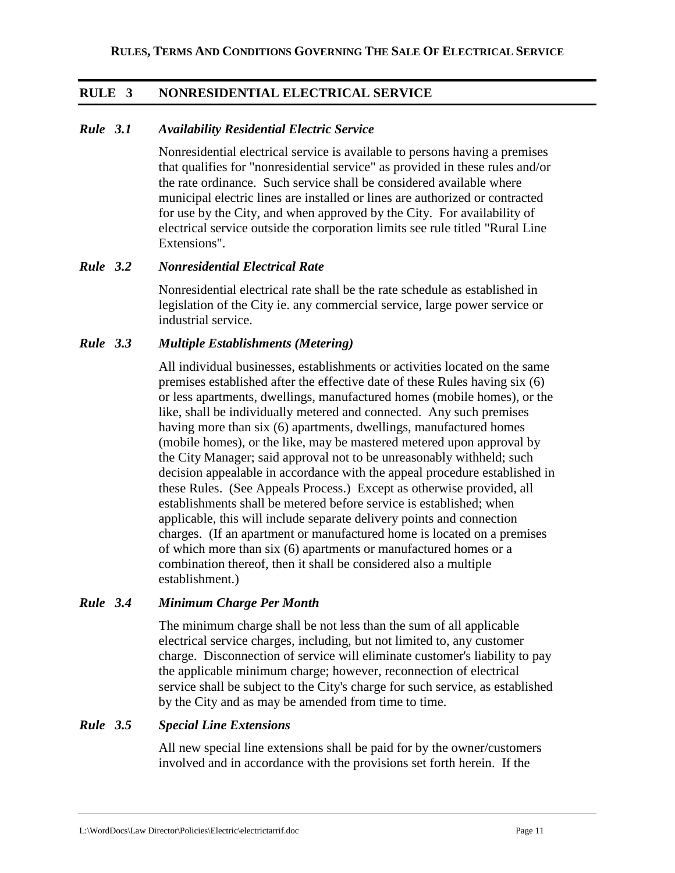## **RULE 3 NONRESIDENTIAL ELECTRICAL SERVICE**

### *Rule 3.1 Availability Residential Electric Service*

Nonresidential electrical service is available to persons having a premises that qualifies for "nonresidential service" as provided in these rules and/or the rate ordinance. Such service shall be considered available where municipal electric lines are installed or lines are authorized or contracted for use by the City, and when approved by the City. For availability of electrical service outside the corporation limits see rule titled "Rural Line Extensions".

### *Rule 3.2 Nonresidential Electrical Rate*

Nonresidential electrical rate shall be the rate schedule as established in legislation of the City ie. any commercial service, large power service or industrial service.

## *Rule 3.3 Multiple Establishments (Metering)*

All individual businesses, establishments or activities located on the same premises established after the effective date of these Rules having six (6) or less apartments, dwellings, manufactured homes (mobile homes), or the like, shall be individually metered and connected. Any such premises having more than six (6) apartments, dwellings, manufactured homes (mobile homes), or the like, may be mastered metered upon approval by the City Manager; said approval not to be unreasonably withheld; such decision appealable in accordance with the appeal procedure established in these Rules. (See Appeals Process.) Except as otherwise provided, all establishments shall be metered before service is established; when applicable, this will include separate delivery points and connection charges. (If an apartment or manufactured home is located on a premises of which more than six (6) apartments or manufactured homes or a combination thereof, then it shall be considered also a multiple establishment.)

## *Rule 3.4 Minimum Charge Per Month*

The minimum charge shall be not less than the sum of all applicable electrical service charges, including, but not limited to, any customer charge. Disconnection of service will eliminate customer's liability to pay the applicable minimum charge; however, reconnection of electrical service shall be subject to the City's charge for such service, as established by the City and as may be amended from time to time.

### *Rule 3.5 Special Line Extensions*

All new special line extensions shall be paid for by the owner/customers involved and in accordance with the provisions set forth herein. If the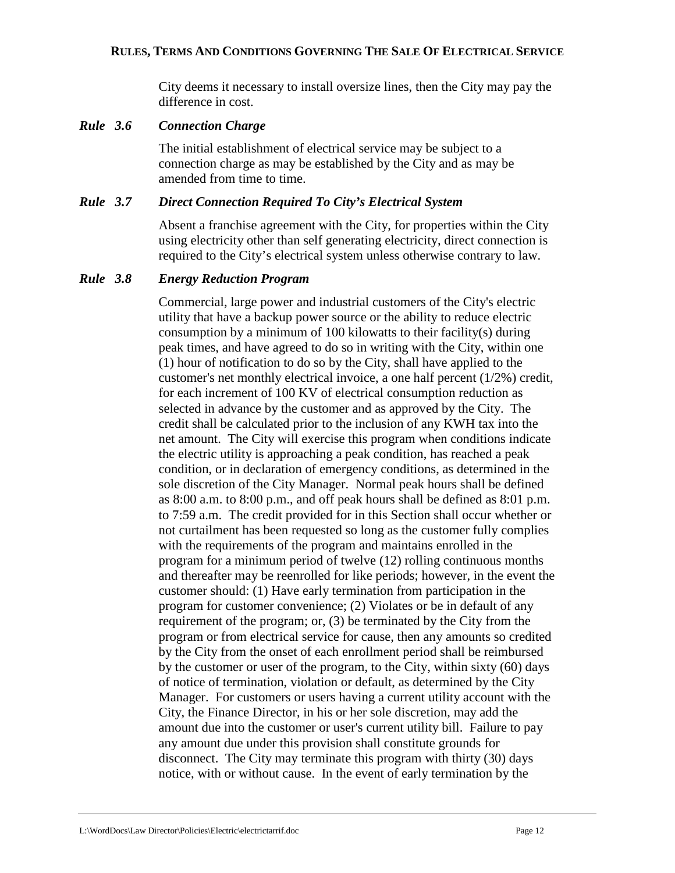City deems it necessary to install oversize lines, then the City may pay the difference in cost.

#### *Rule 3.6 Connection Charge*

The initial establishment of electrical service may be subject to a connection charge as may be established by the City and as may be amended from time to time.

#### *Rule 3.7 Direct Connection Required To City's Electrical System*

Absent a franchise agreement with the City, for properties within the City using electricity other than self generating electricity, direct connection is required to the City's electrical system unless otherwise contrary to law.

#### *Rule 3.8 Energy Reduction Program*

Commercial, large power and industrial customers of the City's electric utility that have a backup power source or the ability to reduce electric consumption by a minimum of 100 kilowatts to their facility(s) during peak times, and have agreed to do so in writing with the City, within one (1) hour of notification to do so by the City, shall have applied to the customer's net monthly electrical invoice, a one half percent (1/2%) credit, for each increment of 100 KV of electrical consumption reduction as selected in advance by the customer and as approved by the City. The credit shall be calculated prior to the inclusion of any KWH tax into the net amount. The City will exercise this program when conditions indicate the electric utility is approaching a peak condition, has reached a peak condition, or in declaration of emergency conditions, as determined in the sole discretion of the City Manager. Normal peak hours shall be defined as 8:00 a.m. to 8:00 p.m., and off peak hours shall be defined as 8:01 p.m. to 7:59 a.m. The credit provided for in this Section shall occur whether or not curtailment has been requested so long as the customer fully complies with the requirements of the program and maintains enrolled in the program for a minimum period of twelve (12) rolling continuous months and thereafter may be reenrolled for like periods; however, in the event the customer should: (1) Have early termination from participation in the program for customer convenience; (2) Violates or be in default of any requirement of the program; or, (3) be terminated by the City from the program or from electrical service for cause, then any amounts so credited by the City from the onset of each enrollment period shall be reimbursed by the customer or user of the program, to the City, within sixty (60) days of notice of termination, violation or default, as determined by the City Manager. For customers or users having a current utility account with the City, the Finance Director, in his or her sole discretion, may add the amount due into the customer or user's current utility bill. Failure to pay any amount due under this provision shall constitute grounds for disconnect. The City may terminate this program with thirty (30) days notice, with or without cause. In the event of early termination by the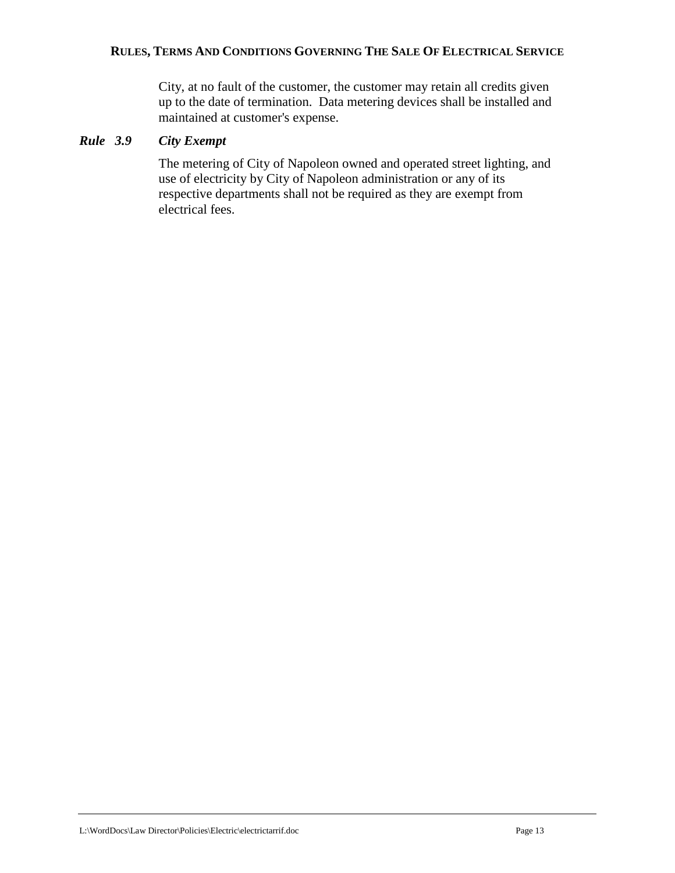City, at no fault of the customer, the customer may retain all credits given up to the date of termination. Data metering devices shall be installed and maintained at customer's expense.

## *Rule 3.9 City Exempt*

The metering of City of Napoleon owned and operated street lighting, and use of electricity by City of Napoleon administration or any of its respective departments shall not be required as they are exempt from electrical fees.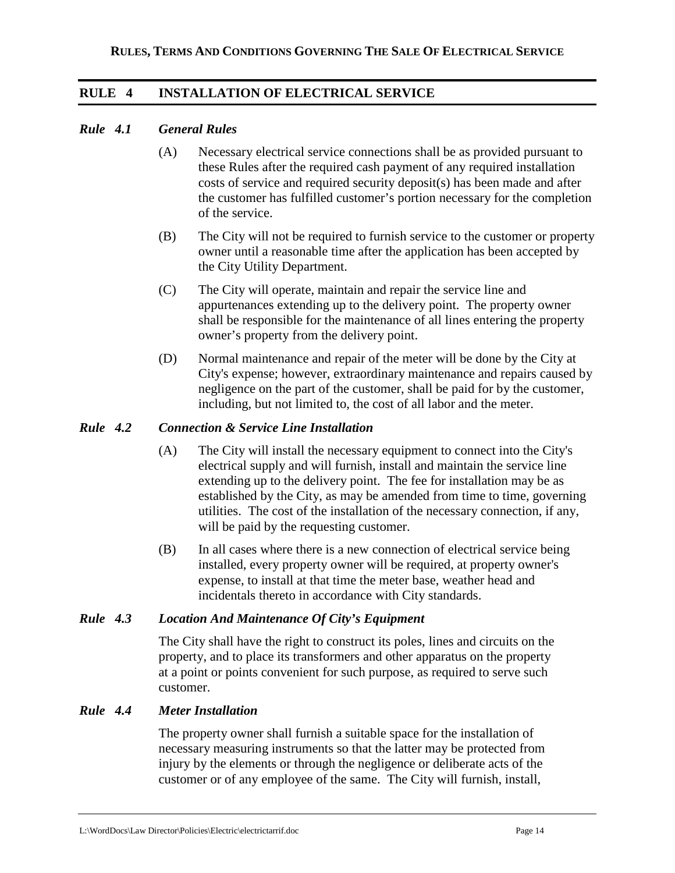## **RULE 4 INSTALLATION OF ELECTRICAL SERVICE**

#### *Rule 4.1 General Rules*

- (A) Necessary electrical service connections shall be as provided pursuant to these Rules after the required cash payment of any required installation costs of service and required security deposit(s) has been made and after the customer has fulfilled customer's portion necessary for the completion of the service.
- (B) The City will not be required to furnish service to the customer or property owner until a reasonable time after the application has been accepted by the City Utility Department.
- (C) The City will operate, maintain and repair the service line and appurtenances extending up to the delivery point. The property owner shall be responsible for the maintenance of all lines entering the property owner's property from the delivery point.
- (D) Normal maintenance and repair of the meter will be done by the City at City's expense; however, extraordinary maintenance and repairs caused by negligence on the part of the customer, shall be paid for by the customer, including, but not limited to, the cost of all labor and the meter.

#### *Rule 4.2 Connection & Service Line Installation*

- (A) The City will install the necessary equipment to connect into the City's electrical supply and will furnish, install and maintain the service line extending up to the delivery point. The fee for installation may be as established by the City, as may be amended from time to time, governing utilities. The cost of the installation of the necessary connection, if any, will be paid by the requesting customer.
- (B) In all cases where there is a new connection of electrical service being installed, every property owner will be required, at property owner's expense, to install at that time the meter base, weather head and incidentals thereto in accordance with City standards.

#### *Rule 4.3 Location And Maintenance Of City's Equipment*

The City shall have the right to construct its poles, lines and circuits on the property, and to place its transformers and other apparatus on the property at a point or points convenient for such purpose, as required to serve such customer.

#### *Rule 4.4 Meter Installation*

The property owner shall furnish a suitable space for the installation of necessary measuring instruments so that the latter may be protected from injury by the elements or through the negligence or deliberate acts of the customer or of any employee of the same. The City will furnish, install,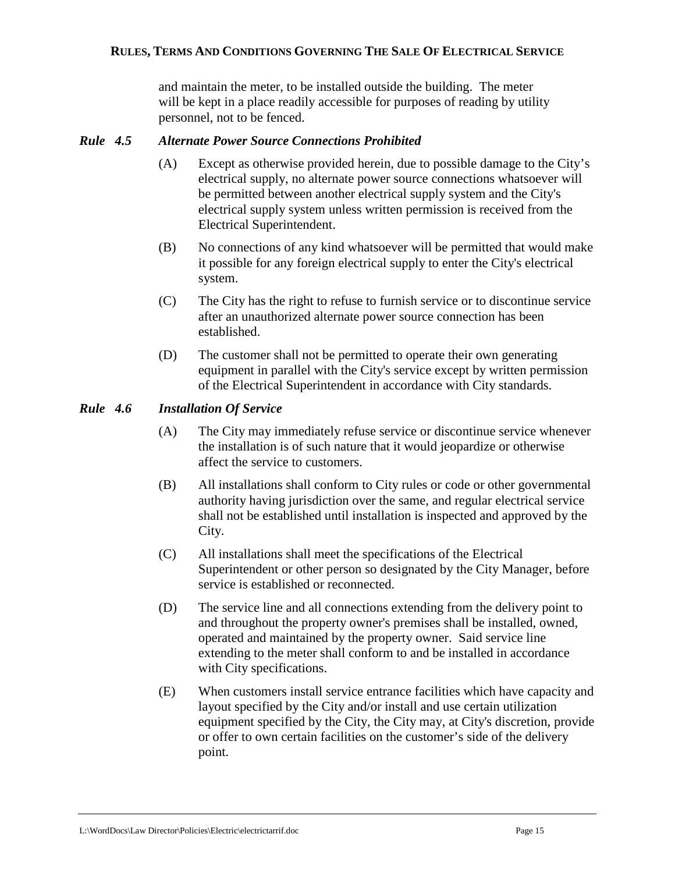and maintain the meter, to be installed outside the building. The meter will be kept in a place readily accessible for purposes of reading by utility personnel, not to be fenced.

## *Rule 4.5 Alternate Power Source Connections Prohibited*

- (A) Except as otherwise provided herein, due to possible damage to the City's electrical supply, no alternate power source connections whatsoever will be permitted between another electrical supply system and the City's electrical supply system unless written permission is received from the Electrical Superintendent.
- (B) No connections of any kind whatsoever will be permitted that would make it possible for any foreign electrical supply to enter the City's electrical system.
- (C) The City has the right to refuse to furnish service or to discontinue service after an unauthorized alternate power source connection has been established.
- (D) The customer shall not be permitted to operate their own generating equipment in parallel with the City's service except by written permission of the Electrical Superintendent in accordance with City standards.

## *Rule 4.6 Installation Of Service*

- (A) The City may immediately refuse service or discontinue service whenever the installation is of such nature that it would jeopardize or otherwise affect the service to customers.
- (B) All installations shall conform to City rules or code or other governmental authority having jurisdiction over the same, and regular electrical service shall not be established until installation is inspected and approved by the City.
- (C) All installations shall meet the specifications of the Electrical Superintendent or other person so designated by the City Manager, before service is established or reconnected.
- (D) The service line and all connections extending from the delivery point to and throughout the property owner's premises shall be installed, owned, operated and maintained by the property owner. Said service line extending to the meter shall conform to and be installed in accordance with City specifications.
- (E) When customers install service entrance facilities which have capacity and layout specified by the City and/or install and use certain utilization equipment specified by the City, the City may, at City's discretion, provide or offer to own certain facilities on the customer's side of the delivery point.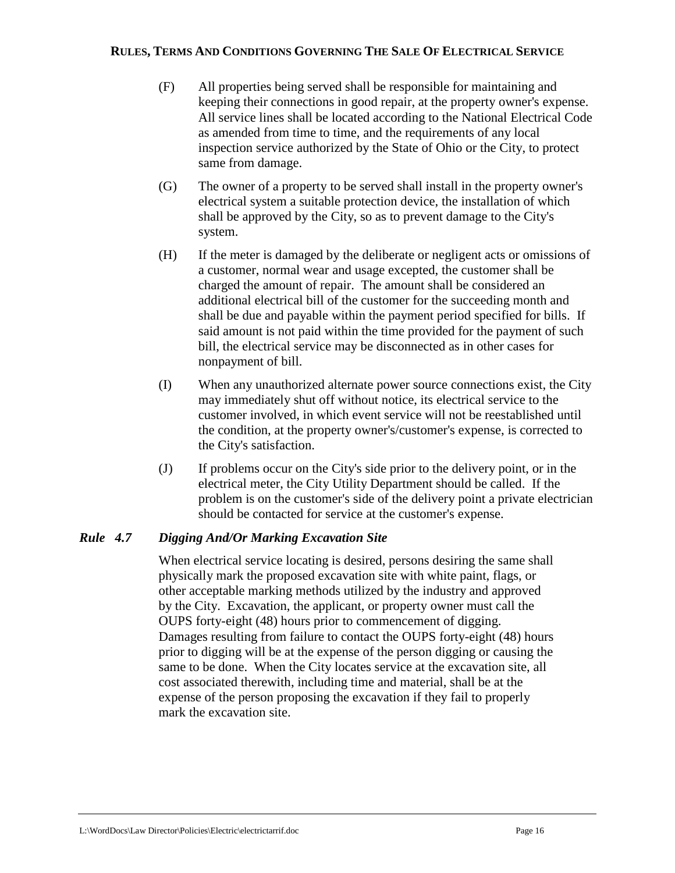- (F) All properties being served shall be responsible for maintaining and keeping their connections in good repair, at the property owner's expense. All service lines shall be located according to the National Electrical Code as amended from time to time, and the requirements of any local inspection service authorized by the State of Ohio or the City, to protect same from damage.
- (G) The owner of a property to be served shall install in the property owner's electrical system a suitable protection device, the installation of which shall be approved by the City, so as to prevent damage to the City's system.
- (H) If the meter is damaged by the deliberate or negligent acts or omissions of a customer, normal wear and usage excepted, the customer shall be charged the amount of repair. The amount shall be considered an additional electrical bill of the customer for the succeeding month and shall be due and payable within the payment period specified for bills. If said amount is not paid within the time provided for the payment of such bill, the electrical service may be disconnected as in other cases for nonpayment of bill.
- (I) When any unauthorized alternate power source connections exist, the City may immediately shut off without notice, its electrical service to the customer involved, in which event service will not be reestablished until the condition, at the property owner's/customer's expense, is corrected to the City's satisfaction.
- (J) If problems occur on the City's side prior to the delivery point, or in the electrical meter, the City Utility Department should be called. If the problem is on the customer's side of the delivery point a private electrician should be contacted for service at the customer's expense.

### *Rule 4.7 Digging And/Or Marking Excavation Site*

When electrical service locating is desired, persons desiring the same shall physically mark the proposed excavation site with white paint, flags, or other acceptable marking methods utilized by the industry and approved by the City. Excavation, the applicant, or property owner must call the OUPS forty-eight (48) hours prior to commencement of digging. Damages resulting from failure to contact the OUPS forty-eight (48) hours prior to digging will be at the expense of the person digging or causing the same to be done. When the City locates service at the excavation site, all cost associated therewith, including time and material, shall be at the expense of the person proposing the excavation if they fail to properly mark the excavation site.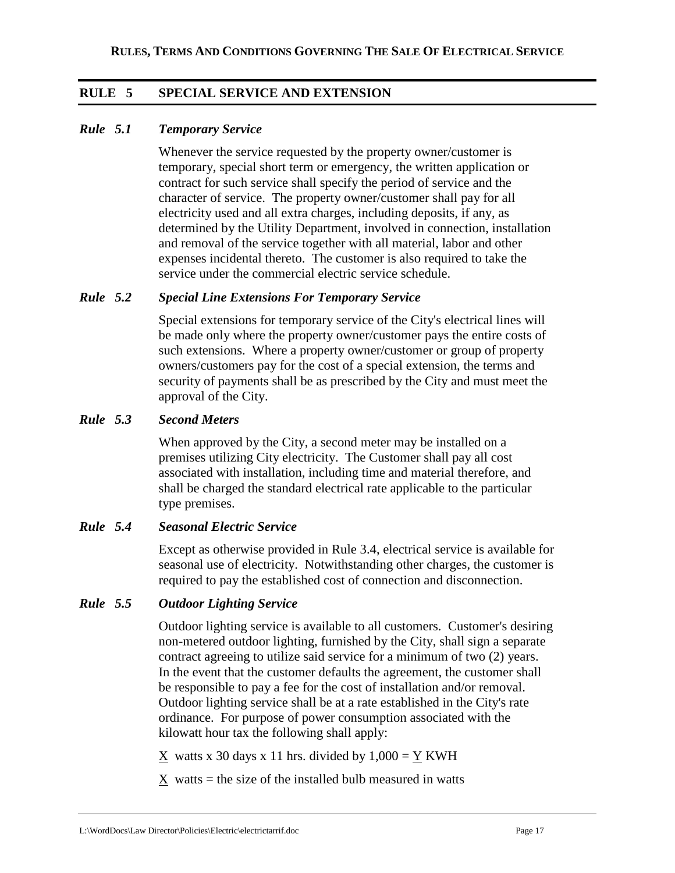## **RULE 5 SPECIAL SERVICE AND EXTENSION**

## *Rule 5.1 Temporary Service*

Whenever the service requested by the property owner/customer is temporary, special short term or emergency, the written application or contract for such service shall specify the period of service and the character of service. The property owner/customer shall pay for all electricity used and all extra charges, including deposits, if any, as determined by the Utility Department, involved in connection, installation and removal of the service together with all material, labor and other expenses incidental thereto. The customer is also required to take the service under the commercial electric service schedule.

## *Rule 5.2 Special Line Extensions For Temporary Service*

Special extensions for temporary service of the City's electrical lines will be made only where the property owner/customer pays the entire costs of such extensions. Where a property owner/customer or group of property owners/customers pay for the cost of a special extension, the terms and security of payments shall be as prescribed by the City and must meet the approval of the City.

### *Rule 5.3 Second Meters*

When approved by the City, a second meter may be installed on a premises utilizing City electricity. The Customer shall pay all cost associated with installation, including time and material therefore, and shall be charged the standard electrical rate applicable to the particular type premises.

### *Rule 5.4 Seasonal Electric Service*

Except as otherwise provided in Rule 3.4, electrical service is available for seasonal use of electricity. Notwithstanding other charges, the customer is required to pay the established cost of connection and disconnection.

### *Rule 5.5 Outdoor Lighting Service*

Outdoor lighting service is available to all customers. Customer's desiring non-metered outdoor lighting, furnished by the City, shall sign a separate contract agreeing to utilize said service for a minimum of two (2) years. In the event that the customer defaults the agreement, the customer shall be responsible to pay a fee for the cost of installation and/or removal. Outdoor lighting service shall be at a rate established in the City's rate ordinance. For purpose of power consumption associated with the kilowatt hour tax the following shall apply:

 $X$  watts x 30 days x 11 hrs. divided by  $1,000 = Y$  KWH

 $X$  watts = the size of the installed bulb measured in watts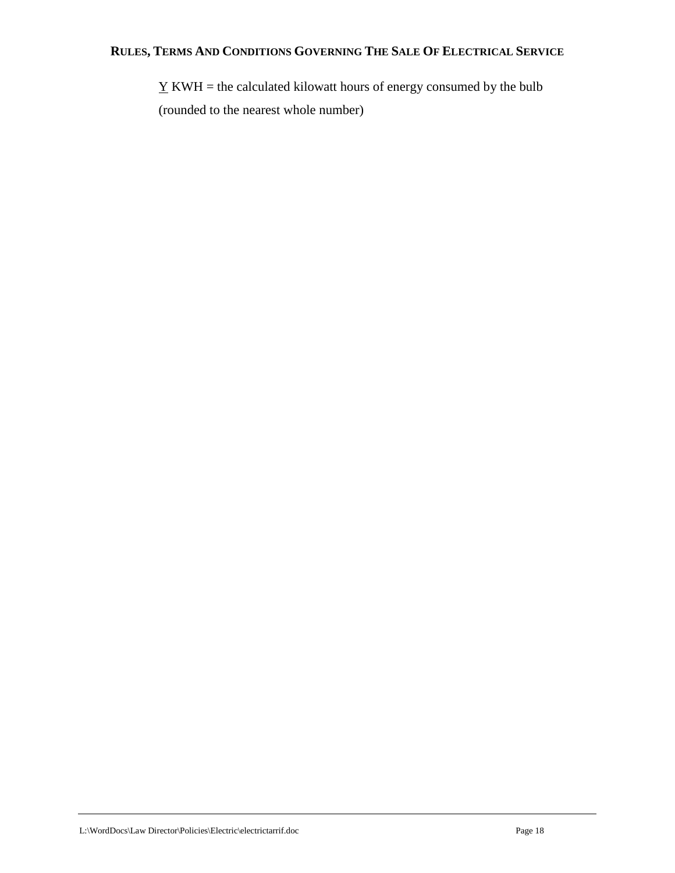$\underline{Y}$  KWH = the calculated kilowatt hours of energy consumed by the bulb (rounded to the nearest whole number)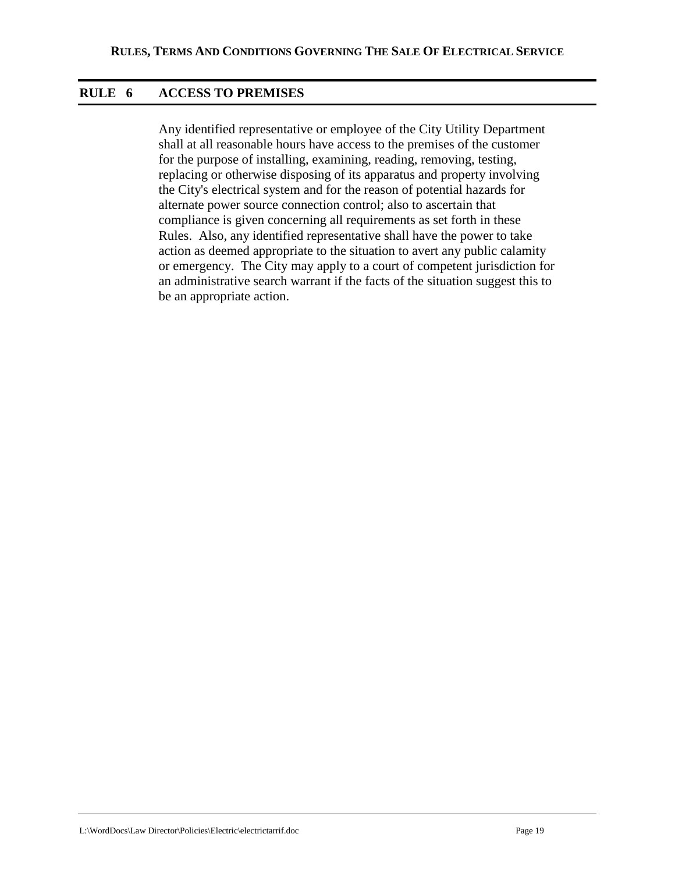## **RULE 6 ACCESS TO PREMISES**

Any identified representative or employee of the City Utility Department shall at all reasonable hours have access to the premises of the customer for the purpose of installing, examining, reading, removing, testing, replacing or otherwise disposing of its apparatus and property involving the City's electrical system and for the reason of potential hazards for alternate power source connection control; also to ascertain that compliance is given concerning all requirements as set forth in these Rules. Also, any identified representative shall have the power to take action as deemed appropriate to the situation to avert any public calamity or emergency. The City may apply to a court of competent jurisdiction for an administrative search warrant if the facts of the situation suggest this to be an appropriate action.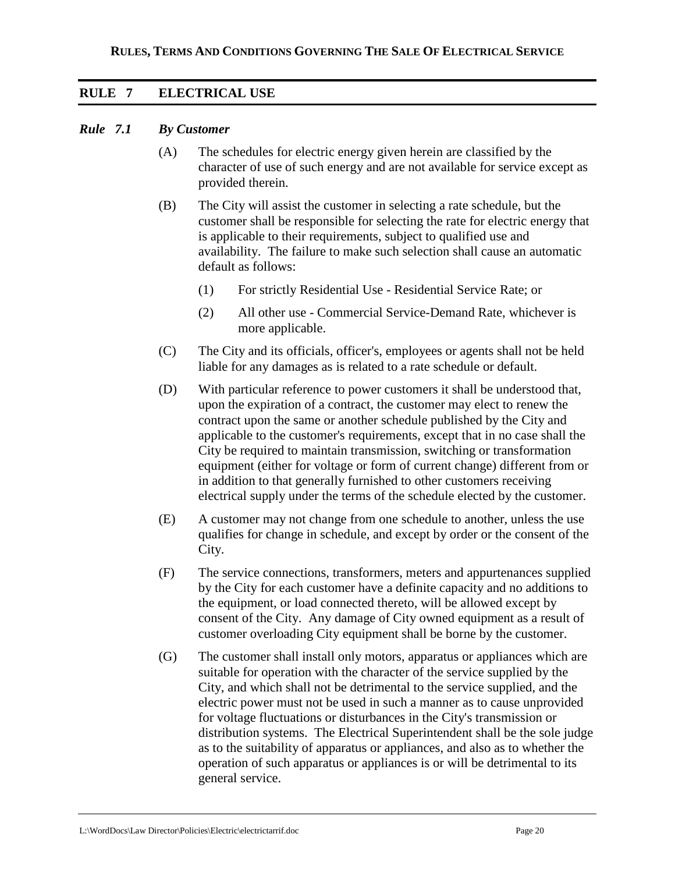## **RULE 7 ELECTRICAL USE**

#### *Rule 7.1 By Customer*

- (A) The schedules for electric energy given herein are classified by the character of use of such energy and are not available for service except as provided therein.
- (B) The City will assist the customer in selecting a rate schedule, but the customer shall be responsible for selecting the rate for electric energy that is applicable to their requirements, subject to qualified use and availability. The failure to make such selection shall cause an automatic default as follows:
	- (1) For strictly Residential Use Residential Service Rate; or
	- (2) All other use Commercial Service-Demand Rate, whichever is more applicable.
- (C) The City and its officials, officer's, employees or agents shall not be held liable for any damages as is related to a rate schedule or default.
- (D) With particular reference to power customers it shall be understood that, upon the expiration of a contract, the customer may elect to renew the contract upon the same or another schedule published by the City and applicable to the customer's requirements, except that in no case shall the City be required to maintain transmission, switching or transformation equipment (either for voltage or form of current change) different from or in addition to that generally furnished to other customers receiving electrical supply under the terms of the schedule elected by the customer.
- (E) A customer may not change from one schedule to another, unless the use qualifies for change in schedule, and except by order or the consent of the City.
- (F) The service connections, transformers, meters and appurtenances supplied by the City for each customer have a definite capacity and no additions to the equipment, or load connected thereto, will be allowed except by consent of the City. Any damage of City owned equipment as a result of customer overloading City equipment shall be borne by the customer.
- (G) The customer shall install only motors, apparatus or appliances which are suitable for operation with the character of the service supplied by the City, and which shall not be detrimental to the service supplied, and the electric power must not be used in such a manner as to cause unprovided for voltage fluctuations or disturbances in the City's transmission or distribution systems. The Electrical Superintendent shall be the sole judge as to the suitability of apparatus or appliances, and also as to whether the operation of such apparatus or appliances is or will be detrimental to its general service.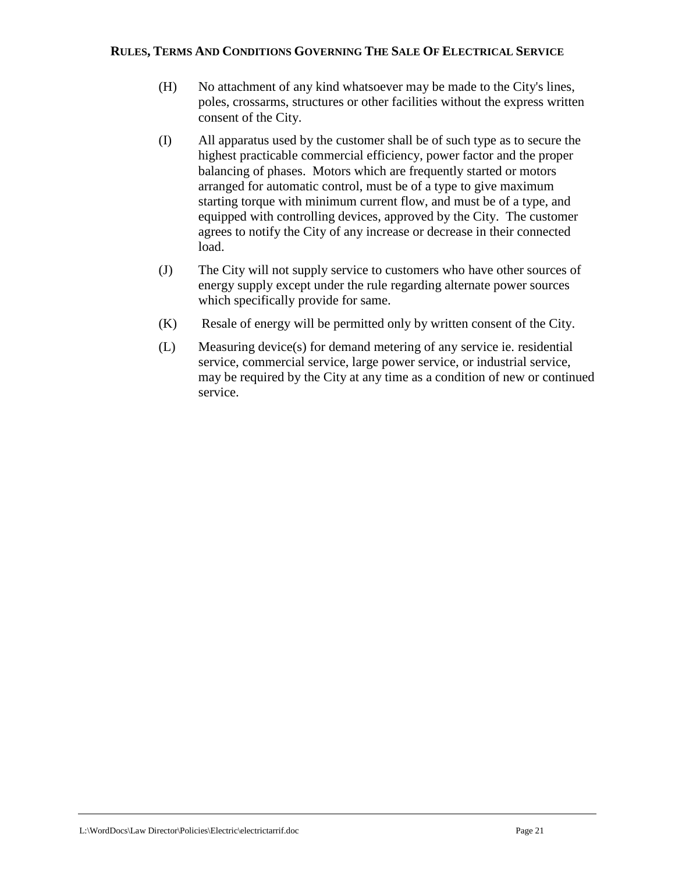- (H) No attachment of any kind whatsoever may be made to the City's lines, poles, crossarms, structures or other facilities without the express written consent of the City.
- (I) All apparatus used by the customer shall be of such type as to secure the highest practicable commercial efficiency, power factor and the proper balancing of phases. Motors which are frequently started or motors arranged for automatic control, must be of a type to give maximum starting torque with minimum current flow, and must be of a type, and equipped with controlling devices, approved by the City. The customer agrees to notify the City of any increase or decrease in their connected load.
- (J) The City will not supply service to customers who have other sources of energy supply except under the rule regarding alternate power sources which specifically provide for same.
- (K) Resale of energy will be permitted only by written consent of the City.
- (L) Measuring device(s) for demand metering of any service ie. residential service, commercial service, large power service, or industrial service, may be required by the City at any time as a condition of new or continued service.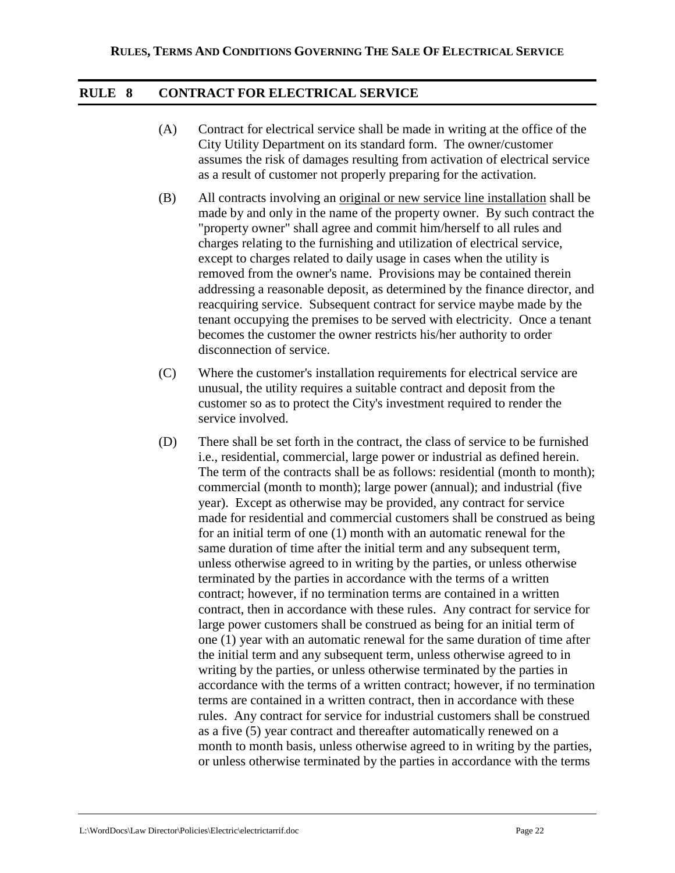## **RULE 8 CONTRACT FOR ELECTRICAL SERVICE**

- (A) Contract for electrical service shall be made in writing at the office of the City Utility Department on its standard form. The owner/customer assumes the risk of damages resulting from activation of electrical service as a result of customer not properly preparing for the activation.
- (B) All contracts involving an original or new service line installation shall be made by and only in the name of the property owner. By such contract the "property owner" shall agree and commit him/herself to all rules and charges relating to the furnishing and utilization of electrical service, except to charges related to daily usage in cases when the utility is removed from the owner's name. Provisions may be contained therein addressing a reasonable deposit, as determined by the finance director, and reacquiring service. Subsequent contract for service maybe made by the tenant occupying the premises to be served with electricity. Once a tenant becomes the customer the owner restricts his/her authority to order disconnection of service.
- (C) Where the customer's installation requirements for electrical service are unusual, the utility requires a suitable contract and deposit from the customer so as to protect the City's investment required to render the service involved.
- (D) There shall be set forth in the contract, the class of service to be furnished i.e., residential, commercial, large power or industrial as defined herein. The term of the contracts shall be as follows: residential (month to month); commercial (month to month); large power (annual); and industrial (five year). Except as otherwise may be provided, any contract for service made for residential and commercial customers shall be construed as being for an initial term of one (1) month with an automatic renewal for the same duration of time after the initial term and any subsequent term, unless otherwise agreed to in writing by the parties, or unless otherwise terminated by the parties in accordance with the terms of a written contract; however, if no termination terms are contained in a written contract, then in accordance with these rules. Any contract for service for large power customers shall be construed as being for an initial term of one (1) year with an automatic renewal for the same duration of time after the initial term and any subsequent term, unless otherwise agreed to in writing by the parties, or unless otherwise terminated by the parties in accordance with the terms of a written contract; however, if no termination terms are contained in a written contract, then in accordance with these rules. Any contract for service for industrial customers shall be construed as a five (5) year contract and thereafter automatically renewed on a month to month basis, unless otherwise agreed to in writing by the parties, or unless otherwise terminated by the parties in accordance with the terms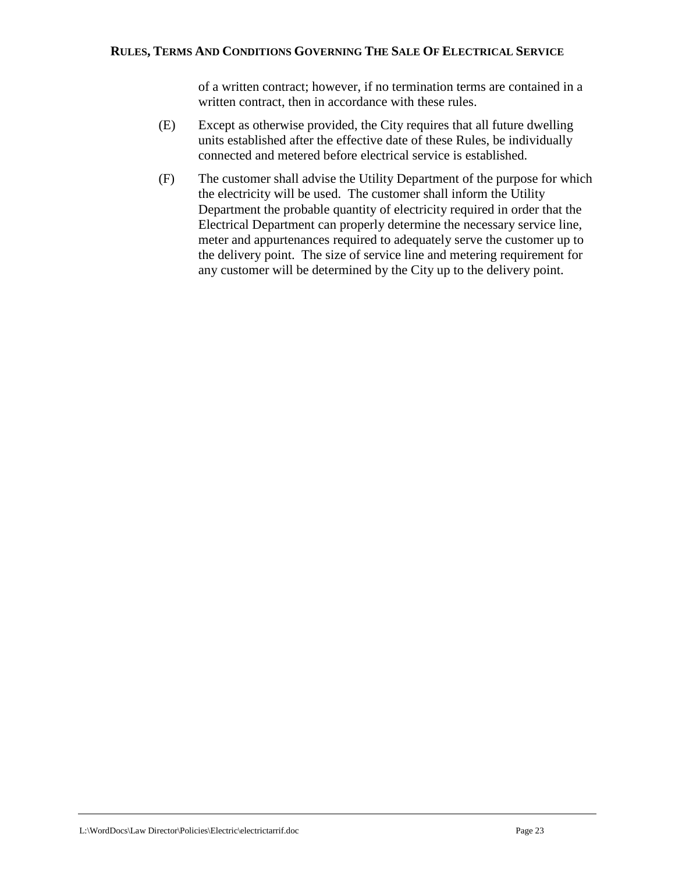of a written contract; however, if no termination terms are contained in a written contract, then in accordance with these rules.

- (E) Except as otherwise provided, the City requires that all future dwelling units established after the effective date of these Rules, be individually connected and metered before electrical service is established.
- (F) The customer shall advise the Utility Department of the purpose for which the electricity will be used. The customer shall inform the Utility Department the probable quantity of electricity required in order that the Electrical Department can properly determine the necessary service line, meter and appurtenances required to adequately serve the customer up to the delivery point. The size of service line and metering requirement for any customer will be determined by the City up to the delivery point.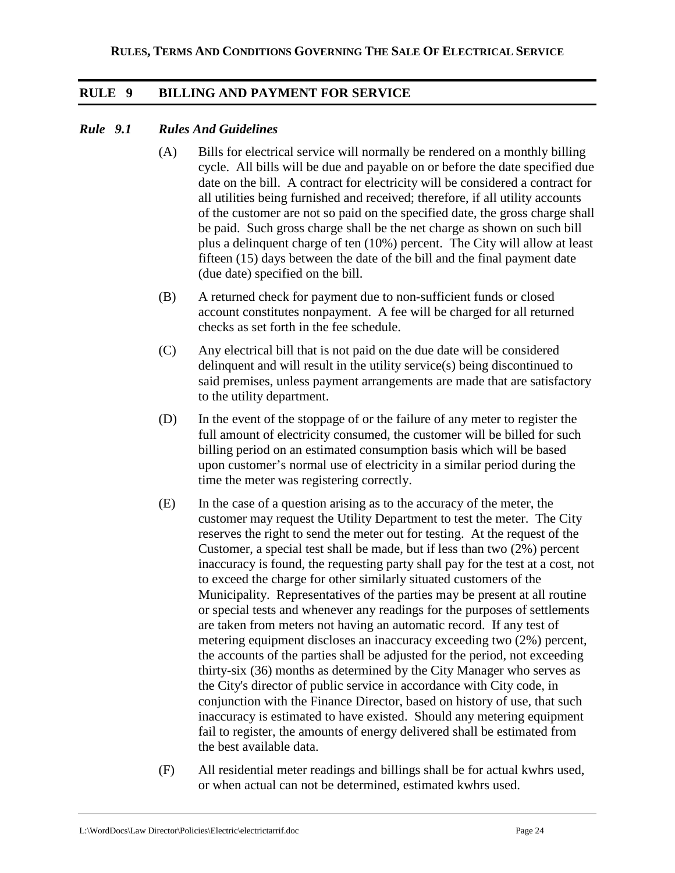## **RULE 9 BILLING AND PAYMENT FOR SERVICE**

## *Rule 9.1 Rules And Guidelines*

- (A) Bills for electrical service will normally be rendered on a monthly billing cycle. All bills will be due and payable on or before the date specified due date on the bill. A contract for electricity will be considered a contract for all utilities being furnished and received; therefore, if all utility accounts of the customer are not so paid on the specified date, the gross charge shall be paid. Such gross charge shall be the net charge as shown on such bill plus a delinquent charge of ten (10%) percent. The City will allow at least fifteen (15) days between the date of the bill and the final payment date (due date) specified on the bill.
- (B) A returned check for payment due to non-sufficient funds or closed account constitutes nonpayment. A fee will be charged for all returned checks as set forth in the fee schedule.
- (C) Any electrical bill that is not paid on the due date will be considered delinquent and will result in the utility service(s) being discontinued to said premises, unless payment arrangements are made that are satisfactory to the utility department.
- (D) In the event of the stoppage of or the failure of any meter to register the full amount of electricity consumed, the customer will be billed for such billing period on an estimated consumption basis which will be based upon customer's normal use of electricity in a similar period during the time the meter was registering correctly.
- (E) In the case of a question arising as to the accuracy of the meter, the customer may request the Utility Department to test the meter. The City reserves the right to send the meter out for testing. At the request of the Customer, a special test shall be made, but if less than two (2%) percent inaccuracy is found, the requesting party shall pay for the test at a cost, not to exceed the charge for other similarly situated customers of the Municipality. Representatives of the parties may be present at all routine or special tests and whenever any readings for the purposes of settlements are taken from meters not having an automatic record. If any test of metering equipment discloses an inaccuracy exceeding two (2%) percent, the accounts of the parties shall be adjusted for the period, not exceeding thirty-six (36) months as determined by the City Manager who serves as the City's director of public service in accordance with City code, in conjunction with the Finance Director, based on history of use, that such inaccuracy is estimated to have existed. Should any metering equipment fail to register, the amounts of energy delivered shall be estimated from the best available data.
- (F) All residential meter readings and billings shall be for actual kwhrs used, or when actual can not be determined, estimated kwhrs used.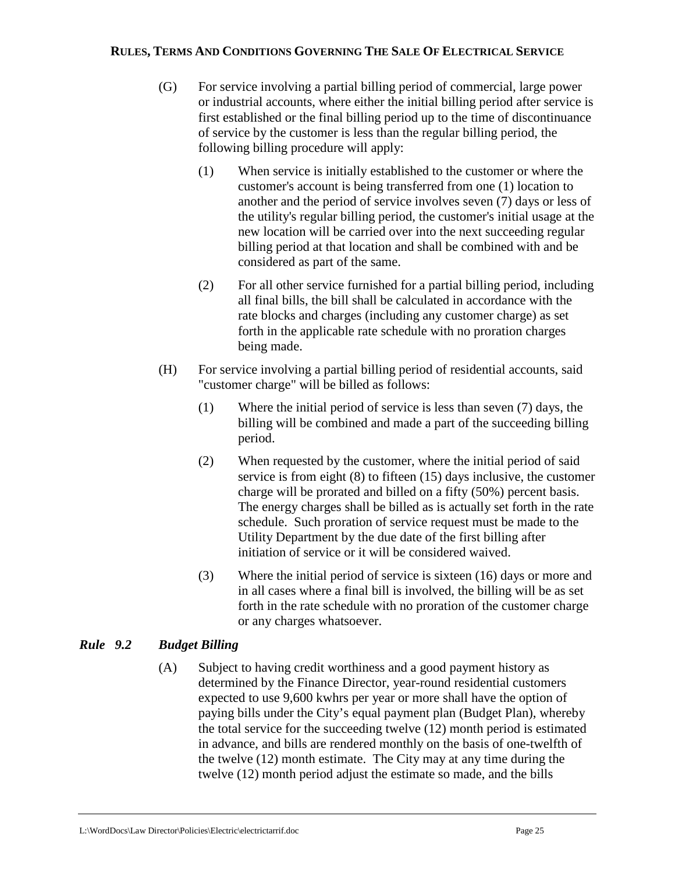- (G) For service involving a partial billing period of commercial, large power or industrial accounts, where either the initial billing period after service is first established or the final billing period up to the time of discontinuance of service by the customer is less than the regular billing period, the following billing procedure will apply:
	- (1) When service is initially established to the customer or where the customer's account is being transferred from one (1) location to another and the period of service involves seven (7) days or less of the utility's regular billing period, the customer's initial usage at the new location will be carried over into the next succeeding regular billing period at that location and shall be combined with and be considered as part of the same.
	- (2) For all other service furnished for a partial billing period, including all final bills, the bill shall be calculated in accordance with the rate blocks and charges (including any customer charge) as set forth in the applicable rate schedule with no proration charges being made.
- (H) For service involving a partial billing period of residential accounts, said "customer charge" will be billed as follows:
	- (1) Where the initial period of service is less than seven (7) days, the billing will be combined and made a part of the succeeding billing period.
	- (2) When requested by the customer, where the initial period of said service is from eight (8) to fifteen (15) days inclusive, the customer charge will be prorated and billed on a fifty (50%) percent basis. The energy charges shall be billed as is actually set forth in the rate schedule. Such proration of service request must be made to the Utility Department by the due date of the first billing after initiation of service or it will be considered waived.
	- (3) Where the initial period of service is sixteen (16) days or more and in all cases where a final bill is involved, the billing will be as set forth in the rate schedule with no proration of the customer charge or any charges whatsoever.

## *Rule 9.2 Budget Billing*

(A) Subject to having credit worthiness and a good payment history as determined by the Finance Director, year-round residential customers expected to use 9,600 kwhrs per year or more shall have the option of paying bills under the City's equal payment plan (Budget Plan), whereby the total service for the succeeding twelve (12) month period is estimated in advance, and bills are rendered monthly on the basis of one-twelfth of the twelve (12) month estimate. The City may at any time during the twelve (12) month period adjust the estimate so made, and the bills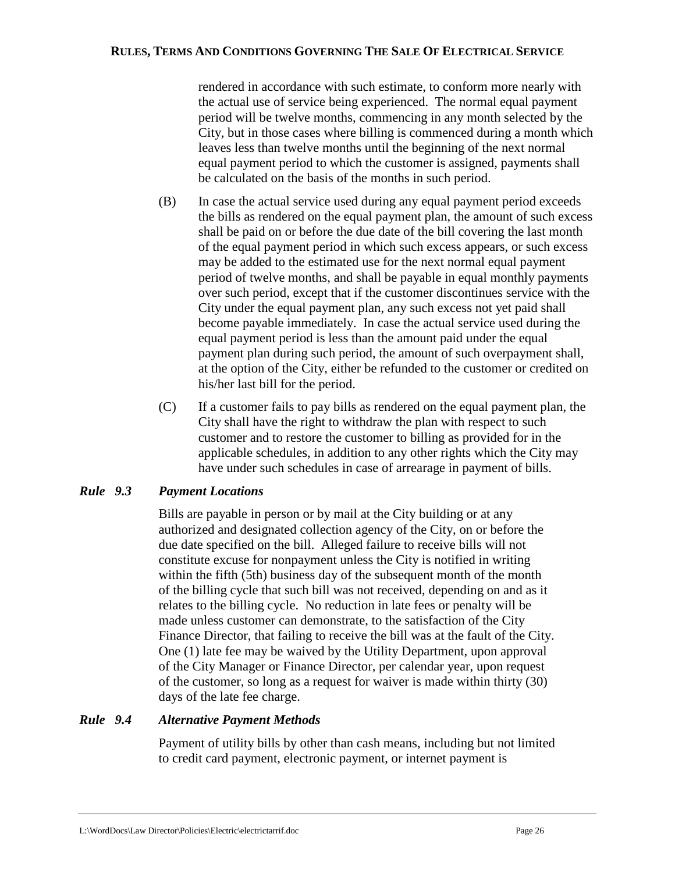rendered in accordance with such estimate, to conform more nearly with the actual use of service being experienced. The normal equal payment period will be twelve months, commencing in any month selected by the City, but in those cases where billing is commenced during a month which leaves less than twelve months until the beginning of the next normal equal payment period to which the customer is assigned, payments shall be calculated on the basis of the months in such period.

- (B) In case the actual service used during any equal payment period exceeds the bills as rendered on the equal payment plan, the amount of such excess shall be paid on or before the due date of the bill covering the last month of the equal payment period in which such excess appears, or such excess may be added to the estimated use for the next normal equal payment period of twelve months, and shall be payable in equal monthly payments over such period, except that if the customer discontinues service with the City under the equal payment plan, any such excess not yet paid shall become payable immediately. In case the actual service used during the equal payment period is less than the amount paid under the equal payment plan during such period, the amount of such overpayment shall, at the option of the City, either be refunded to the customer or credited on his/her last bill for the period.
- (C) If a customer fails to pay bills as rendered on the equal payment plan, the City shall have the right to withdraw the plan with respect to such customer and to restore the customer to billing as provided for in the applicable schedules, in addition to any other rights which the City may have under such schedules in case of arrearage in payment of bills.

## *Rule 9.3 Payment Locations*

Bills are payable in person or by mail at the City building or at any authorized and designated collection agency of the City, on or before the due date specified on the bill. Alleged failure to receive bills will not constitute excuse for nonpayment unless the City is notified in writing within the fifth (5th) business day of the subsequent month of the month of the billing cycle that such bill was not received, depending on and as it relates to the billing cycle. No reduction in late fees or penalty will be made unless customer can demonstrate, to the satisfaction of the City Finance Director, that failing to receive the bill was at the fault of the City. One (1) late fee may be waived by the Utility Department, upon approval of the City Manager or Finance Director, per calendar year, upon request of the customer, so long as a request for waiver is made within thirty (30) days of the late fee charge.

## *Rule 9.4 Alternative Payment Methods*

Payment of utility bills by other than cash means, including but not limited to credit card payment, electronic payment, or internet payment is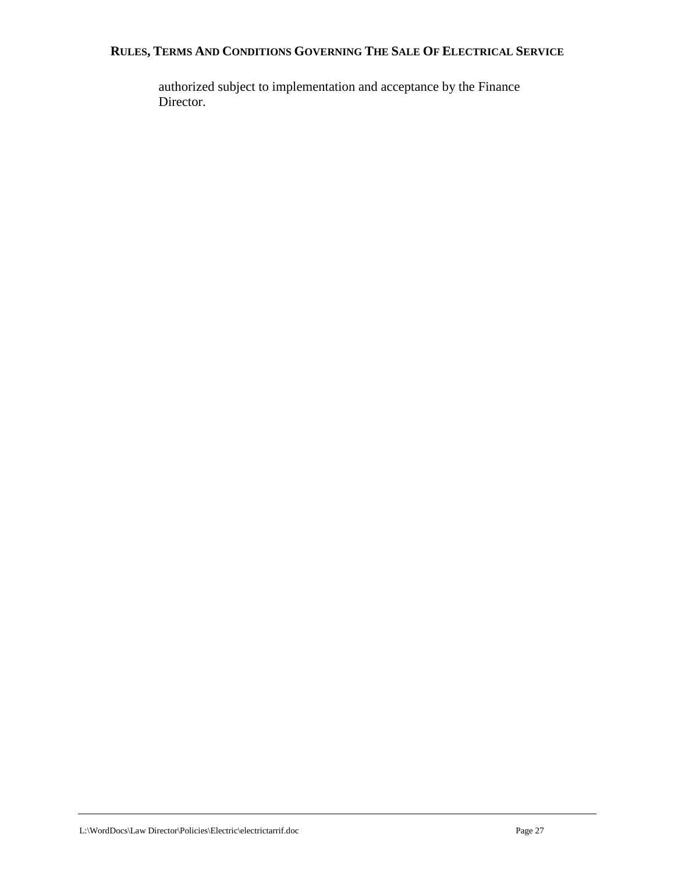authorized subject to implementation and acceptance by the Finance Director.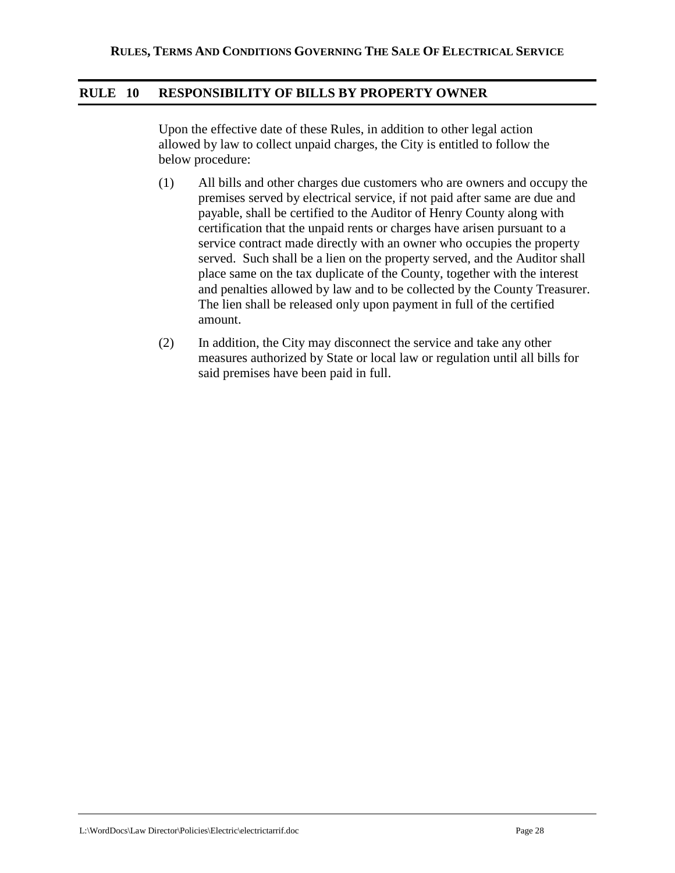## **RULE 10 RESPONSIBILITY OF BILLS BY PROPERTY OWNER**

Upon the effective date of these Rules, in addition to other legal action allowed by law to collect unpaid charges, the City is entitled to follow the below procedure:

- (1) All bills and other charges due customers who are owners and occupy the premises served by electrical service, if not paid after same are due and payable, shall be certified to the Auditor of Henry County along with certification that the unpaid rents or charges have arisen pursuant to a service contract made directly with an owner who occupies the property served. Such shall be a lien on the property served, and the Auditor shall place same on the tax duplicate of the County, together with the interest and penalties allowed by law and to be collected by the County Treasurer. The lien shall be released only upon payment in full of the certified amount.
- (2) In addition, the City may disconnect the service and take any other measures authorized by State or local law or regulation until all bills for said premises have been paid in full.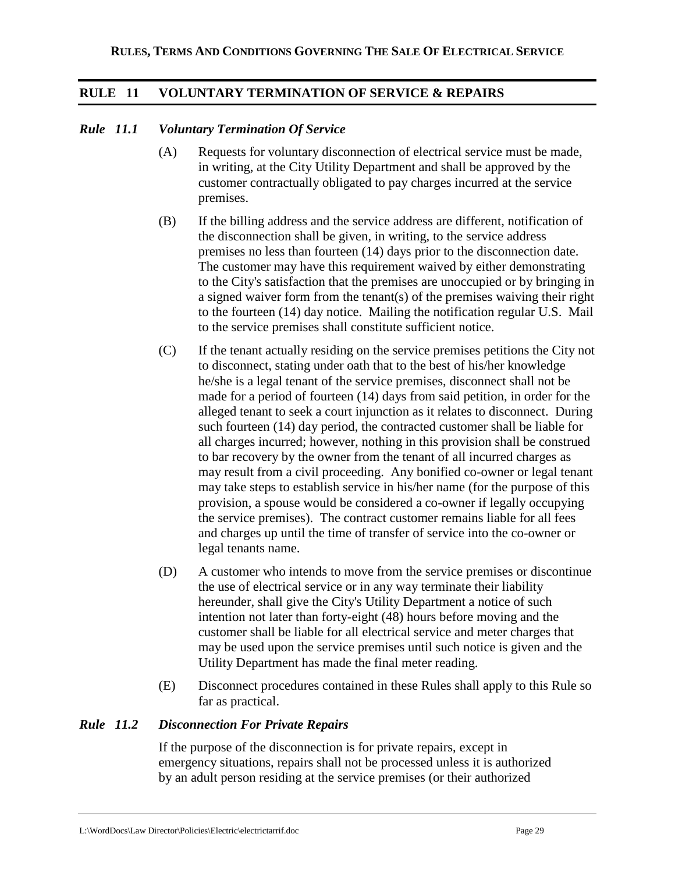## **RULE 11 VOLUNTARY TERMINATION OF SERVICE & REPAIRS**

#### *Rule 11.1 Voluntary Termination Of Service*

- (A) Requests for voluntary disconnection of electrical service must be made, in writing, at the City Utility Department and shall be approved by the customer contractually obligated to pay charges incurred at the service premises.
- (B) If the billing address and the service address are different, notification of the disconnection shall be given, in writing, to the service address premises no less than fourteen (14) days prior to the disconnection date. The customer may have this requirement waived by either demonstrating to the City's satisfaction that the premises are unoccupied or by bringing in a signed waiver form from the tenant(s) of the premises waiving their right to the fourteen (14) day notice. Mailing the notification regular U.S. Mail to the service premises shall constitute sufficient notice.
- (C) If the tenant actually residing on the service premises petitions the City not to disconnect, stating under oath that to the best of his/her knowledge he/she is a legal tenant of the service premises, disconnect shall not be made for a period of fourteen (14) days from said petition, in order for the alleged tenant to seek a court injunction as it relates to disconnect. During such fourteen (14) day period, the contracted customer shall be liable for all charges incurred; however, nothing in this provision shall be construed to bar recovery by the owner from the tenant of all incurred charges as may result from a civil proceeding. Any bonified co-owner or legal tenant may take steps to establish service in his/her name (for the purpose of this provision, a spouse would be considered a co-owner if legally occupying the service premises). The contract customer remains liable for all fees and charges up until the time of transfer of service into the co-owner or legal tenants name.
- (D) A customer who intends to move from the service premises or discontinue the use of electrical service or in any way terminate their liability hereunder, shall give the City's Utility Department a notice of such intention not later than forty-eight (48) hours before moving and the customer shall be liable for all electrical service and meter charges that may be used upon the service premises until such notice is given and the Utility Department has made the final meter reading.
- (E) Disconnect procedures contained in these Rules shall apply to this Rule so far as practical.

### *Rule 11.2 Disconnection For Private Repairs*

If the purpose of the disconnection is for private repairs, except in emergency situations, repairs shall not be processed unless it is authorized by an adult person residing at the service premises (or their authorized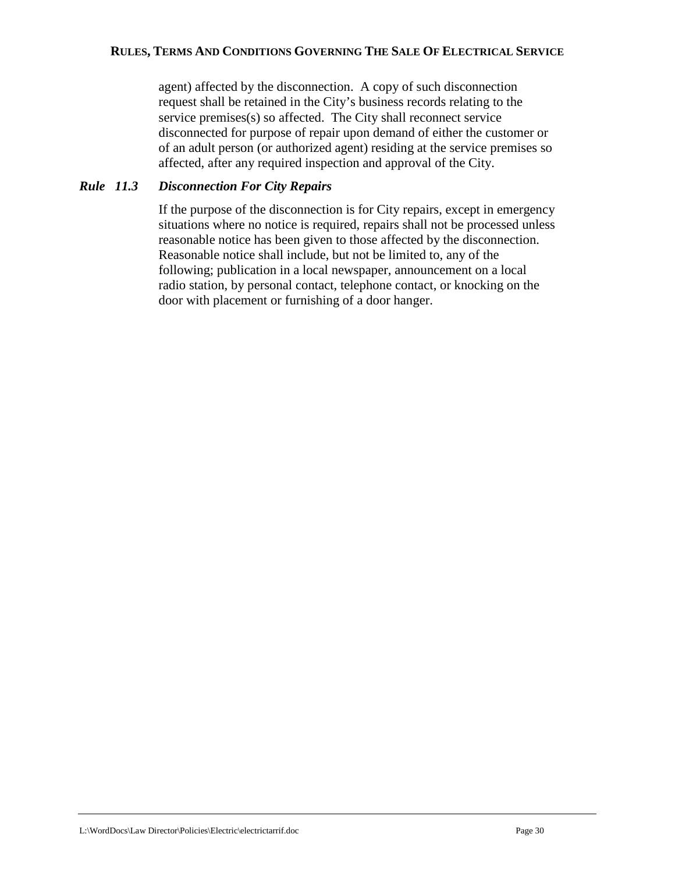agent) affected by the disconnection. A copy of such disconnection request shall be retained in the City's business records relating to the service premises(s) so affected. The City shall reconnect service disconnected for purpose of repair upon demand of either the customer or of an adult person (or authorized agent) residing at the service premises so affected, after any required inspection and approval of the City.

#### *Rule 11.3 Disconnection For City Repairs*

If the purpose of the disconnection is for City repairs, except in emergency situations where no notice is required, repairs shall not be processed unless reasonable notice has been given to those affected by the disconnection. Reasonable notice shall include, but not be limited to, any of the following; publication in a local newspaper, announcement on a local radio station, by personal contact, telephone contact, or knocking on the door with placement or furnishing of a door hanger.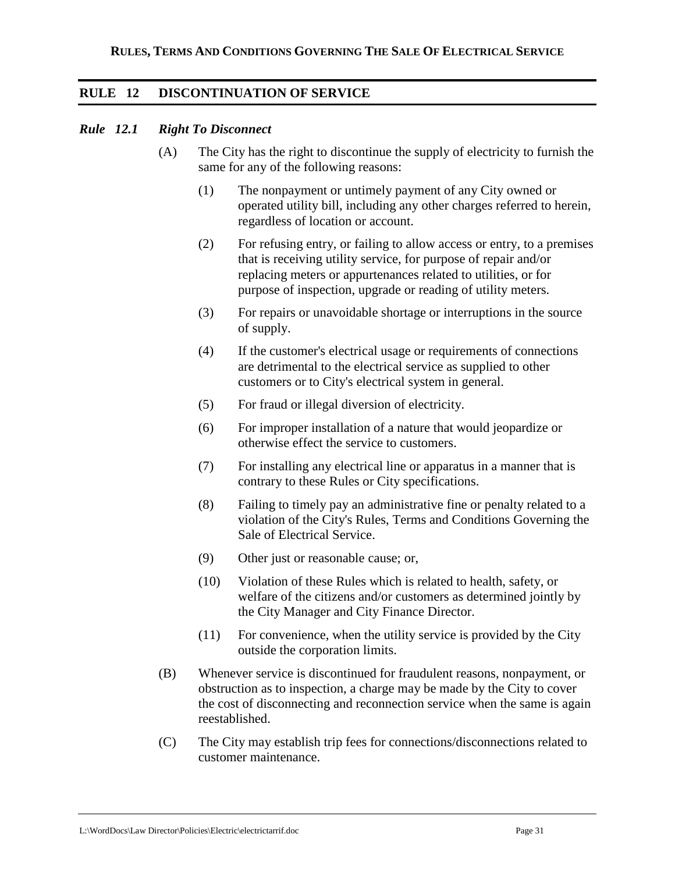## **RULE 12 DISCONTINUATION OF SERVICE**

#### *Rule 12.1 Right To Disconnect*

- (A) The City has the right to discontinue the supply of electricity to furnish the same for any of the following reasons:
	- (1) The nonpayment or untimely payment of any City owned or operated utility bill, including any other charges referred to herein, regardless of location or account.
	- (2) For refusing entry, or failing to allow access or entry, to a premises that is receiving utility service, for purpose of repair and/or replacing meters or appurtenances related to utilities, or for purpose of inspection, upgrade or reading of utility meters.
	- (3) For repairs or unavoidable shortage or interruptions in the source of supply.
	- (4) If the customer's electrical usage or requirements of connections are detrimental to the electrical service as supplied to other customers or to City's electrical system in general.
	- (5) For fraud or illegal diversion of electricity.
	- (6) For improper installation of a nature that would jeopardize or otherwise effect the service to customers.
	- (7) For installing any electrical line or apparatus in a manner that is contrary to these Rules or City specifications.
	- (8) Failing to timely pay an administrative fine or penalty related to a violation of the City's Rules, Terms and Conditions Governing the Sale of Electrical Service.
	- (9) Other just or reasonable cause; or,
	- (10) Violation of these Rules which is related to health, safety, or welfare of the citizens and/or customers as determined jointly by the City Manager and City Finance Director.
	- (11) For convenience, when the utility service is provided by the City outside the corporation limits.
- (B) Whenever service is discontinued for fraudulent reasons, nonpayment, or obstruction as to inspection, a charge may be made by the City to cover the cost of disconnecting and reconnection service when the same is again reestablished.
- (C) The City may establish trip fees for connections/disconnections related to customer maintenance.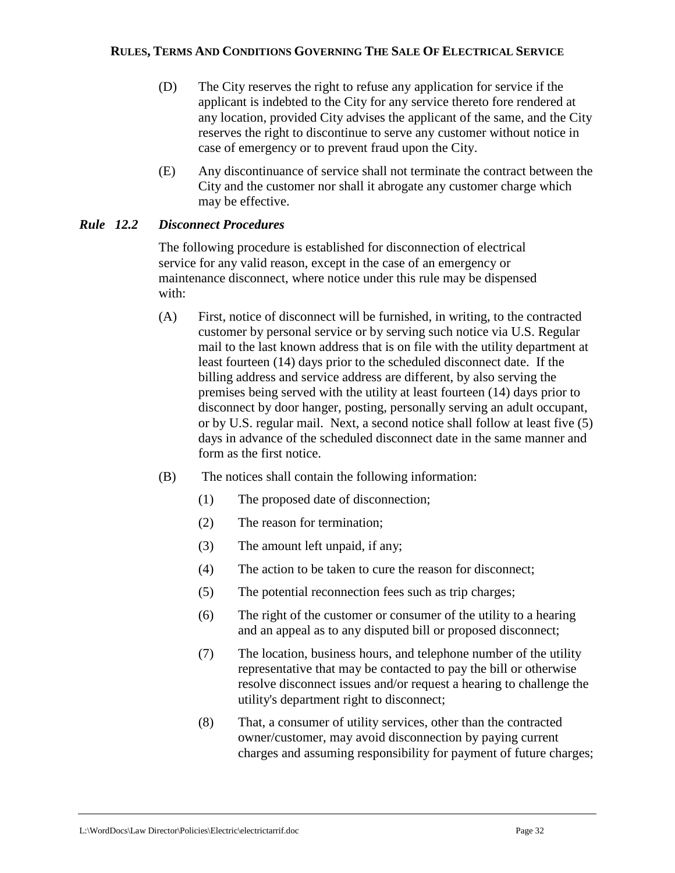- (D) The City reserves the right to refuse any application for service if the applicant is indebted to the City for any service thereto fore rendered at any location, provided City advises the applicant of the same, and the City reserves the right to discontinue to serve any customer without notice in case of emergency or to prevent fraud upon the City.
- (E) Any discontinuance of service shall not terminate the contract between the City and the customer nor shall it abrogate any customer charge which may be effective.

## *Rule 12.2 Disconnect Procedures*

The following procedure is established for disconnection of electrical service for any valid reason, except in the case of an emergency or maintenance disconnect, where notice under this rule may be dispensed with:

- (A) First, notice of disconnect will be furnished, in writing, to the contracted customer by personal service or by serving such notice via U.S. Regular mail to the last known address that is on file with the utility department at least fourteen (14) days prior to the scheduled disconnect date. If the billing address and service address are different, by also serving the premises being served with the utility at least fourteen (14) days prior to disconnect by door hanger, posting, personally serving an adult occupant, or by U.S. regular mail. Next, a second notice shall follow at least five (5) days in advance of the scheduled disconnect date in the same manner and form as the first notice.
- (B) The notices shall contain the following information:
	- (1) The proposed date of disconnection;
	- (2) The reason for termination;
	- (3) The amount left unpaid, if any;
	- (4) The action to be taken to cure the reason for disconnect;
	- (5) The potential reconnection fees such as trip charges;
	- (6) The right of the customer or consumer of the utility to a hearing and an appeal as to any disputed bill or proposed disconnect;
	- (7) The location, business hours, and telephone number of the utility representative that may be contacted to pay the bill or otherwise resolve disconnect issues and/or request a hearing to challenge the utility's department right to disconnect;
	- (8) That, a consumer of utility services, other than the contracted owner/customer, may avoid disconnection by paying current charges and assuming responsibility for payment of future charges;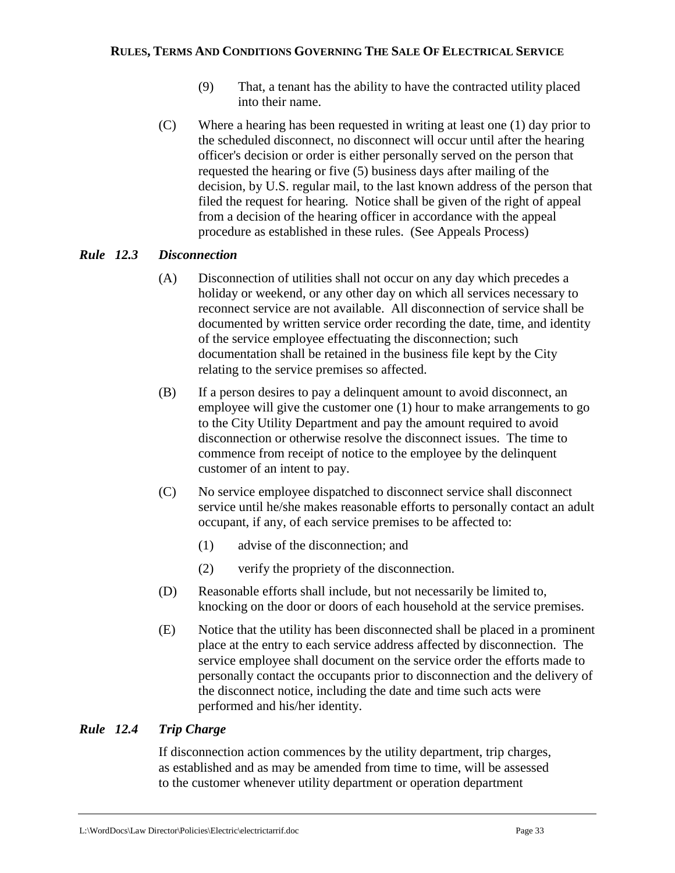- (9) That, a tenant has the ability to have the contracted utility placed into their name.
- (C) Where a hearing has been requested in writing at least one (1) day prior to the scheduled disconnect, no disconnect will occur until after the hearing officer's decision or order is either personally served on the person that requested the hearing or five (5) business days after mailing of the decision, by U.S. regular mail, to the last known address of the person that filed the request for hearing. Notice shall be given of the right of appeal from a decision of the hearing officer in accordance with the appeal procedure as established in these rules. (See Appeals Process)

## *Rule 12.3 Disconnection*

- (A) Disconnection of utilities shall not occur on any day which precedes a holiday or weekend, or any other day on which all services necessary to reconnect service are not available. All disconnection of service shall be documented by written service order recording the date, time, and identity of the service employee effectuating the disconnection; such documentation shall be retained in the business file kept by the City relating to the service premises so affected.
- (B) If a person desires to pay a delinquent amount to avoid disconnect, an employee will give the customer one (1) hour to make arrangements to go to the City Utility Department and pay the amount required to avoid disconnection or otherwise resolve the disconnect issues. The time to commence from receipt of notice to the employee by the delinquent customer of an intent to pay.
- (C) No service employee dispatched to disconnect service shall disconnect service until he/she makes reasonable efforts to personally contact an adult occupant, if any, of each service premises to be affected to:
	- (1) advise of the disconnection; and
	- (2) verify the propriety of the disconnection.
- (D) Reasonable efforts shall include, but not necessarily be limited to, knocking on the door or doors of each household at the service premises.
- (E) Notice that the utility has been disconnected shall be placed in a prominent place at the entry to each service address affected by disconnection. The service employee shall document on the service order the efforts made to personally contact the occupants prior to disconnection and the delivery of the disconnect notice, including the date and time such acts were performed and his/her identity.

## *Rule 12.4 Trip Charge*

If disconnection action commences by the utility department, trip charges, as established and as may be amended from time to time, will be assessed to the customer whenever utility department or operation department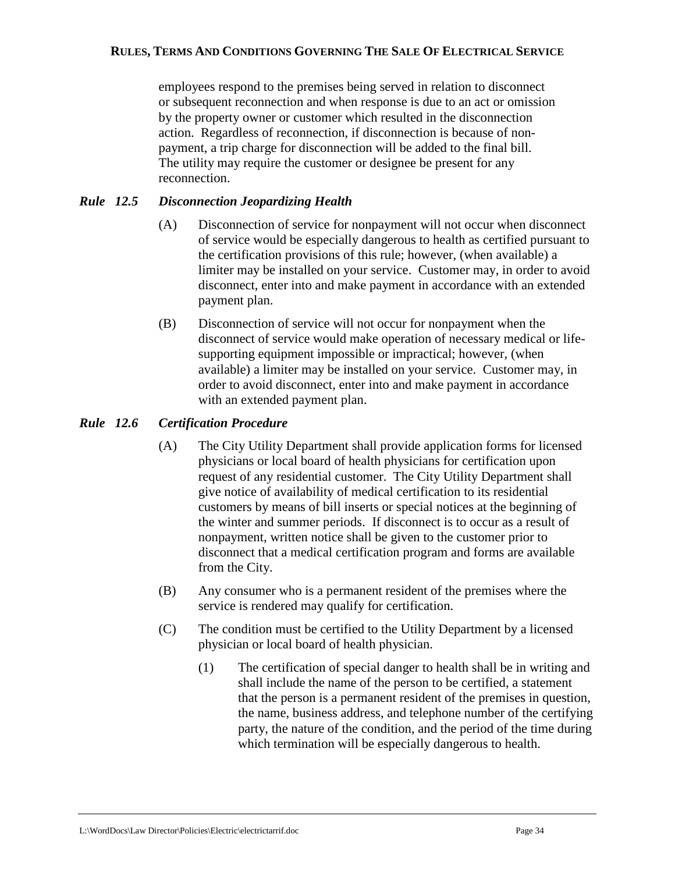employees respond to the premises being served in relation to disconnect or subsequent reconnection and when response is due to an act or omission by the property owner or customer which resulted in the disconnection action. Regardless of reconnection, if disconnection is because of nonpayment, a trip charge for disconnection will be added to the final bill. The utility may require the customer or designee be present for any reconnection.

## *Rule 12.5 Disconnection Jeopardizing Health*

- (A) Disconnection of service for nonpayment will not occur when disconnect of service would be especially dangerous to health as certified pursuant to the certification provisions of this rule; however, (when available) a limiter may be installed on your service. Customer may, in order to avoid disconnect, enter into and make payment in accordance with an extended payment plan.
- (B) Disconnection of service will not occur for nonpayment when the disconnect of service would make operation of necessary medical or lifesupporting equipment impossible or impractical; however, (when available) a limiter may be installed on your service. Customer may, in order to avoid disconnect, enter into and make payment in accordance with an extended payment plan.

## *Rule 12.6 Certification Procedure*

- (A) The City Utility Department shall provide application forms for licensed physicians or local board of health physicians for certification upon request of any residential customer. The City Utility Department shall give notice of availability of medical certification to its residential customers by means of bill inserts or special notices at the beginning of the winter and summer periods. If disconnect is to occur as a result of nonpayment, written notice shall be given to the customer prior to disconnect that a medical certification program and forms are available from the City.
- (B) Any consumer who is a permanent resident of the premises where the service is rendered may qualify for certification.
- (C) The condition must be certified to the Utility Department by a licensed physician or local board of health physician.
	- (1) The certification of special danger to health shall be in writing and shall include the name of the person to be certified, a statement that the person is a permanent resident of the premises in question, the name, business address, and telephone number of the certifying party, the nature of the condition, and the period of the time during which termination will be especially dangerous to health.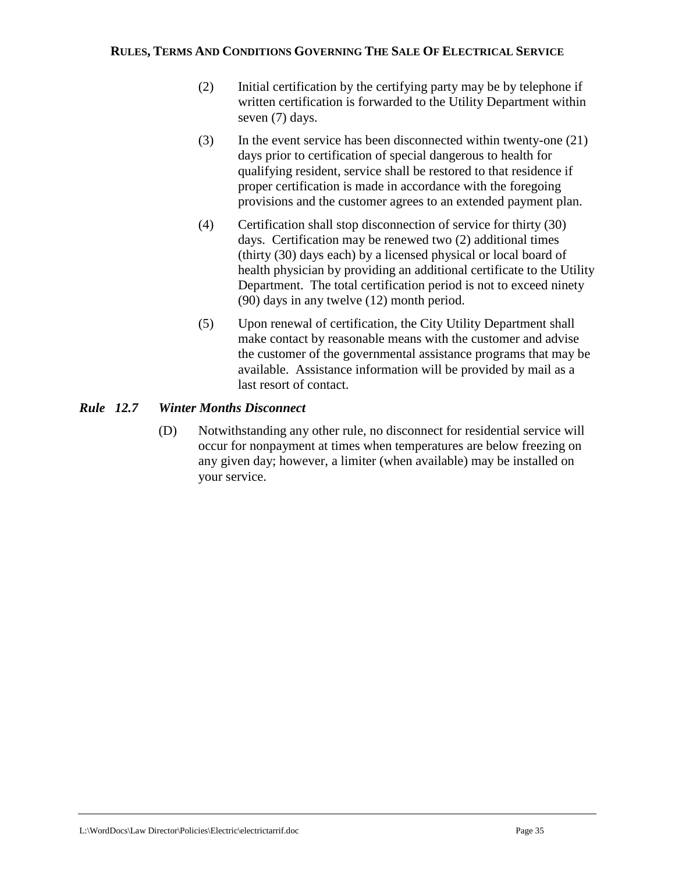- (2) Initial certification by the certifying party may be by telephone if written certification is forwarded to the Utility Department within seven (7) days.
- (3) In the event service has been disconnected within twenty-one (21) days prior to certification of special dangerous to health for qualifying resident, service shall be restored to that residence if proper certification is made in accordance with the foregoing provisions and the customer agrees to an extended payment plan.
- (4) Certification shall stop disconnection of service for thirty (30) days. Certification may be renewed two (2) additional times (thirty (30) days each) by a licensed physical or local board of health physician by providing an additional certificate to the Utility Department. The total certification period is not to exceed ninety (90) days in any twelve (12) month period.
- (5) Upon renewal of certification, the City Utility Department shall make contact by reasonable means with the customer and advise the customer of the governmental assistance programs that may be available. Assistance information will be provided by mail as a last resort of contact.

## *Rule 12.7 Winter Months Disconnect*

(D) Notwithstanding any other rule, no disconnect for residential service will occur for nonpayment at times when temperatures are below freezing on any given day; however, a limiter (when available) may be installed on your service.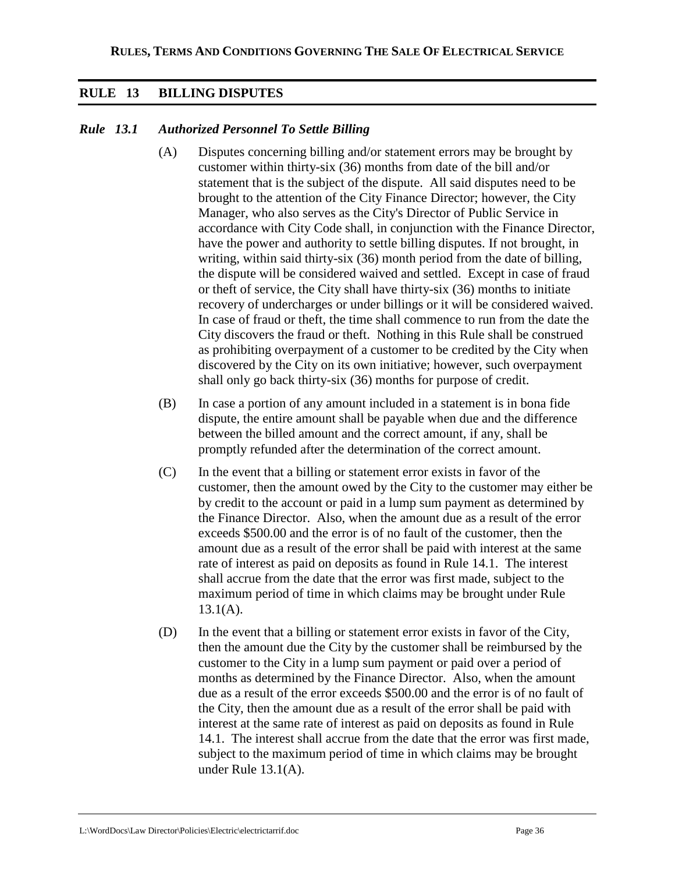## **RULE 13 BILLING DISPUTES**

## *Rule 13.1 Authorized Personnel To Settle Billing*

- (A) Disputes concerning billing and/or statement errors may be brought by customer within thirty-six (36) months from date of the bill and/or statement that is the subject of the dispute. All said disputes need to be brought to the attention of the City Finance Director; however, the City Manager, who also serves as the City's Director of Public Service in accordance with City Code shall, in conjunction with the Finance Director, have the power and authority to settle billing disputes. If not brought, in writing, within said thirty-six (36) month period from the date of billing, the dispute will be considered waived and settled. Except in case of fraud or theft of service, the City shall have thirty-six (36) months to initiate recovery of undercharges or under billings or it will be considered waived. In case of fraud or theft, the time shall commence to run from the date the City discovers the fraud or theft. Nothing in this Rule shall be construed as prohibiting overpayment of a customer to be credited by the City when discovered by the City on its own initiative; however, such overpayment shall only go back thirty-six (36) months for purpose of credit.
- (B) In case a portion of any amount included in a statement is in bona fide dispute, the entire amount shall be payable when due and the difference between the billed amount and the correct amount, if any, shall be promptly refunded after the determination of the correct amount.
- (C) In the event that a billing or statement error exists in favor of the customer, then the amount owed by the City to the customer may either be by credit to the account or paid in a lump sum payment as determined by the Finance Director. Also, when the amount due as a result of the error exceeds \$500.00 and the error is of no fault of the customer, then the amount due as a result of the error shall be paid with interest at the same rate of interest as paid on deposits as found in Rule 14.1. The interest shall accrue from the date that the error was first made, subject to the maximum period of time in which claims may be brought under Rule  $13.1(A)$ .
- (D) In the event that a billing or statement error exists in favor of the City, then the amount due the City by the customer shall be reimbursed by the customer to the City in a lump sum payment or paid over a period of months as determined by the Finance Director. Also, when the amount due as a result of the error exceeds \$500.00 and the error is of no fault of the City, then the amount due as a result of the error shall be paid with interest at the same rate of interest as paid on deposits as found in Rule 14.1. The interest shall accrue from the date that the error was first made, subject to the maximum period of time in which claims may be brought under Rule 13.1(A).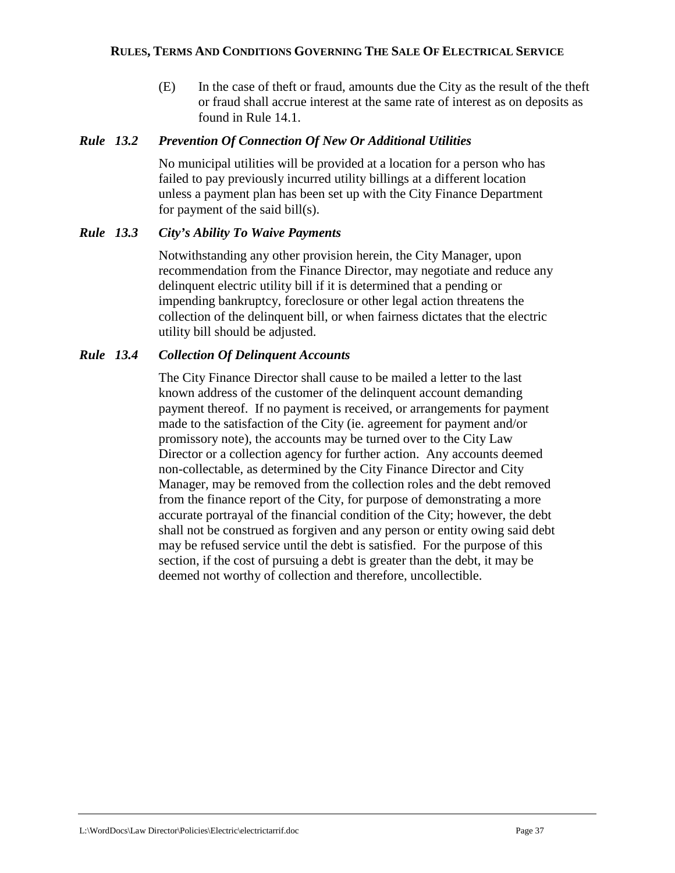(E) In the case of theft or fraud, amounts due the City as the result of the theft or fraud shall accrue interest at the same rate of interest as on deposits as found in Rule 14.1.

### *Rule 13.2 Prevention Of Connection Of New Or Additional Utilities*

No municipal utilities will be provided at a location for a person who has failed to pay previously incurred utility billings at a different location unless a payment plan has been set up with the City Finance Department for payment of the said bill(s).

### *Rule 13.3 City's Ability To Waive Payments*

Notwithstanding any other provision herein, the City Manager, upon recommendation from the Finance Director, may negotiate and reduce any delinquent electric utility bill if it is determined that a pending or impending bankruptcy, foreclosure or other legal action threatens the collection of the delinquent bill, or when fairness dictates that the electric utility bill should be adjusted.

### *Rule 13.4 Collection Of Delinquent Accounts*

The City Finance Director shall cause to be mailed a letter to the last known address of the customer of the delinquent account demanding payment thereof. If no payment is received, or arrangements for payment made to the satisfaction of the City (ie. agreement for payment and/or promissory note), the accounts may be turned over to the City Law Director or a collection agency for further action. Any accounts deemed non-collectable, as determined by the City Finance Director and City Manager, may be removed from the collection roles and the debt removed from the finance report of the City, for purpose of demonstrating a more accurate portrayal of the financial condition of the City; however, the debt shall not be construed as forgiven and any person or entity owing said debt may be refused service until the debt is satisfied. For the purpose of this section, if the cost of pursuing a debt is greater than the debt, it may be deemed not worthy of collection and therefore, uncollectible.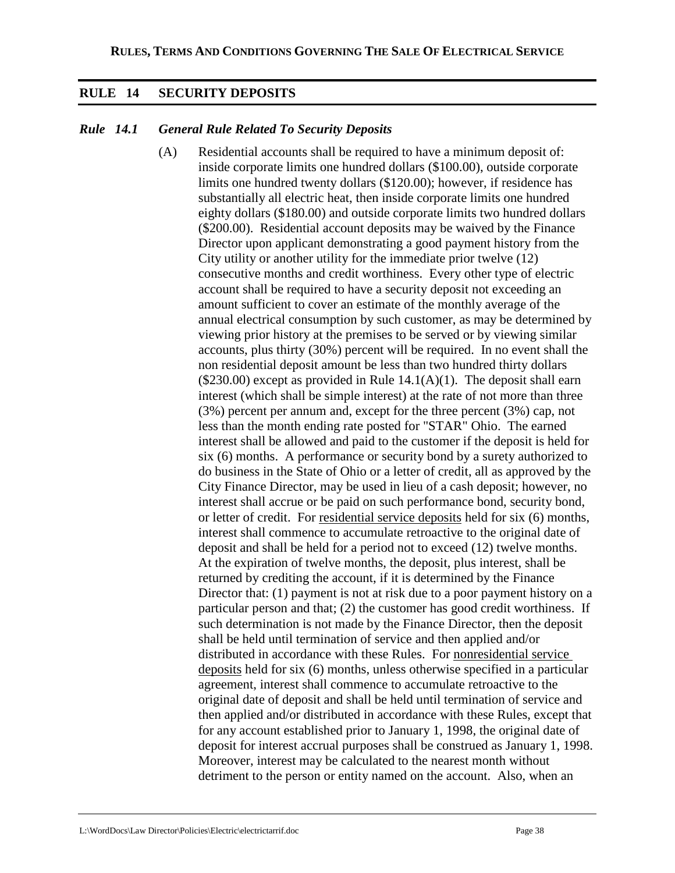## **RULE 14 SECURITY DEPOSITS**

## *Rule 14.1 General Rule Related To Security Deposits*

(A) Residential accounts shall be required to have a minimum deposit of: inside corporate limits one hundred dollars (\$100.00), outside corporate limits one hundred twenty dollars (\$120.00); however, if residence has substantially all electric heat, then inside corporate limits one hundred eighty dollars (\$180.00) and outside corporate limits two hundred dollars (\$200.00). Residential account deposits may be waived by the Finance Director upon applicant demonstrating a good payment history from the City utility or another utility for the immediate prior twelve (12) consecutive months and credit worthiness. Every other type of electric account shall be required to have a security deposit not exceeding an amount sufficient to cover an estimate of the monthly average of the annual electrical consumption by such customer, as may be determined by viewing prior history at the premises to be served or by viewing similar accounts, plus thirty (30%) percent will be required. In no event shall the non residential deposit amount be less than two hundred thirty dollars  $($230.00)$  except as provided in Rule  $14.1(A)(1)$ . The deposit shall earn interest (which shall be simple interest) at the rate of not more than three (3%) percent per annum and, except for the three percent (3%) cap, not less than the month ending rate posted for "STAR" Ohio. The earned interest shall be allowed and paid to the customer if the deposit is held for six (6) months. A performance or security bond by a surety authorized to do business in the State of Ohio or a letter of credit, all as approved by the City Finance Director, may be used in lieu of a cash deposit; however, no interest shall accrue or be paid on such performance bond, security bond, or letter of credit. For residential service deposits held for six (6) months, interest shall commence to accumulate retroactive to the original date of deposit and shall be held for a period not to exceed (12) twelve months. At the expiration of twelve months, the deposit, plus interest, shall be returned by crediting the account, if it is determined by the Finance Director that: (1) payment is not at risk due to a poor payment history on a particular person and that; (2) the customer has good credit worthiness. If such determination is not made by the Finance Director, then the deposit shall be held until termination of service and then applied and/or distributed in accordance with these Rules. For nonresidential service deposits held for six (6) months, unless otherwise specified in a particular agreement, interest shall commence to accumulate retroactive to the original date of deposit and shall be held until termination of service and then applied and/or distributed in accordance with these Rules, except that for any account established prior to January 1, 1998, the original date of deposit for interest accrual purposes shall be construed as January 1, 1998. Moreover, interest may be calculated to the nearest month without detriment to the person or entity named on the account. Also, when an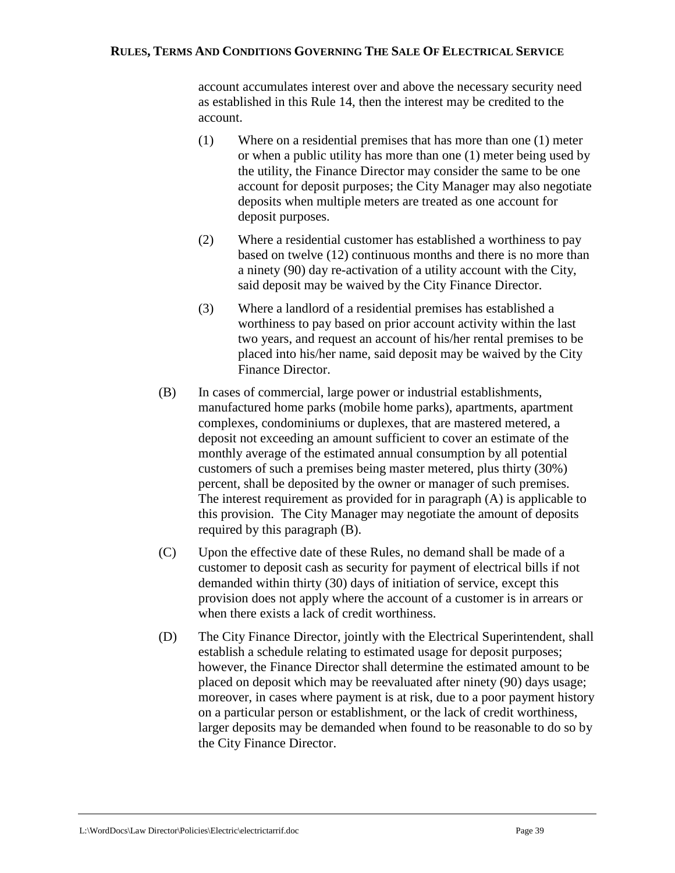account accumulates interest over and above the necessary security need as established in this Rule 14, then the interest may be credited to the account.

- (1) Where on a residential premises that has more than one (1) meter or when a public utility has more than one (1) meter being used by the utility, the Finance Director may consider the same to be one account for deposit purposes; the City Manager may also negotiate deposits when multiple meters are treated as one account for deposit purposes.
- (2) Where a residential customer has established a worthiness to pay based on twelve (12) continuous months and there is no more than a ninety (90) day re-activation of a utility account with the City, said deposit may be waived by the City Finance Director.
- (3) Where a landlord of a residential premises has established a worthiness to pay based on prior account activity within the last two years, and request an account of his/her rental premises to be placed into his/her name, said deposit may be waived by the City Finance Director.
- (B) In cases of commercial, large power or industrial establishments, manufactured home parks (mobile home parks), apartments, apartment complexes, condominiums or duplexes, that are mastered metered, a deposit not exceeding an amount sufficient to cover an estimate of the monthly average of the estimated annual consumption by all potential customers of such a premises being master metered, plus thirty (30%) percent, shall be deposited by the owner or manager of such premises. The interest requirement as provided for in paragraph (A) is applicable to this provision. The City Manager may negotiate the amount of deposits required by this paragraph (B).
- (C) Upon the effective date of these Rules, no demand shall be made of a customer to deposit cash as security for payment of electrical bills if not demanded within thirty (30) days of initiation of service, except this provision does not apply where the account of a customer is in arrears or when there exists a lack of credit worthiness.
- (D) The City Finance Director, jointly with the Electrical Superintendent, shall establish a schedule relating to estimated usage for deposit purposes; however, the Finance Director shall determine the estimated amount to be placed on deposit which may be reevaluated after ninety (90) days usage; moreover, in cases where payment is at risk, due to a poor payment history on a particular person or establishment, or the lack of credit worthiness, larger deposits may be demanded when found to be reasonable to do so by the City Finance Director.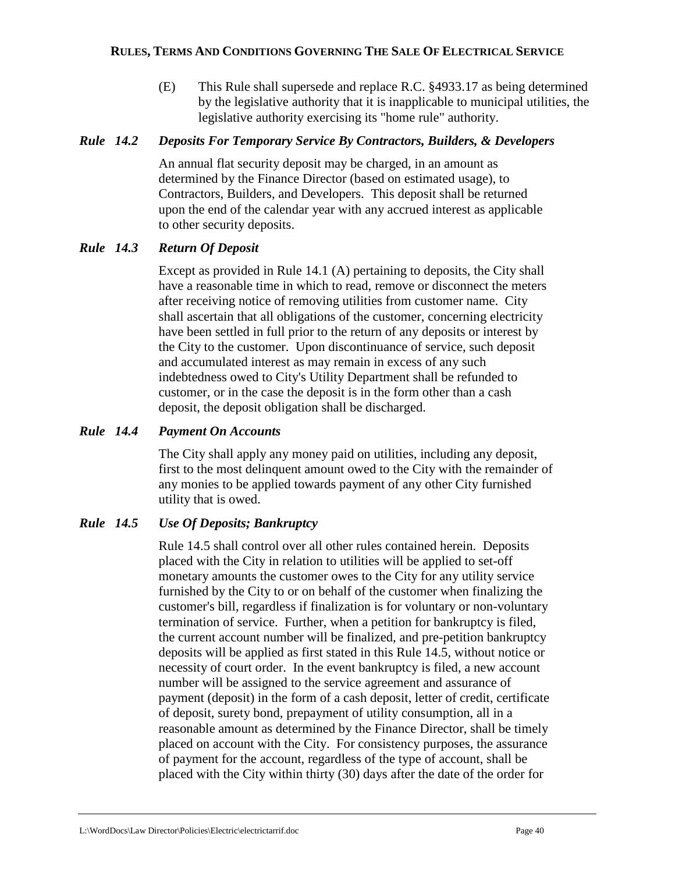(E) This Rule shall supersede and replace R.C. §4933.17 as being determined by the legislative authority that it is inapplicable to municipal utilities, the legislative authority exercising its "home rule" authority.

## *Rule 14.2 Deposits For Temporary Service By Contractors, Builders, & Developers*

An annual flat security deposit may be charged, in an amount as determined by the Finance Director (based on estimated usage), to Contractors, Builders, and Developers. This deposit shall be returned upon the end of the calendar year with any accrued interest as applicable to other security deposits.

## *Rule 14.3 Return Of Deposit*

Except as provided in Rule 14.1 (A) pertaining to deposits, the City shall have a reasonable time in which to read, remove or disconnect the meters after receiving notice of removing utilities from customer name. City shall ascertain that all obligations of the customer, concerning electricity have been settled in full prior to the return of any deposits or interest by the City to the customer. Upon discontinuance of service, such deposit and accumulated interest as may remain in excess of any such indebtedness owed to City's Utility Department shall be refunded to customer, or in the case the deposit is in the form other than a cash deposit, the deposit obligation shall be discharged.

## *Rule 14.4 Payment On Accounts*

The City shall apply any money paid on utilities, including any deposit, first to the most delinquent amount owed to the City with the remainder of any monies to be applied towards payment of any other City furnished utility that is owed.

## *Rule 14.5 Use Of Deposits; Bankruptcy*

Rule 14.5 shall control over all other rules contained herein. Deposits placed with the City in relation to utilities will be applied to set-off monetary amounts the customer owes to the City for any utility service furnished by the City to or on behalf of the customer when finalizing the customer's bill, regardless if finalization is for voluntary or non-voluntary termination of service. Further, when a petition for bankruptcy is filed, the current account number will be finalized, and pre-petition bankruptcy deposits will be applied as first stated in this Rule 14.5, without notice or necessity of court order. In the event bankruptcy is filed, a new account number will be assigned to the service agreement and assurance of payment (deposit) in the form of a cash deposit, letter of credit, certificate of deposit, surety bond, prepayment of utility consumption, all in a reasonable amount as determined by the Finance Director, shall be timely placed on account with the City. For consistency purposes, the assurance of payment for the account, regardless of the type of account, shall be placed with the City within thirty (30) days after the date of the order for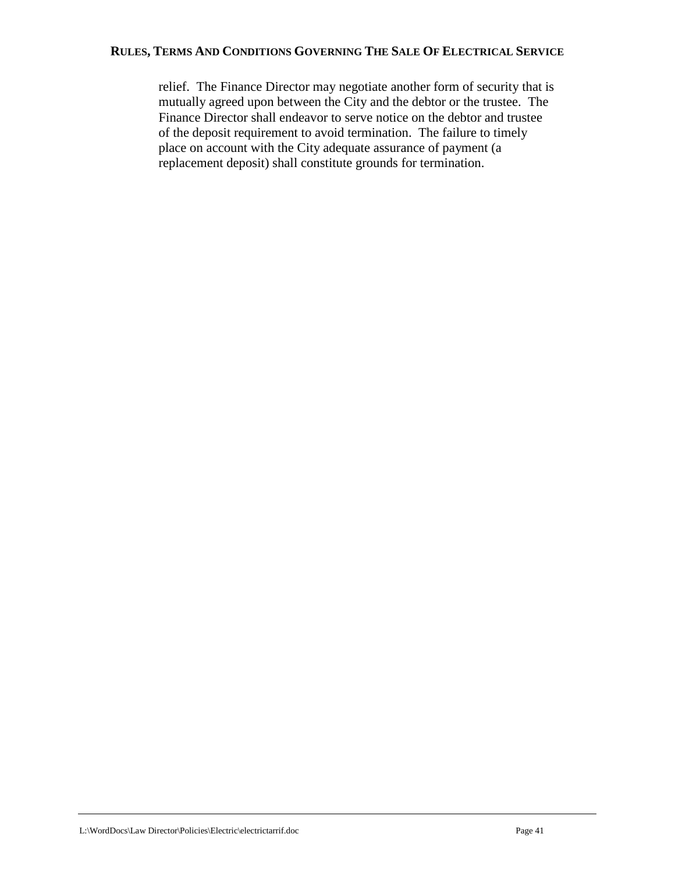relief. The Finance Director may negotiate another form of security that is mutually agreed upon between the City and the debtor or the trustee. The Finance Director shall endeavor to serve notice on the debtor and trustee of the deposit requirement to avoid termination. The failure to timely place on account with the City adequate assurance of payment (a replacement deposit) shall constitute grounds for termination.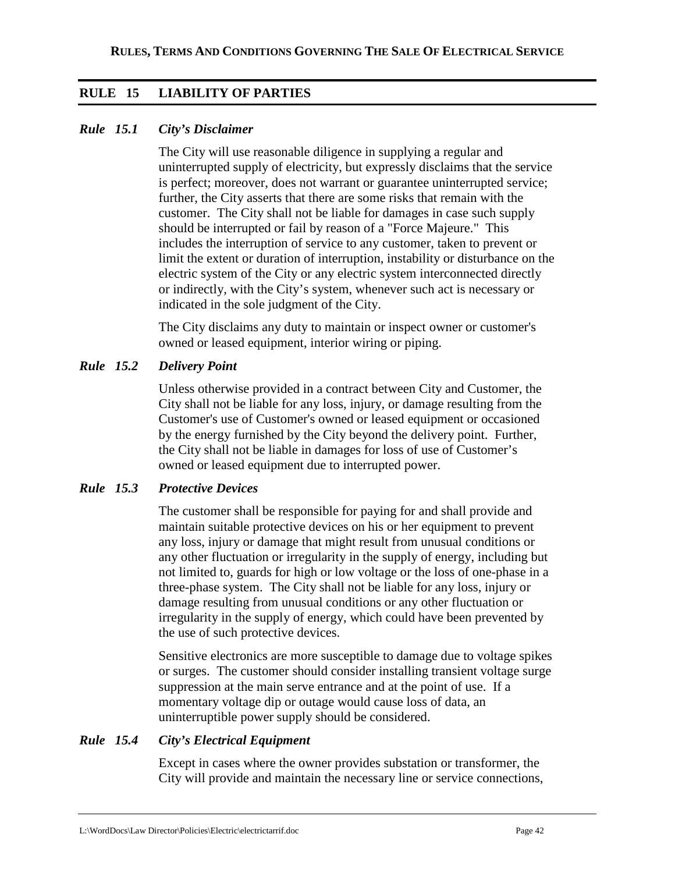## **RULE 15 LIABILITY OF PARTIES**

## *Rule 15.1 City's Disclaimer*

The City will use reasonable diligence in supplying a regular and uninterrupted supply of electricity, but expressly disclaims that the service is perfect; moreover, does not warrant or guarantee uninterrupted service; further, the City asserts that there are some risks that remain with the customer. The City shall not be liable for damages in case such supply should be interrupted or fail by reason of a "Force Majeure." This includes the interruption of service to any customer, taken to prevent or limit the extent or duration of interruption, instability or disturbance on the electric system of the City or any electric system interconnected directly or indirectly, with the City's system, whenever such act is necessary or indicated in the sole judgment of the City.

The City disclaims any duty to maintain or inspect owner or customer's owned or leased equipment, interior wiring or piping.

## *Rule 15.2 Delivery Point*

Unless otherwise provided in a contract between City and Customer, the City shall not be liable for any loss, injury, or damage resulting from the Customer's use of Customer's owned or leased equipment or occasioned by the energy furnished by the City beyond the delivery point. Further, the City shall not be liable in damages for loss of use of Customer's owned or leased equipment due to interrupted power.

### *Rule 15.3 Protective Devices*

The customer shall be responsible for paying for and shall provide and maintain suitable protective devices on his or her equipment to prevent any loss, injury or damage that might result from unusual conditions or any other fluctuation or irregularity in the supply of energy, including but not limited to, guards for high or low voltage or the loss of one-phase in a three-phase system. The City shall not be liable for any loss, injury or damage resulting from unusual conditions or any other fluctuation or irregularity in the supply of energy, which could have been prevented by the use of such protective devices.

Sensitive electronics are more susceptible to damage due to voltage spikes or surges. The customer should consider installing transient voltage surge suppression at the main serve entrance and at the point of use. If a momentary voltage dip or outage would cause loss of data, an uninterruptible power supply should be considered.

## *Rule 15.4 City's Electrical Equipment*

Except in cases where the owner provides substation or transformer, the City will provide and maintain the necessary line or service connections,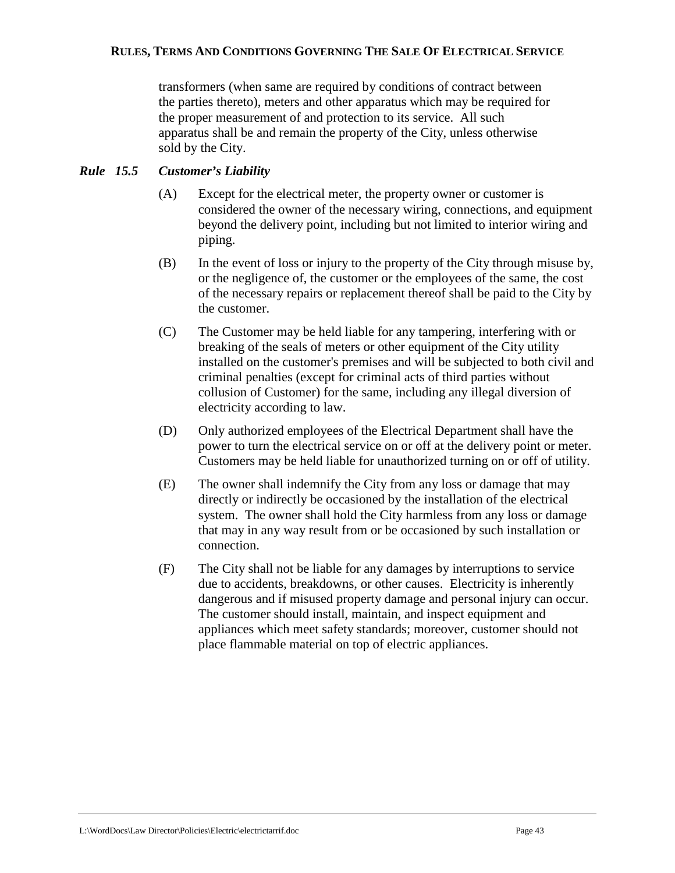transformers (when same are required by conditions of contract between the parties thereto), meters and other apparatus which may be required for the proper measurement of and protection to its service. All such apparatus shall be and remain the property of the City, unless otherwise sold by the City.

## *Rule 15.5 Customer's Liability*

- (A) Except for the electrical meter, the property owner or customer is considered the owner of the necessary wiring, connections, and equipment beyond the delivery point, including but not limited to interior wiring and piping.
- (B) In the event of loss or injury to the property of the City through misuse by, or the negligence of, the customer or the employees of the same, the cost of the necessary repairs or replacement thereof shall be paid to the City by the customer.
- (C) The Customer may be held liable for any tampering, interfering with or breaking of the seals of meters or other equipment of the City utility installed on the customer's premises and will be subjected to both civil and criminal penalties (except for criminal acts of third parties without collusion of Customer) for the same, including any illegal diversion of electricity according to law.
- (D) Only authorized employees of the Electrical Department shall have the power to turn the electrical service on or off at the delivery point or meter. Customers may be held liable for unauthorized turning on or off of utility.
- (E) The owner shall indemnify the City from any loss or damage that may directly or indirectly be occasioned by the installation of the electrical system. The owner shall hold the City harmless from any loss or damage that may in any way result from or be occasioned by such installation or connection.
- (F) The City shall not be liable for any damages by interruptions to service due to accidents, breakdowns, or other causes. Electricity is inherently dangerous and if misused property damage and personal injury can occur. The customer should install, maintain, and inspect equipment and appliances which meet safety standards; moreover, customer should not place flammable material on top of electric appliances.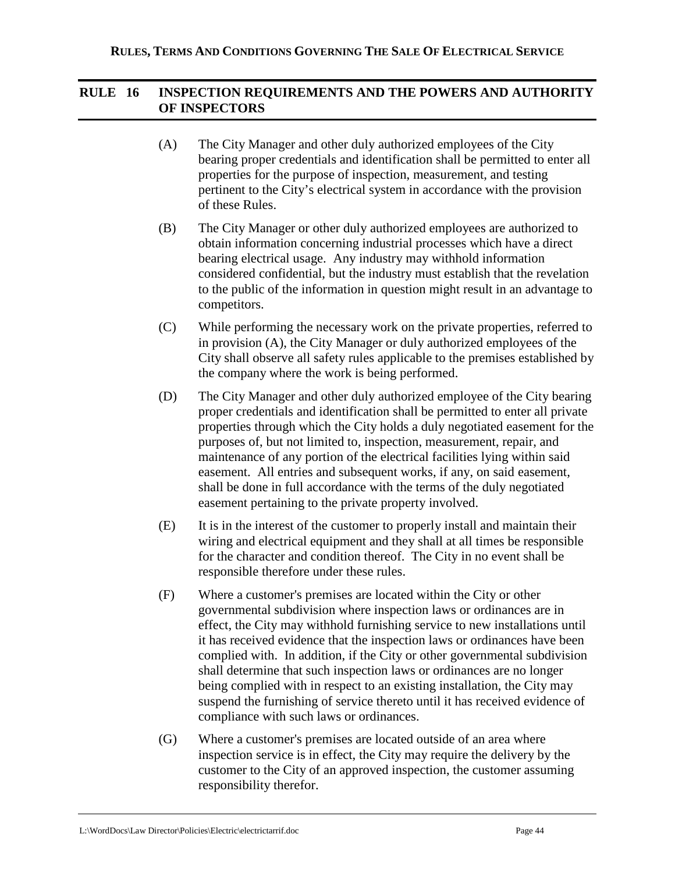## **RULE 16 INSPECTION REQUIREMENTS AND THE POWERS AND AUTHORITY OF INSPECTORS**

- (A) The City Manager and other duly authorized employees of the City bearing proper credentials and identification shall be permitted to enter all properties for the purpose of inspection, measurement, and testing pertinent to the City's electrical system in accordance with the provision of these Rules.
- (B) The City Manager or other duly authorized employees are authorized to obtain information concerning industrial processes which have a direct bearing electrical usage. Any industry may withhold information considered confidential, but the industry must establish that the revelation to the public of the information in question might result in an advantage to competitors.
- (C) While performing the necessary work on the private properties, referred to in provision (A), the City Manager or duly authorized employees of the City shall observe all safety rules applicable to the premises established by the company where the work is being performed.
- (D) The City Manager and other duly authorized employee of the City bearing proper credentials and identification shall be permitted to enter all private properties through which the City holds a duly negotiated easement for the purposes of, but not limited to, inspection, measurement, repair, and maintenance of any portion of the electrical facilities lying within said easement. All entries and subsequent works, if any, on said easement, shall be done in full accordance with the terms of the duly negotiated easement pertaining to the private property involved.
- (E) It is in the interest of the customer to properly install and maintain their wiring and electrical equipment and they shall at all times be responsible for the character and condition thereof. The City in no event shall be responsible therefore under these rules.
- (F) Where a customer's premises are located within the City or other governmental subdivision where inspection laws or ordinances are in effect, the City may withhold furnishing service to new installations until it has received evidence that the inspection laws or ordinances have been complied with. In addition, if the City or other governmental subdivision shall determine that such inspection laws or ordinances are no longer being complied with in respect to an existing installation, the City may suspend the furnishing of service thereto until it has received evidence of compliance with such laws or ordinances.
- (G) Where a customer's premises are located outside of an area where inspection service is in effect, the City may require the delivery by the customer to the City of an approved inspection, the customer assuming responsibility therefor.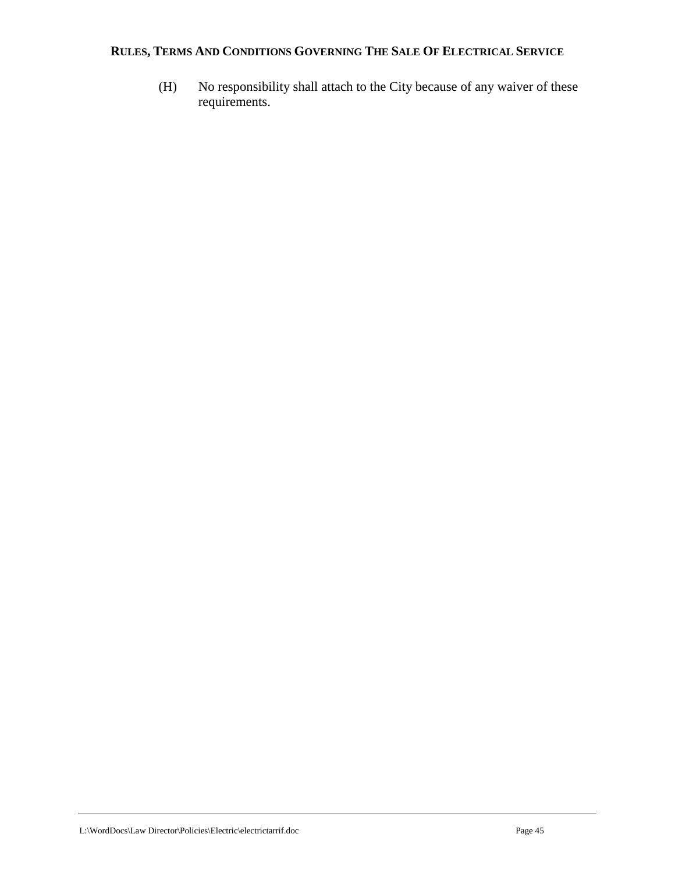(H) No responsibility shall attach to the City because of any waiver of these requirements.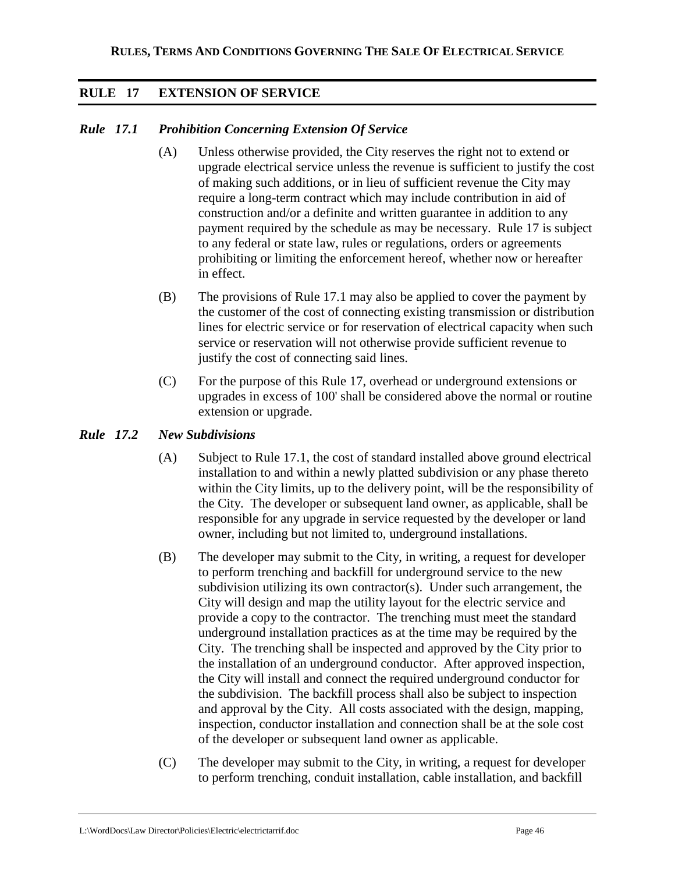## **RULE 17 EXTENSION OF SERVICE**

## *Rule 17.1 Prohibition Concerning Extension Of Service*

- (A) Unless otherwise provided, the City reserves the right not to extend or upgrade electrical service unless the revenue is sufficient to justify the cost of making such additions, or in lieu of sufficient revenue the City may require a long-term contract which may include contribution in aid of construction and/or a definite and written guarantee in addition to any payment required by the schedule as may be necessary. Rule 17 is subject to any federal or state law, rules or regulations, orders or agreements prohibiting or limiting the enforcement hereof, whether now or hereafter in effect.
- (B) The provisions of Rule 17.1 may also be applied to cover the payment by the customer of the cost of connecting existing transmission or distribution lines for electric service or for reservation of electrical capacity when such service or reservation will not otherwise provide sufficient revenue to justify the cost of connecting said lines.
- (C) For the purpose of this Rule 17, overhead or underground extensions or upgrades in excess of 100' shall be considered above the normal or routine extension or upgrade.

## *Rule 17.2 New Subdivisions*

- (A) Subject to Rule 17.1, the cost of standard installed above ground electrical installation to and within a newly platted subdivision or any phase thereto within the City limits, up to the delivery point, will be the responsibility of the City. The developer or subsequent land owner, as applicable, shall be responsible for any upgrade in service requested by the developer or land owner, including but not limited to, underground installations.
- (B) The developer may submit to the City, in writing, a request for developer to perform trenching and backfill for underground service to the new subdivision utilizing its own contractor(s). Under such arrangement, the City will design and map the utility layout for the electric service and provide a copy to the contractor. The trenching must meet the standard underground installation practices as at the time may be required by the City. The trenching shall be inspected and approved by the City prior to the installation of an underground conductor. After approved inspection, the City will install and connect the required underground conductor for the subdivision. The backfill process shall also be subject to inspection and approval by the City. All costs associated with the design, mapping, inspection, conductor installation and connection shall be at the sole cost of the developer or subsequent land owner as applicable.
- (C) The developer may submit to the City, in writing, a request for developer to perform trenching, conduit installation, cable installation, and backfill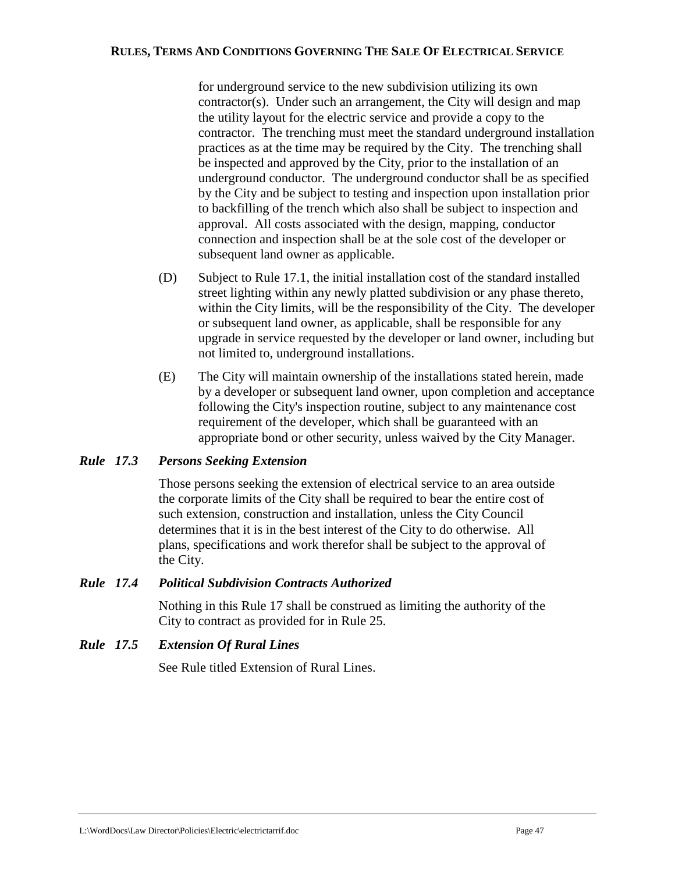for underground service to the new subdivision utilizing its own contractor(s). Under such an arrangement, the City will design and map the utility layout for the electric service and provide a copy to the contractor. The trenching must meet the standard underground installation practices as at the time may be required by the City. The trenching shall be inspected and approved by the City, prior to the installation of an underground conductor. The underground conductor shall be as specified by the City and be subject to testing and inspection upon installation prior to backfilling of the trench which also shall be subject to inspection and approval. All costs associated with the design, mapping, conductor connection and inspection shall be at the sole cost of the developer or subsequent land owner as applicable.

- (D) Subject to Rule 17.1, the initial installation cost of the standard installed street lighting within any newly platted subdivision or any phase thereto, within the City limits, will be the responsibility of the City. The developer or subsequent land owner, as applicable, shall be responsible for any upgrade in service requested by the developer or land owner, including but not limited to, underground installations.
- (E) The City will maintain ownership of the installations stated herein, made by a developer or subsequent land owner, upon completion and acceptance following the City's inspection routine, subject to any maintenance cost requirement of the developer, which shall be guaranteed with an appropriate bond or other security, unless waived by the City Manager.

## *Rule 17.3 Persons Seeking Extension*

Those persons seeking the extension of electrical service to an area outside the corporate limits of the City shall be required to bear the entire cost of such extension, construction and installation, unless the City Council determines that it is in the best interest of the City to do otherwise. All plans, specifications and work therefor shall be subject to the approval of the City.

## *Rule 17.4 Political Subdivision Contracts Authorized*

Nothing in this Rule 17 shall be construed as limiting the authority of the City to contract as provided for in Rule 25.

### *Rule 17.5 Extension Of Rural Lines*

See Rule titled Extension of Rural Lines.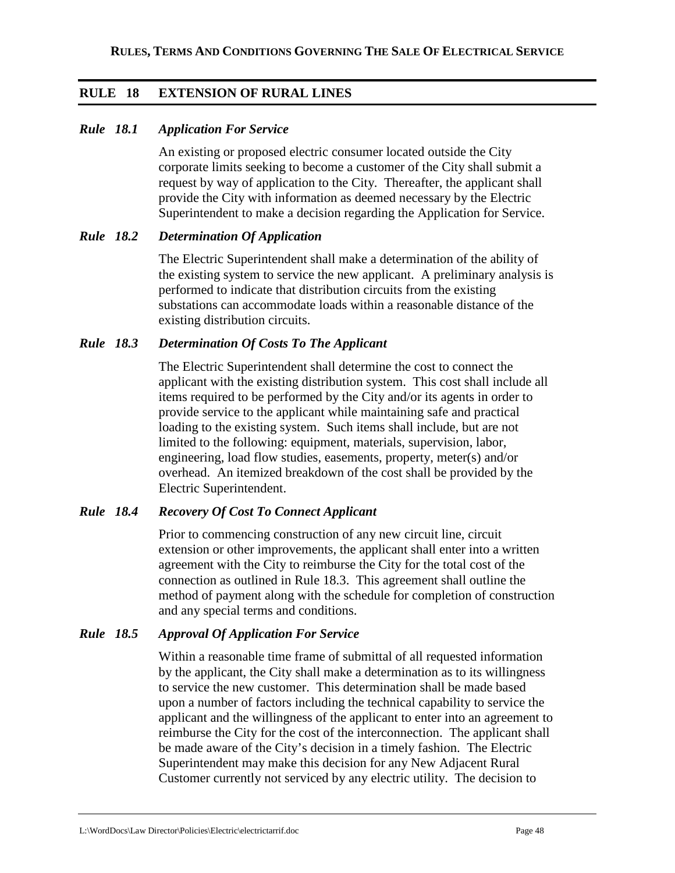## **RULE 18 EXTENSION OF RURAL LINES**

## *Rule 18.1 Application For Service*

An existing or proposed electric consumer located outside the City corporate limits seeking to become a customer of the City shall submit a request by way of application to the City. Thereafter, the applicant shall provide the City with information as deemed necessary by the Electric Superintendent to make a decision regarding the Application for Service.

### *Rule 18.2 Determination Of Application*

The Electric Superintendent shall make a determination of the ability of the existing system to service the new applicant. A preliminary analysis is performed to indicate that distribution circuits from the existing substations can accommodate loads within a reasonable distance of the existing distribution circuits.

### *Rule 18.3 Determination Of Costs To The Applicant*

The Electric Superintendent shall determine the cost to connect the applicant with the existing distribution system. This cost shall include all items required to be performed by the City and/or its agents in order to provide service to the applicant while maintaining safe and practical loading to the existing system. Such items shall include, but are not limited to the following: equipment, materials, supervision, labor, engineering, load flow studies, easements, property, meter(s) and/or overhead. An itemized breakdown of the cost shall be provided by the Electric Superintendent.

### *Rule 18.4 Recovery Of Cost To Connect Applicant*

Prior to commencing construction of any new circuit line, circuit extension or other improvements, the applicant shall enter into a written agreement with the City to reimburse the City for the total cost of the connection as outlined in Rule 18.3. This agreement shall outline the method of payment along with the schedule for completion of construction and any special terms and conditions.

### *Rule 18.5 Approval Of Application For Service*

Within a reasonable time frame of submittal of all requested information by the applicant, the City shall make a determination as to its willingness to service the new customer. This determination shall be made based upon a number of factors including the technical capability to service the applicant and the willingness of the applicant to enter into an agreement to reimburse the City for the cost of the interconnection. The applicant shall be made aware of the City's decision in a timely fashion. The Electric Superintendent may make this decision for any New Adjacent Rural Customer currently not serviced by any electric utility. The decision to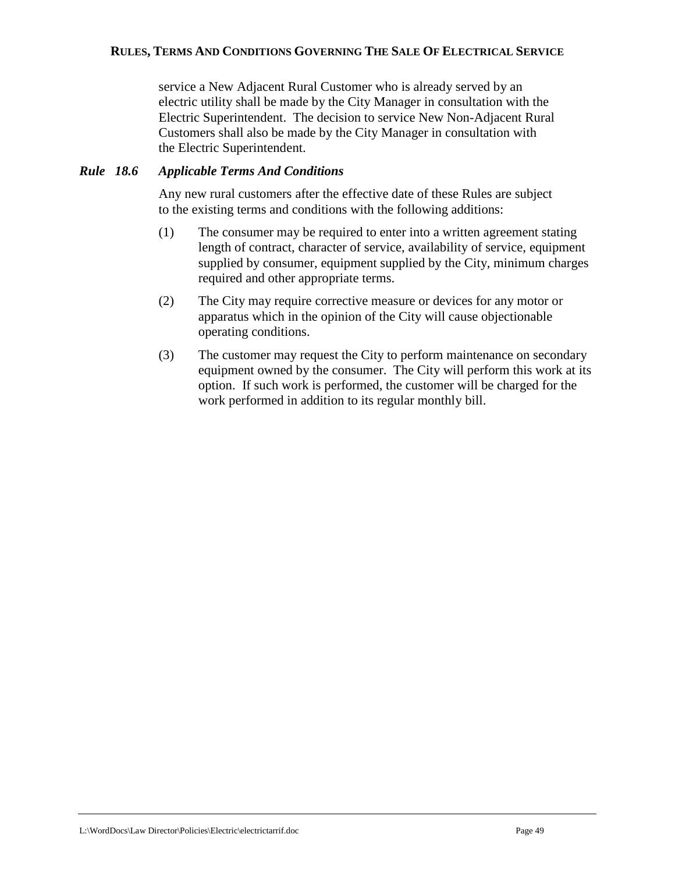service a New Adjacent Rural Customer who is already served by an electric utility shall be made by the City Manager in consultation with the Electric Superintendent. The decision to service New Non-Adjacent Rural Customers shall also be made by the City Manager in consultation with the Electric Superintendent.

## *Rule 18.6 Applicable Terms And Conditions*

Any new rural customers after the effective date of these Rules are subject to the existing terms and conditions with the following additions:

- (1) The consumer may be required to enter into a written agreement stating length of contract, character of service, availability of service, equipment supplied by consumer, equipment supplied by the City, minimum charges required and other appropriate terms.
- (2) The City may require corrective measure or devices for any motor or apparatus which in the opinion of the City will cause objectionable operating conditions.
- (3) The customer may request the City to perform maintenance on secondary equipment owned by the consumer. The City will perform this work at its option. If such work is performed, the customer will be charged for the work performed in addition to its regular monthly bill.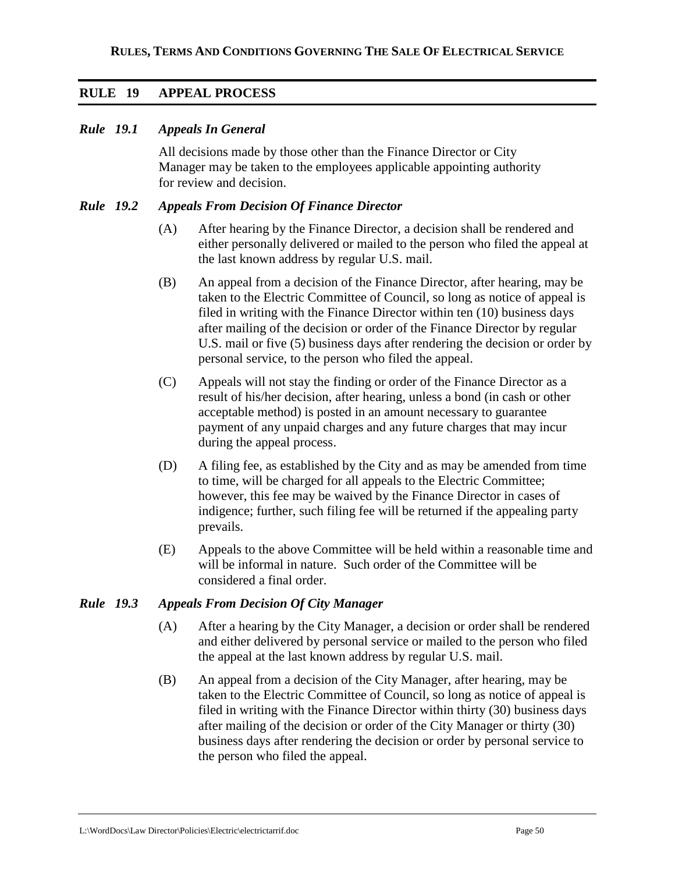## **RULE 19 APPEAL PROCESS**

#### *Rule 19.1 Appeals In General*

All decisions made by those other than the Finance Director or City Manager may be taken to the employees applicable appointing authority for review and decision.

#### *Rule 19.2 Appeals From Decision Of Finance Director*

- (A) After hearing by the Finance Director, a decision shall be rendered and either personally delivered or mailed to the person who filed the appeal at the last known address by regular U.S. mail.
- (B) An appeal from a decision of the Finance Director, after hearing, may be taken to the Electric Committee of Council, so long as notice of appeal is filed in writing with the Finance Director within ten (10) business days after mailing of the decision or order of the Finance Director by regular U.S. mail or five (5) business days after rendering the decision or order by personal service, to the person who filed the appeal.
- (C) Appeals will not stay the finding or order of the Finance Director as a result of his/her decision, after hearing, unless a bond (in cash or other acceptable method) is posted in an amount necessary to guarantee payment of any unpaid charges and any future charges that may incur during the appeal process.
- (D) A filing fee, as established by the City and as may be amended from time to time, will be charged for all appeals to the Electric Committee; however, this fee may be waived by the Finance Director in cases of indigence; further, such filing fee will be returned if the appealing party prevails.
- (E) Appeals to the above Committee will be held within a reasonable time and will be informal in nature. Such order of the Committee will be considered a final order.

#### *Rule 19.3 Appeals From Decision Of City Manager*

- (A) After a hearing by the City Manager, a decision or order shall be rendered and either delivered by personal service or mailed to the person who filed the appeal at the last known address by regular U.S. mail.
- (B) An appeal from a decision of the City Manager, after hearing, may be taken to the Electric Committee of Council, so long as notice of appeal is filed in writing with the Finance Director within thirty (30) business days after mailing of the decision or order of the City Manager or thirty (30) business days after rendering the decision or order by personal service to the person who filed the appeal.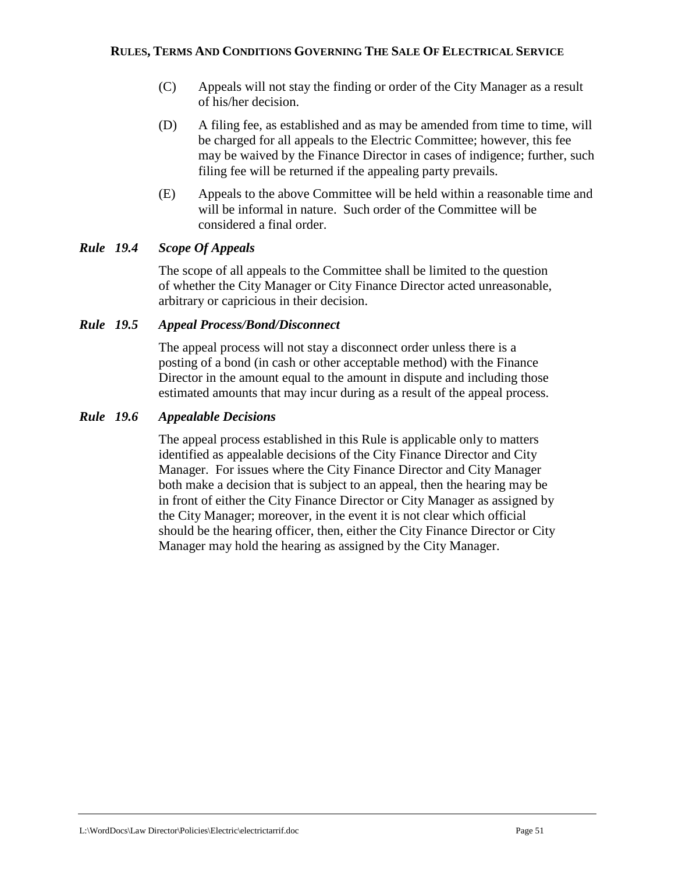- (C) Appeals will not stay the finding or order of the City Manager as a result of his/her decision.
- (D) A filing fee, as established and as may be amended from time to time, will be charged for all appeals to the Electric Committee; however, this fee may be waived by the Finance Director in cases of indigence; further, such filing fee will be returned if the appealing party prevails.
- (E) Appeals to the above Committee will be held within a reasonable time and will be informal in nature. Such order of the Committee will be considered a final order.

## *Rule 19.4 Scope Of Appeals*

The scope of all appeals to the Committee shall be limited to the question of whether the City Manager or City Finance Director acted unreasonable, arbitrary or capricious in their decision.

### *Rule 19.5 Appeal Process/Bond/Disconnect*

The appeal process will not stay a disconnect order unless there is a posting of a bond (in cash or other acceptable method) with the Finance Director in the amount equal to the amount in dispute and including those estimated amounts that may incur during as a result of the appeal process.

### *Rule 19.6 Appealable Decisions*

The appeal process established in this Rule is applicable only to matters identified as appealable decisions of the City Finance Director and City Manager. For issues where the City Finance Director and City Manager both make a decision that is subject to an appeal, then the hearing may be in front of either the City Finance Director or City Manager as assigned by the City Manager; moreover, in the event it is not clear which official should be the hearing officer, then, either the City Finance Director or City Manager may hold the hearing as assigned by the City Manager.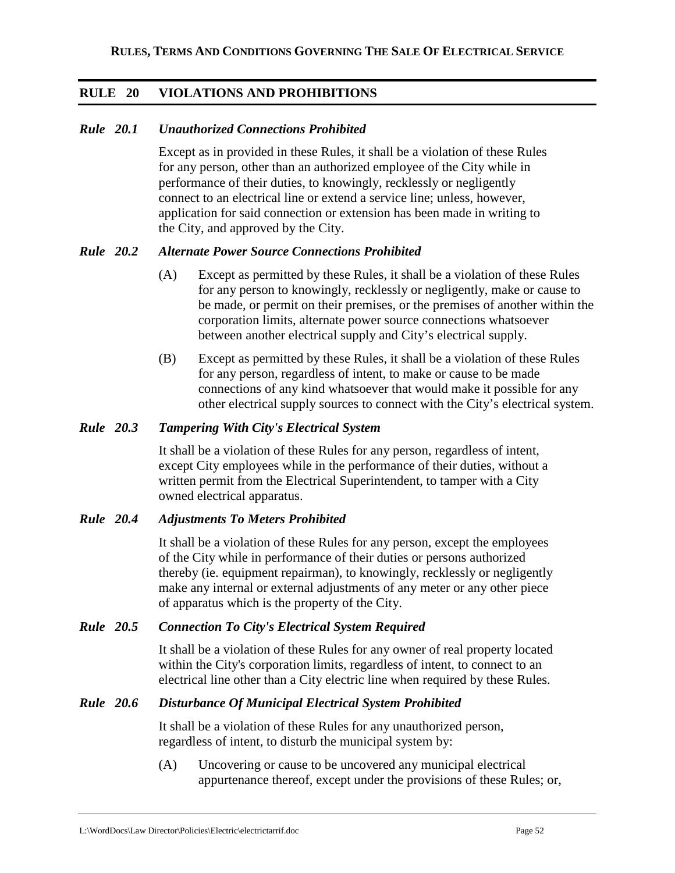## **RULE 20 VIOLATIONS AND PROHIBITIONS**

### *Rule 20.1 Unauthorized Connections Prohibited*

Except as in provided in these Rules, it shall be a violation of these Rules for any person, other than an authorized employee of the City while in performance of their duties, to knowingly, recklessly or negligently connect to an electrical line or extend a service line; unless, however, application for said connection or extension has been made in writing to the City, and approved by the City.

## *Rule 20.2 Alternate Power Source Connections Prohibited*

- (A) Except as permitted by these Rules, it shall be a violation of these Rules for any person to knowingly, recklessly or negligently, make or cause to be made, or permit on their premises, or the premises of another within the corporation limits, alternate power source connections whatsoever between another electrical supply and City's electrical supply.
- (B) Except as permitted by these Rules, it shall be a violation of these Rules for any person, regardless of intent, to make or cause to be made connections of any kind whatsoever that would make it possible for any other electrical supply sources to connect with the City's electrical system.

### *Rule 20.3 Tampering With City's Electrical System*

It shall be a violation of these Rules for any person, regardless of intent, except City employees while in the performance of their duties, without a written permit from the Electrical Superintendent, to tamper with a City owned electrical apparatus.

### *Rule 20.4 Adjustments To Meters Prohibited*

It shall be a violation of these Rules for any person, except the employees of the City while in performance of their duties or persons authorized thereby (ie. equipment repairman), to knowingly, recklessly or negligently make any internal or external adjustments of any meter or any other piece of apparatus which is the property of the City.

### *Rule 20.5 Connection To City's Electrical System Required*

It shall be a violation of these Rules for any owner of real property located within the City's corporation limits, regardless of intent, to connect to an electrical line other than a City electric line when required by these Rules.

### *Rule 20.6 Disturbance Of Municipal Electrical System Prohibited*

It shall be a violation of these Rules for any unauthorized person, regardless of intent, to disturb the municipal system by:

(A) Uncovering or cause to be uncovered any municipal electrical appurtenance thereof, except under the provisions of these Rules; or,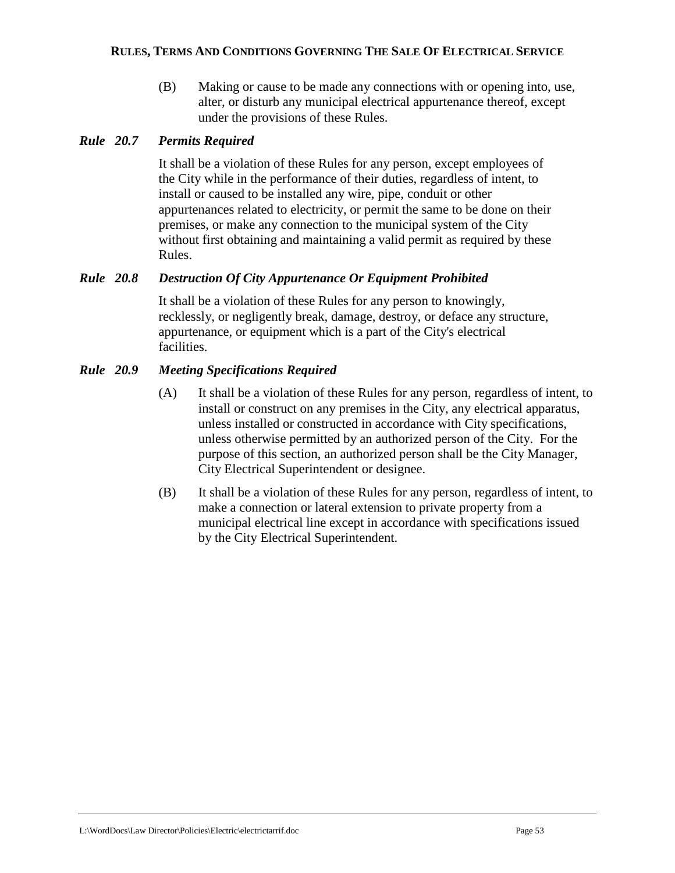(B) Making or cause to be made any connections with or opening into, use, alter, or disturb any municipal electrical appurtenance thereof, except under the provisions of these Rules.

## *Rule 20.7 Permits Required*

It shall be a violation of these Rules for any person, except employees of the City while in the performance of their duties, regardless of intent, to install or caused to be installed any wire, pipe, conduit or other appurtenances related to electricity, or permit the same to be done on their premises, or make any connection to the municipal system of the City without first obtaining and maintaining a valid permit as required by these Rules.

## *Rule 20.8 Destruction Of City Appurtenance Or Equipment Prohibited*

It shall be a violation of these Rules for any person to knowingly, recklessly, or negligently break, damage, destroy, or deface any structure, appurtenance, or equipment which is a part of the City's electrical facilities.

## *Rule 20.9 Meeting Specifications Required*

- (A) It shall be a violation of these Rules for any person, regardless of intent, to install or construct on any premises in the City, any electrical apparatus, unless installed or constructed in accordance with City specifications, unless otherwise permitted by an authorized person of the City. For the purpose of this section, an authorized person shall be the City Manager, City Electrical Superintendent or designee.
- (B) It shall be a violation of these Rules for any person, regardless of intent, to make a connection or lateral extension to private property from a municipal electrical line except in accordance with specifications issued by the City Electrical Superintendent.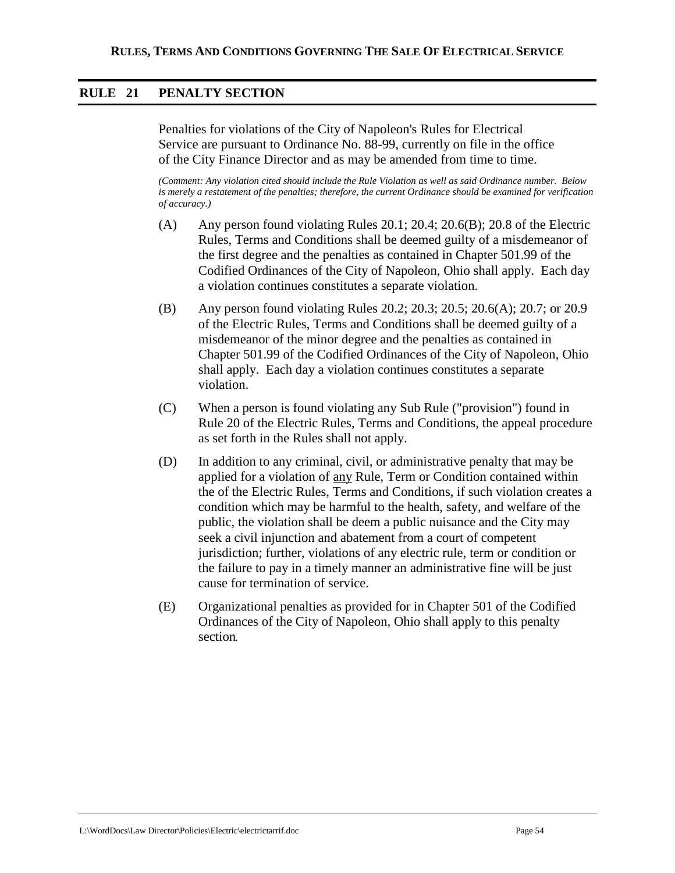## **RULE 21 PENALTY SECTION**

Penalties for violations of the City of Napoleon's Rules for Electrical Service are pursuant to Ordinance No. 88-99, currently on file in the office of the City Finance Director and as may be amended from time to time.

*(Comment: Any violation cited should include the Rule Violation as well as said Ordinance number. Below is merely a restatement of the penalties; therefore, the current Ordinance should be examined for verification of accuracy.)* 

- (A) Any person found violating Rules 20.1; 20.4; 20.6(B); 20.8 of the Electric Rules, Terms and Conditions shall be deemed guilty of a misdemeanor of the first degree and the penalties as contained in Chapter 501.99 of the Codified Ordinances of the City of Napoleon, Ohio shall apply. Each day a violation continues constitutes a separate violation.
- (B) Any person found violating Rules 20.2; 20.3; 20.5; 20.6(A); 20.7; or 20.9 of the Electric Rules, Terms and Conditions shall be deemed guilty of a misdemeanor of the minor degree and the penalties as contained in Chapter 501.99 of the Codified Ordinances of the City of Napoleon, Ohio shall apply. Each day a violation continues constitutes a separate violation.
- (C) When a person is found violating any Sub Rule ("provision") found in Rule 20 of the Electric Rules, Terms and Conditions, the appeal procedure as set forth in the Rules shall not apply.
- (D) In addition to any criminal, civil, or administrative penalty that may be applied for a violation of any Rule, Term or Condition contained within the of the Electric Rules, Terms and Conditions, if such violation creates a condition which may be harmful to the health, safety, and welfare of the public, the violation shall be deem a public nuisance and the City may seek a civil injunction and abatement from a court of competent jurisdiction; further, violations of any electric rule, term or condition or the failure to pay in a timely manner an administrative fine will be just cause for termination of service.
- (E) Organizational penalties as provided for in Chapter 501 of the Codified Ordinances of the City of Napoleon, Ohio shall apply to this penalty section*.*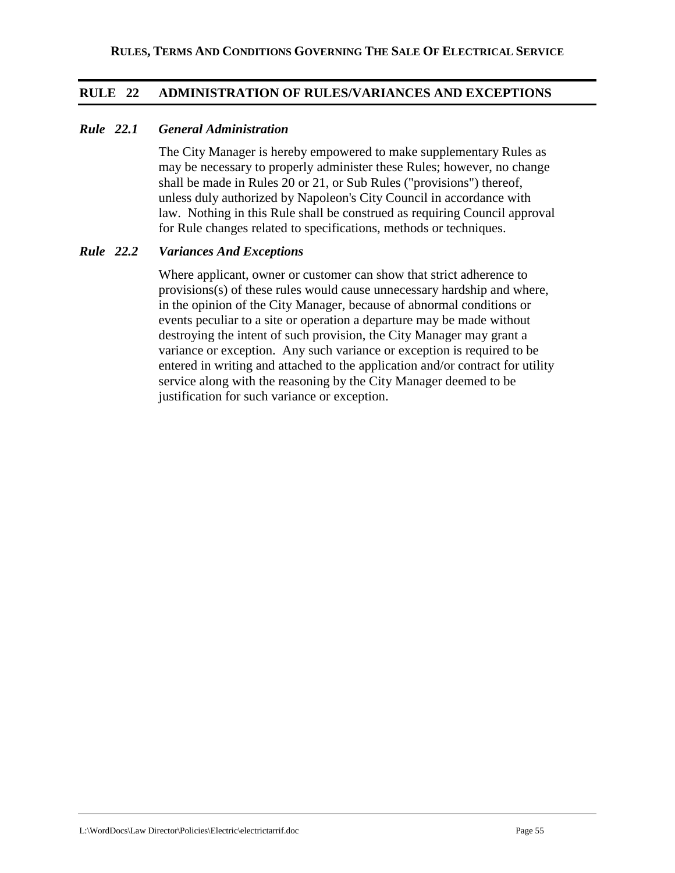## **RULE 22 ADMINISTRATION OF RULES/VARIANCES AND EXCEPTIONS**

### *Rule 22.1 General Administration*

The City Manager is hereby empowered to make supplementary Rules as may be necessary to properly administer these Rules; however, no change shall be made in Rules 20 or 21, or Sub Rules ("provisions") thereof, unless duly authorized by Napoleon's City Council in accordance with law. Nothing in this Rule shall be construed as requiring Council approval for Rule changes related to specifications, methods or techniques.

#### *Rule 22.2 Variances And Exceptions*

Where applicant, owner or customer can show that strict adherence to provisions(s) of these rules would cause unnecessary hardship and where, in the opinion of the City Manager, because of abnormal conditions or events peculiar to a site or operation a departure may be made without destroying the intent of such provision, the City Manager may grant a variance or exception. Any such variance or exception is required to be entered in writing and attached to the application and/or contract for utility service along with the reasoning by the City Manager deemed to be justification for such variance or exception.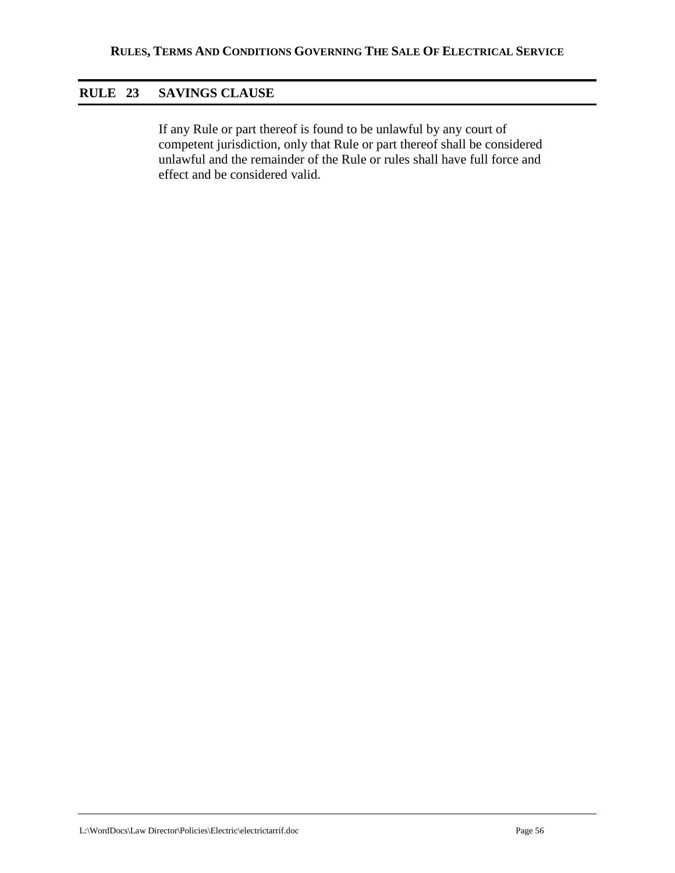## **RULE 23 SAVINGS CLAUSE**

If any Rule or part thereof is found to be unlawful by any court of competent jurisdiction, only that Rule or part thereof shall be considered unlawful and the remainder of the Rule or rules shall have full force and effect and be considered valid.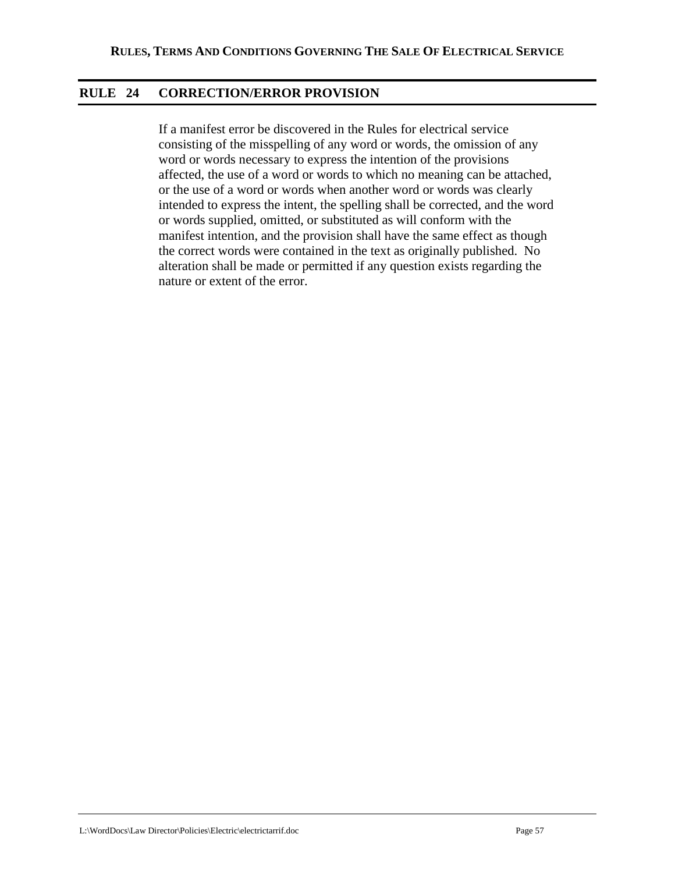## **RULE 24 CORRECTION/ERROR PROVISION**

If a manifest error be discovered in the Rules for electrical service consisting of the misspelling of any word or words, the omission of any word or words necessary to express the intention of the provisions affected, the use of a word or words to which no meaning can be attached, or the use of a word or words when another word or words was clearly intended to express the intent, the spelling shall be corrected, and the word or words supplied, omitted, or substituted as will conform with the manifest intention, and the provision shall have the same effect as though the correct words were contained in the text as originally published. No alteration shall be made or permitted if any question exists regarding the nature or extent of the error.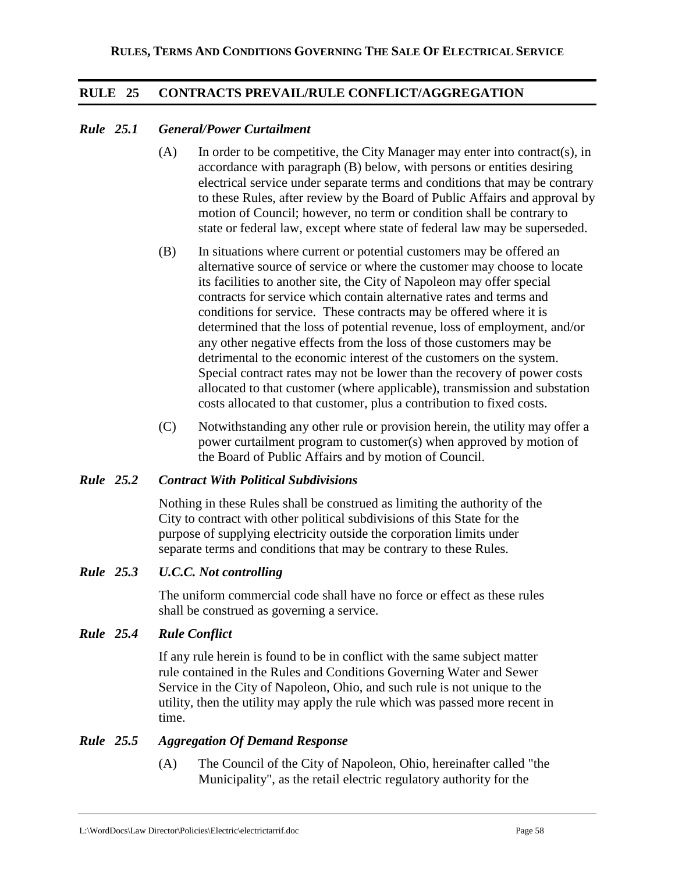## **RULE 25 CONTRACTS PREVAIL/RULE CONFLICT/AGGREGATION**

## *Rule 25.1 General/Power Curtailment*

- $(A)$  In order to be competitive, the City Manager may enter into contract(s), in accordance with paragraph (B) below, with persons or entities desiring electrical service under separate terms and conditions that may be contrary to these Rules, after review by the Board of Public Affairs and approval by motion of Council; however, no term or condition shall be contrary to state or federal law, except where state of federal law may be superseded.
- (B) In situations where current or potential customers may be offered an alternative source of service or where the customer may choose to locate its facilities to another site, the City of Napoleon may offer special contracts for service which contain alternative rates and terms and conditions for service. These contracts may be offered where it is determined that the loss of potential revenue, loss of employment, and/or any other negative effects from the loss of those customers may be detrimental to the economic interest of the customers on the system. Special contract rates may not be lower than the recovery of power costs allocated to that customer (where applicable), transmission and substation costs allocated to that customer, plus a contribution to fixed costs.
- (C) Notwithstanding any other rule or provision herein, the utility may offer a power curtailment program to customer(s) when approved by motion of the Board of Public Affairs and by motion of Council.

## *Rule 25.2 Contract With Political Subdivisions*

Nothing in these Rules shall be construed as limiting the authority of the City to contract with other political subdivisions of this State for the purpose of supplying electricity outside the corporation limits under separate terms and conditions that may be contrary to these Rules.

### *Rule 25.3 U.C.C. Not controlling*

The uniform commercial code shall have no force or effect as these rules shall be construed as governing a service.

### *Rule 25.4 Rule Conflict*

If any rule herein is found to be in conflict with the same subject matter rule contained in the Rules and Conditions Governing Water and Sewer Service in the City of Napoleon, Ohio, and such rule is not unique to the utility, then the utility may apply the rule which was passed more recent in time.

## *Rule 25.5 Aggregation Of Demand Response*

(A) The Council of the City of Napoleon, Ohio, hereinafter called "the Municipality", as the retail electric regulatory authority for the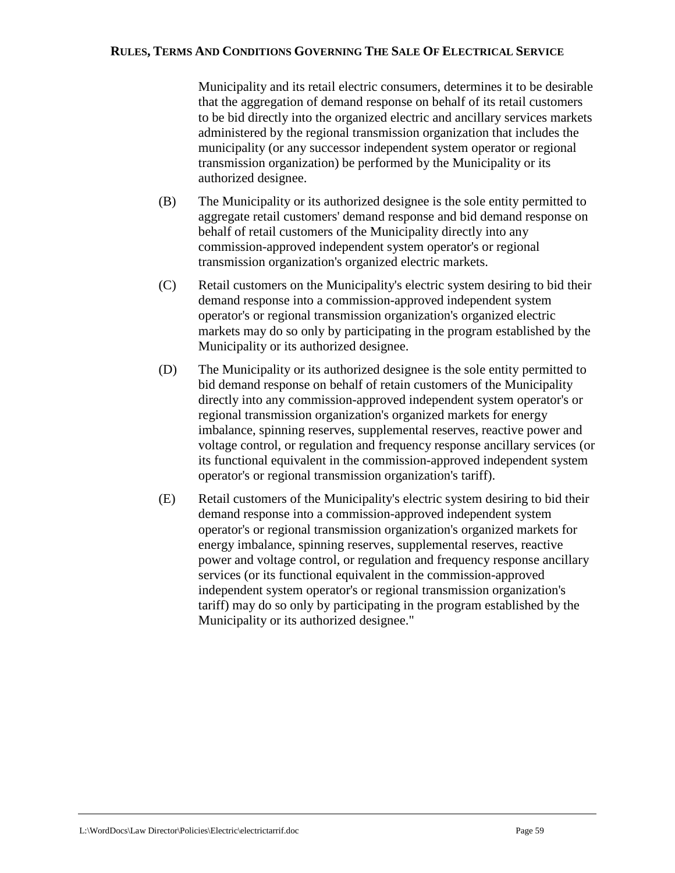Municipality and its retail electric consumers, determines it to be desirable that the aggregation of demand response on behalf of its retail customers to be bid directly into the organized electric and ancillary services markets administered by the regional transmission organization that includes the municipality (or any successor independent system operator or regional transmission organization) be performed by the Municipality or its authorized designee.

- (B) The Municipality or its authorized designee is the sole entity permitted to aggregate retail customers' demand response and bid demand response on behalf of retail customers of the Municipality directly into any commission-approved independent system operator's or regional transmission organization's organized electric markets.
- (C) Retail customers on the Municipality's electric system desiring to bid their demand response into a commission-approved independent system operator's or regional transmission organization's organized electric markets may do so only by participating in the program established by the Municipality or its authorized designee.
- (D) The Municipality or its authorized designee is the sole entity permitted to bid demand response on behalf of retain customers of the Municipality directly into any commission-approved independent system operator's or regional transmission organization's organized markets for energy imbalance, spinning reserves, supplemental reserves, reactive power and voltage control, or regulation and frequency response ancillary services (or its functional equivalent in the commission-approved independent system operator's or regional transmission organization's tariff).
- (E) Retail customers of the Municipality's electric system desiring to bid their demand response into a commission-approved independent system operator's or regional transmission organization's organized markets for energy imbalance, spinning reserves, supplemental reserves, reactive power and voltage control, or regulation and frequency response ancillary services (or its functional equivalent in the commission-approved independent system operator's or regional transmission organization's tariff) may do so only by participating in the program established by the Municipality or its authorized designee."